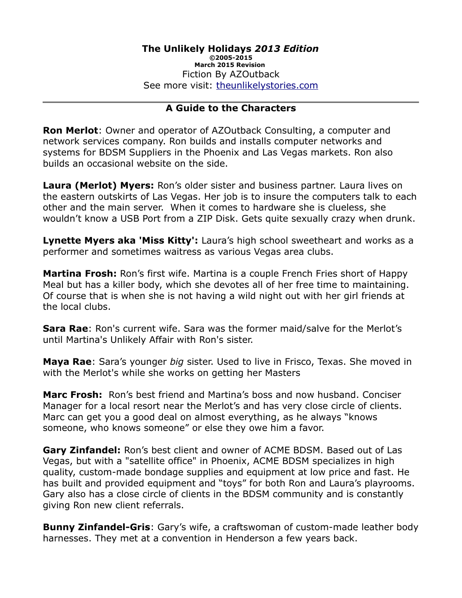#### **A Guide to the Characters**

**Ron Merlot**: Owner and operator of AZOutback Consulting, a computer and network services company. Ron builds and installs computer networks and systems for BDSM Suppliers in the Phoenix and Las Vegas markets. Ron also builds an occasional website on the side.

**Laura (Merlot) Myers:** Ron's older sister and business partner. Laura lives on the eastern outskirts of Las Vegas. Her job is to insure the computers talk to each other and the main server. When it comes to hardware she is clueless, she wouldn't know a USB Port from a ZIP Disk. Gets quite sexually crazy when drunk.

**Lynette Myers aka 'Miss Kitty':** Laura's high school sweetheart and works as a performer and sometimes waitress as various Vegas area clubs.

**Martina Frosh:** Ron's first wife. Martina is a couple French Fries short of Happy Meal but has a killer body, which she devotes all of her free time to maintaining. Of course that is when she is not having a wild night out with her girl friends at the local clubs.

**Sara Rae**: Ron's current wife. Sara was the former maid/salve for the Merlot's until Martina's Unlikely Affair with Ron's sister.

**Maya Rae**: Sara's younger *big* sister. Used to live in Frisco, Texas. She moved in with the Merlot's while she works on getting her Masters

**Marc Frosh:** Ron's best friend and Martina's boss and now husband. Conciser Manager for a local resort near the Merlot's and has very close circle of clients. Marc can get you a good deal on almost everything, as he always "knows someone, who knows someone" or else they owe him a favor.

**Gary Zinfandel:** Ron's best client and owner of ACME BDSM. Based out of Las Vegas, but with a "satellite office" in Phoenix, ACME BDSM specializes in high quality, custom-made bondage supplies and equipment at low price and fast. He has built and provided equipment and "toys" for both Ron and Laura's playrooms. Gary also has a close circle of clients in the BDSM community and is constantly giving Ron new client referrals.

**Bunny Zinfandel-Gris**: Gary's wife, a craftswoman of custom-made leather body harnesses. They met at a convention in Henderson a few years back.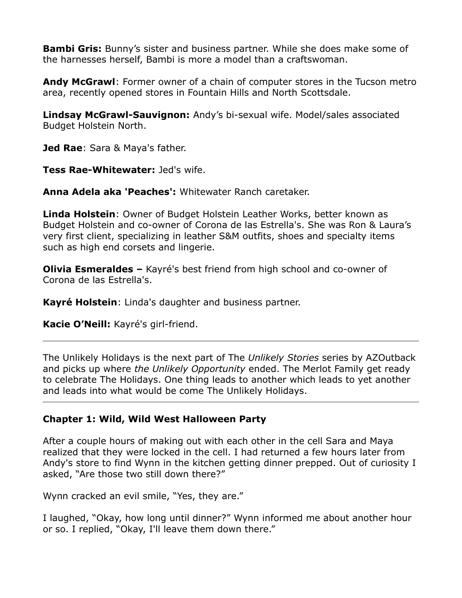**Bambi Gris:** Bunny's sister and business partner. While she does make some of the harnesses herself, Bambi is more a model than a craftswoman.

**Andy McGrawl**: Former owner of a chain of computer stores in the Tucson metro area, recently opened stores in Fountain Hills and North Scottsdale.

**Lindsay McGrawl-Sauvignon:** Andy's bi-sexual wife. Model/sales associated Budget Holstein North.

**Jed Rae**: Sara & Maya's father.

**Tess Rae-Whitewater:** Jed's wife.

**Anna Adela aka 'Peaches':** Whitewater Ranch caretaker.

**Linda Holstein**: Owner of Budget Holstein Leather Works, better known as Budget Holstein and co-owner of Corona de las Estrella's. She was Ron & Laura's very first client, specializing in leather S&M outfits, shoes and specialty items such as high end corsets and lingerie.

**Olivia Esmeraldes –** Kayré's best friend from high school and co-owner of Corona de las Estrella's.

**Kayré Holstein**: Linda's daughter and business partner.

**Kacie O'Neill:** Kayré's girl-friend.

The Unlikely Holidays is the next part of The *Unlikely Stories* series by AZOutback and picks up where *the Unlikely Opportunity* ended. The Merlot Family get ready to celebrate The Holidays. One thing leads to another which leads to yet another and leads into what would be come The Unlikely Holidays.

## **Chapter 1: Wild, Wild West Halloween Party**

After a couple hours of making out with each other in the cell Sara and Maya realized that they were locked in the cell. I had returned a few hours later from Andy's store to find Wynn in the kitchen getting dinner prepped. Out of curiosity I asked, "Are those two still down there?"

Wynn cracked an evil smile, "Yes, they are."

I laughed, "Okay, how long until dinner?" Wynn informed me about another hour or so. I replied, "Okay, I'll leave them down there."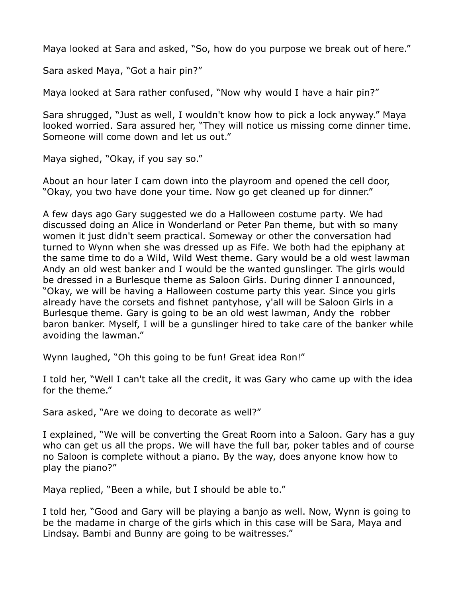Maya looked at Sara and asked, "So, how do you purpose we break out of here."

Sara asked Maya, "Got a hair pin?"

Maya looked at Sara rather confused, "Now why would I have a hair pin?"

Sara shrugged, "Just as well, I wouldn't know how to pick a lock anyway." Maya looked worried. Sara assured her, "They will notice us missing come dinner time. Someone will come down and let us out."

Maya sighed, "Okay, if you say so."

About an hour later I cam down into the playroom and opened the cell door, "Okay, you two have done your time. Now go get cleaned up for dinner."

A few days ago Gary suggested we do a Halloween costume party. We had discussed doing an Alice in Wonderland or Peter Pan theme, but with so many women it just didn't seem practical. Someway or other the conversation had turned to Wynn when she was dressed up as Fife. We both had the epiphany at the same time to do a Wild, Wild West theme. Gary would be a old west lawman Andy an old west banker and I would be the wanted gunslinger. The girls would be dressed in a Burlesque theme as Saloon Girls. During dinner I announced, "Okay, we will be having a Halloween costume party this year. Since you girls already have the corsets and fishnet pantyhose, y'all will be Saloon Girls in a Burlesque theme. Gary is going to be an old west lawman, Andy the robber baron banker. Myself, I will be a gunslinger hired to take care of the banker while avoiding the lawman."

Wynn laughed, "Oh this going to be fun! Great idea Ron!"

I told her, "Well I can't take all the credit, it was Gary who came up with the idea for the theme."

Sara asked, "Are we doing to decorate as well?"

I explained, "We will be converting the Great Room into a Saloon. Gary has a guy who can get us all the props. We will have the full bar, poker tables and of course no Saloon is complete without a piano. By the way, does anyone know how to play the piano?"

Maya replied, "Been a while, but I should be able to."

I told her, "Good and Gary will be playing a banjo as well. Now, Wynn is going to be the madame in charge of the girls which in this case will be Sara, Maya and Lindsay. Bambi and Bunny are going to be waitresses."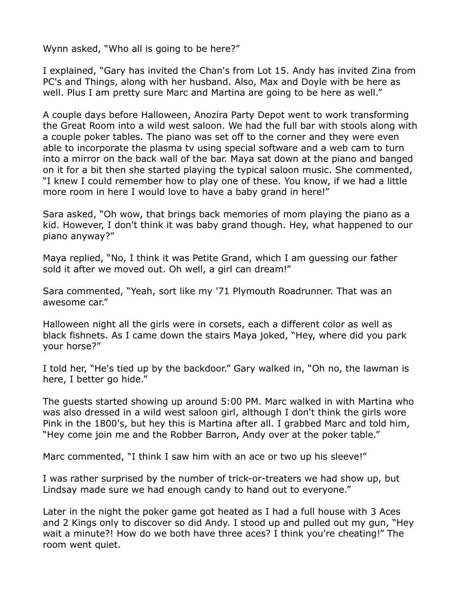Wynn asked, "Who all is going to be here?"

I explained, "Gary has invited the Chan's from Lot 15. Andy has invited Zina from PC's and Things, along with her husband. Also, Max and Doyle with be here as well. Plus I am pretty sure Marc and Martina are going to be here as well."

A couple days before Halloween, Anozira Party Depot went to work transforming the Great Room into a wild west saloon. We had the full bar with stools along with a couple poker tables. The piano was set off to the corner and they were even able to incorporate the plasma tv using special software and a web cam to turn into a mirror on the back wall of the bar. Maya sat down at the piano and banged on it for a bit then she started playing the typical saloon music. She commented, "I knew I could remember how to play one of these. You know, if we had a little more room in here I would love to have a baby grand in here!"

Sara asked, "Oh wow, that brings back memories of mom playing the piano as a kid. However, I don't think it was baby grand though. Hey, what happened to our piano anyway?"

Maya replied, "No, I think it was Petite Grand, which I am guessing our father sold it after we moved out. Oh well, a girl can dream!"

Sara commented, "Yeah, sort like my '71 Plymouth Roadrunner. That was an awesome car."

Halloween night all the girls were in corsets, each a different color as well as black fishnets. As I came down the stairs Maya joked, "Hey, where did you park your horse?"

I told her, "He's tied up by the backdoor." Gary walked in, "Oh no, the lawman is here, I better go hide."

The guests started showing up around 5:00 PM. Marc walked in with Martina who was also dressed in a wild west saloon girl, although I don't think the girls wore Pink in the 1800's, but hey this is Martina after all. I grabbed Marc and told him, "Hey come join me and the Robber Barron, Andy over at the poker table."

Marc commented, "I think I saw him with an ace or two up his sleeve!"

I was rather surprised by the number of trick-or-treaters we had show up, but Lindsay made sure we had enough candy to hand out to everyone."

Later in the night the poker game got heated as I had a full house with 3 Aces and 2 Kings only to discover so did Andy. I stood up and pulled out my gun, "Hey wait a minute?! How do we both have three aces? I think you're cheating!" The room went quiet.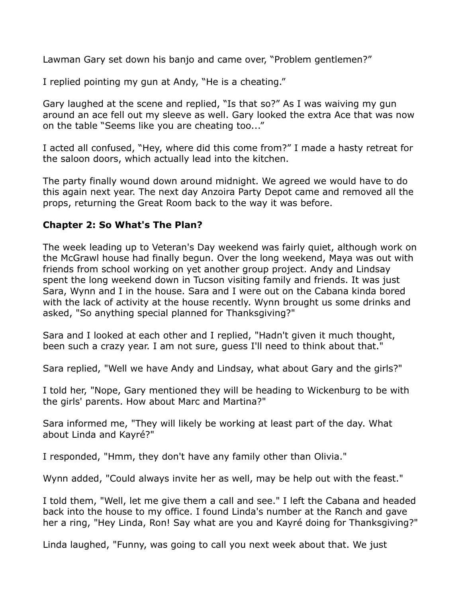Lawman Gary set down his banjo and came over, "Problem gentlemen?"

I replied pointing my gun at Andy, "He is a cheating."

Gary laughed at the scene and replied, "Is that so?" As I was waiving my gun around an ace fell out my sleeve as well. Gary looked the extra Ace that was now on the table "Seems like you are cheating too..."

I acted all confused, "Hey, where did this come from?" I made a hasty retreat for the saloon doors, which actually lead into the kitchen.

The party finally wound down around midnight. We agreed we would have to do this again next year. The next day Anzoira Party Depot came and removed all the props, returning the Great Room back to the way it was before.

#### **Chapter 2: So What's The Plan?**

The week leading up to Veteran's Day weekend was fairly quiet, although work on the McGrawl house had finally begun. Over the long weekend, Maya was out with friends from school working on yet another group project. Andy and Lindsay spent the long weekend down in Tucson visiting family and friends. It was just Sara, Wynn and I in the house. Sara and I were out on the Cabana kinda bored with the lack of activity at the house recently. Wynn brought us some drinks and asked, "So anything special planned for Thanksgiving?"

Sara and I looked at each other and I replied, "Hadn't given it much thought, been such a crazy year. I am not sure, guess I'll need to think about that."

Sara replied, "Well we have Andy and Lindsay, what about Gary and the girls?"

I told her, "Nope, Gary mentioned they will be heading to Wickenburg to be with the girls' parents. How about Marc and Martina?"

Sara informed me, "They will likely be working at least part of the day. What about Linda and Kayré?"

I responded, "Hmm, they don't have any family other than Olivia."

Wynn added, "Could always invite her as well, may be help out with the feast."

I told them, "Well, let me give them a call and see." I left the Cabana and headed back into the house to my office. I found Linda's number at the Ranch and gave her a ring, "Hey Linda, Ron! Say what are you and Kayré doing for Thanksgiving?"

Linda laughed, "Funny, was going to call you next week about that. We just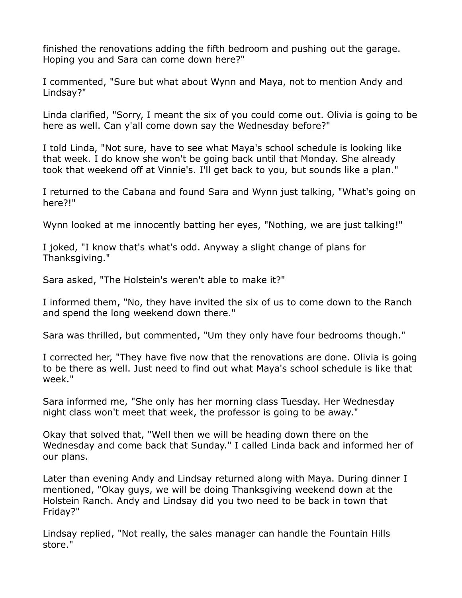finished the renovations adding the fifth bedroom and pushing out the garage. Hoping you and Sara can come down here?"

I commented, "Sure but what about Wynn and Maya, not to mention Andy and Lindsay?"

Linda clarified, "Sorry, I meant the six of you could come out. Olivia is going to be here as well. Can y'all come down say the Wednesday before?"

I told Linda, "Not sure, have to see what Maya's school schedule is looking like that week. I do know she won't be going back until that Monday. She already took that weekend off at Vinnie's. I'll get back to you, but sounds like a plan."

I returned to the Cabana and found Sara and Wynn just talking, "What's going on here?!"

Wynn looked at me innocently batting her eyes, "Nothing, we are just talking!"

I joked, "I know that's what's odd. Anyway a slight change of plans for Thanksgiving."

Sara asked, "The Holstein's weren't able to make it?"

I informed them, "No, they have invited the six of us to come down to the Ranch and spend the long weekend down there."

Sara was thrilled, but commented, "Um they only have four bedrooms though."

I corrected her, "They have five now that the renovations are done. Olivia is going to be there as well. Just need to find out what Maya's school schedule is like that week."

Sara informed me, "She only has her morning class Tuesday. Her Wednesday night class won't meet that week, the professor is going to be away."

Okay that solved that, "Well then we will be heading down there on the Wednesday and come back that Sunday." I called Linda back and informed her of our plans.

Later than evening Andy and Lindsay returned along with Maya. During dinner I mentioned, "Okay guys, we will be doing Thanksgiving weekend down at the Holstein Ranch. Andy and Lindsay did you two need to be back in town that Friday?"

Lindsay replied, "Not really, the sales manager can handle the Fountain Hills store."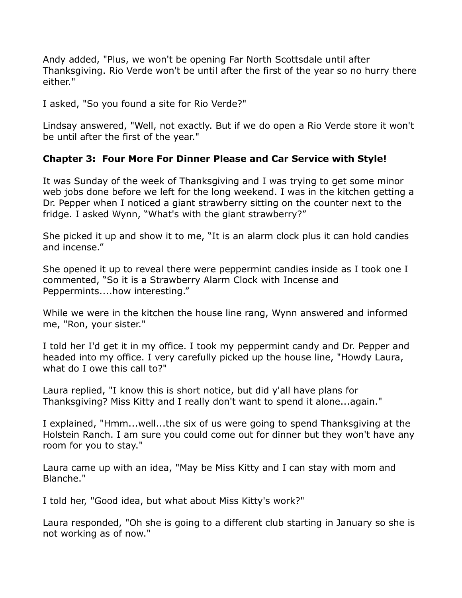Andy added, "Plus, we won't be opening Far North Scottsdale until after Thanksgiving. Rio Verde won't be until after the first of the year so no hurry there either."

I asked, "So you found a site for Rio Verde?"

Lindsay answered, "Well, not exactly. But if we do open a Rio Verde store it won't be until after the first of the year."

## **Chapter 3: Four More For Dinner Please and Car Service with Style!**

It was Sunday of the week of Thanksgiving and I was trying to get some minor web jobs done before we left for the long weekend. I was in the kitchen getting a Dr. Pepper when I noticed a giant strawberry sitting on the counter next to the fridge. I asked Wynn, "What's with the giant strawberry?"

She picked it up and show it to me, "It is an alarm clock plus it can hold candies and incense."

She opened it up to reveal there were peppermint candies inside as I took one I commented, "So it is a Strawberry Alarm Clock with Incense and Peppermints....how interesting."

While we were in the kitchen the house line rang, Wynn answered and informed me, "Ron, your sister."

I told her I'd get it in my office. I took my peppermint candy and Dr. Pepper and headed into my office. I very carefully picked up the house line, "Howdy Laura, what do I owe this call to?"

Laura replied, "I know this is short notice, but did y'all have plans for Thanksgiving? Miss Kitty and I really don't want to spend it alone...again."

I explained, "Hmm...well...the six of us were going to spend Thanksgiving at the Holstein Ranch. I am sure you could come out for dinner but they won't have any room for you to stay."

Laura came up with an idea, "May be Miss Kitty and I can stay with mom and Blanche."

I told her, "Good idea, but what about Miss Kitty's work?"

Laura responded, "Oh she is going to a different club starting in January so she is not working as of now."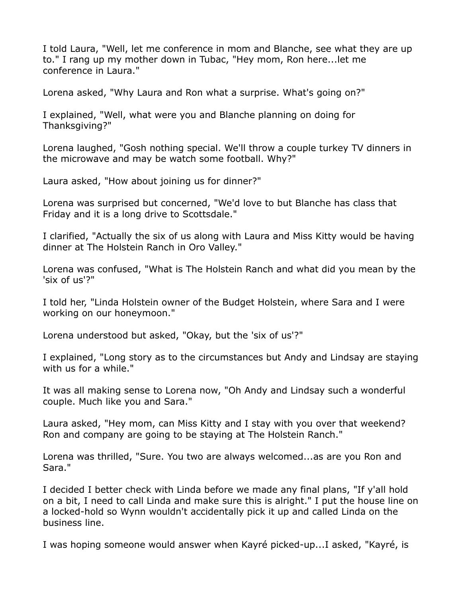I told Laura, "Well, let me conference in mom and Blanche, see what they are up to." I rang up my mother down in Tubac, "Hey mom, Ron here...let me conference in Laura."

Lorena asked, "Why Laura and Ron what a surprise. What's going on?"

I explained, "Well, what were you and Blanche planning on doing for Thanksgiving?"

Lorena laughed, "Gosh nothing special. We'll throw a couple turkey TV dinners in the microwave and may be watch some football. Why?"

Laura asked, "How about joining us for dinner?"

Lorena was surprised but concerned, "We'd love to but Blanche has class that Friday and it is a long drive to Scottsdale."

I clarified, "Actually the six of us along with Laura and Miss Kitty would be having dinner at The Holstein Ranch in Oro Valley."

Lorena was confused, "What is The Holstein Ranch and what did you mean by the 'six of us'?"

I told her, "Linda Holstein owner of the Budget Holstein, where Sara and I were working on our honeymoon."

Lorena understood but asked, "Okay, but the 'six of us'?"

I explained, "Long story as to the circumstances but Andy and Lindsay are staying with us for a while."

It was all making sense to Lorena now, "Oh Andy and Lindsay such a wonderful couple. Much like you and Sara."

Laura asked, "Hey mom, can Miss Kitty and I stay with you over that weekend? Ron and company are going to be staying at The Holstein Ranch."

Lorena was thrilled, "Sure. You two are always welcomed...as are you Ron and Sara."

I decided I better check with Linda before we made any final plans, "If y'all hold on a bit, I need to call Linda and make sure this is alright." I put the house line on a locked-hold so Wynn wouldn't accidentally pick it up and called Linda on the business line.

I was hoping someone would answer when Kayré picked-up...I asked, "Kayré, is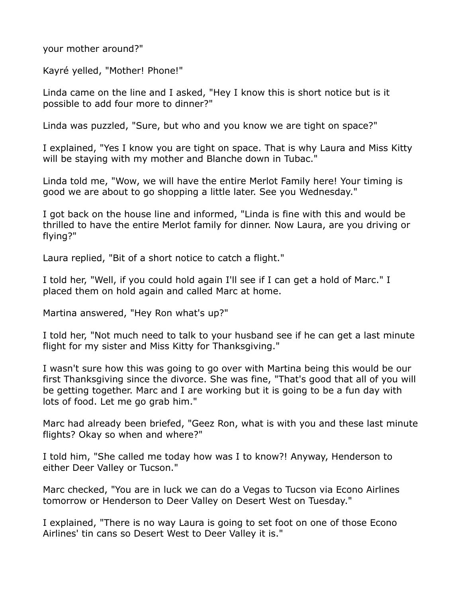your mother around?"

Kayré yelled, "Mother! Phone!"

Linda came on the line and I asked, "Hey I know this is short notice but is it possible to add four more to dinner?"

Linda was puzzled, "Sure, but who and you know we are tight on space?"

I explained, "Yes I know you are tight on space. That is why Laura and Miss Kitty will be staying with my mother and Blanche down in Tubac."

Linda told me, "Wow, we will have the entire Merlot Family here! Your timing is good we are about to go shopping a little later. See you Wednesday."

I got back on the house line and informed, "Linda is fine with this and would be thrilled to have the entire Merlot family for dinner. Now Laura, are you driving or flying?"

Laura replied, "Bit of a short notice to catch a flight."

I told her, "Well, if you could hold again I'll see if I can get a hold of Marc." I placed them on hold again and called Marc at home.

Martina answered, "Hey Ron what's up?"

I told her, "Not much need to talk to your husband see if he can get a last minute flight for my sister and Miss Kitty for Thanksgiving."

I wasn't sure how this was going to go over with Martina being this would be our first Thanksgiving since the divorce. She was fine, "That's good that all of you will be getting together. Marc and I are working but it is going to be a fun day with lots of food. Let me go grab him."

Marc had already been briefed, "Geez Ron, what is with you and these last minute flights? Okay so when and where?"

I told him, "She called me today how was I to know?! Anyway, Henderson to either Deer Valley or Tucson."

Marc checked, "You are in luck we can do a Vegas to Tucson via Econo Airlines tomorrow or Henderson to Deer Valley on Desert West on Tuesday."

I explained, "There is no way Laura is going to set foot on one of those Econo Airlines' tin cans so Desert West to Deer Valley it is."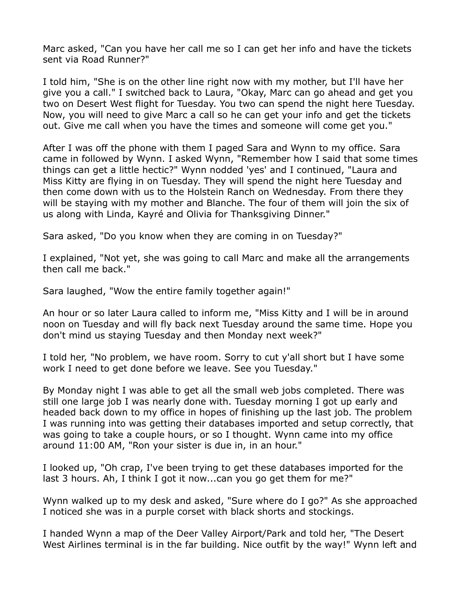Marc asked, "Can you have her call me so I can get her info and have the tickets sent via Road Runner?"

I told him, "She is on the other line right now with my mother, but I'll have her give you a call." I switched back to Laura, "Okay, Marc can go ahead and get you two on Desert West flight for Tuesday. You two can spend the night here Tuesday. Now, you will need to give Marc a call so he can get your info and get the tickets out. Give me call when you have the times and someone will come get you."

After I was off the phone with them I paged Sara and Wynn to my office. Sara came in followed by Wynn. I asked Wynn, "Remember how I said that some times things can get a little hectic?" Wynn nodded 'yes' and I continued, "Laura and Miss Kitty are flying in on Tuesday. They will spend the night here Tuesday and then come down with us to the Holstein Ranch on Wednesday. From there they will be staying with my mother and Blanche. The four of them will join the six of us along with Linda, Kayré and Olivia for Thanksgiving Dinner."

Sara asked, "Do you know when they are coming in on Tuesday?"

I explained, "Not yet, she was going to call Marc and make all the arrangements then call me back."

Sara laughed, "Wow the entire family together again!"

An hour or so later Laura called to inform me, "Miss Kitty and I will be in around noon on Tuesday and will fly back next Tuesday around the same time. Hope you don't mind us staying Tuesday and then Monday next week?"

I told her, "No problem, we have room. Sorry to cut y'all short but I have some work I need to get done before we leave. See you Tuesday."

By Monday night I was able to get all the small web jobs completed. There was still one large job I was nearly done with. Tuesday morning I got up early and headed back down to my office in hopes of finishing up the last job. The problem I was running into was getting their databases imported and setup correctly, that was going to take a couple hours, or so I thought. Wynn came into my office around 11:00 AM, "Ron your sister is due in, in an hour."

I looked up, "Oh crap, I've been trying to get these databases imported for the last 3 hours. Ah, I think I got it now...can you go get them for me?"

Wynn walked up to my desk and asked, "Sure where do I go?" As she approached I noticed she was in a purple corset with black shorts and stockings.

I handed Wynn a map of the Deer Valley Airport/Park and told her, "The Desert West Airlines terminal is in the far building. Nice outfit by the way!" Wynn left and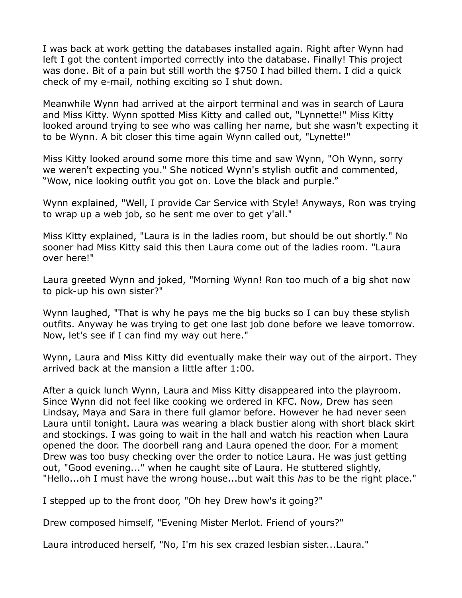I was back at work getting the databases installed again. Right after Wynn had left I got the content imported correctly into the database. Finally! This project was done. Bit of a pain but still worth the \$750 I had billed them. I did a quick check of my e-mail, nothing exciting so I shut down.

Meanwhile Wynn had arrived at the airport terminal and was in search of Laura and Miss Kitty. Wynn spotted Miss Kitty and called out, "Lynnette!" Miss Kitty looked around trying to see who was calling her name, but she wasn't expecting it to be Wynn. A bit closer this time again Wynn called out, "Lynette!"

Miss Kitty looked around some more this time and saw Wynn, "Oh Wynn, sorry we weren't expecting you." She noticed Wynn's stylish outfit and commented, "Wow, nice looking outfit you got on. Love the black and purple."

Wynn explained, "Well, I provide Car Service with Style! Anyways, Ron was trying to wrap up a web job, so he sent me over to get y'all."

Miss Kitty explained, "Laura is in the ladies room, but should be out shortly." No sooner had Miss Kitty said this then Laura come out of the ladies room. "Laura over here!"

Laura greeted Wynn and joked, "Morning Wynn! Ron too much of a big shot now to pick-up his own sister?"

Wynn laughed, "That is why he pays me the big bucks so I can buy these stylish outfits. Anyway he was trying to get one last job done before we leave tomorrow. Now, let's see if I can find my way out here."

Wynn, Laura and Miss Kitty did eventually make their way out of the airport. They arrived back at the mansion a little after 1:00.

After a quick lunch Wynn, Laura and Miss Kitty disappeared into the playroom. Since Wynn did not feel like cooking we ordered in KFC. Now, Drew has seen Lindsay, Maya and Sara in there full glamor before. However he had never seen Laura until tonight. Laura was wearing a black bustier along with short black skirt and stockings. I was going to wait in the hall and watch his reaction when Laura opened the door. The doorbell rang and Laura opened the door. For a moment Drew was too busy checking over the order to notice Laura. He was just getting out, "Good evening..." when he caught site of Laura. He stuttered slightly, "Hello...oh I must have the wrong house...but wait this *has* to be the right place."

I stepped up to the front door, "Oh hey Drew how's it going?"

Drew composed himself, "Evening Mister Merlot. Friend of yours?"

Laura introduced herself, "No, I'm his sex crazed lesbian sister...Laura."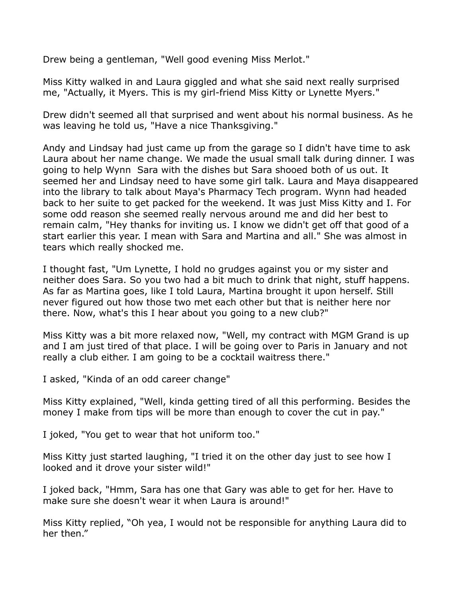Drew being a gentleman, "Well good evening Miss Merlot."

Miss Kitty walked in and Laura giggled and what she said next really surprised me, "Actually, it Myers. This is my girl-friend Miss Kitty or Lynette Myers."

Drew didn't seemed all that surprised and went about his normal business. As he was leaving he told us, "Have a nice Thanksgiving."

Andy and Lindsay had just came up from the garage so I didn't have time to ask Laura about her name change. We made the usual small talk during dinner. I was going to help Wynn Sara with the dishes but Sara shooed both of us out. It seemed her and Lindsay need to have some girl talk. Laura and Maya disappeared into the library to talk about Maya's Pharmacy Tech program. Wynn had headed back to her suite to get packed for the weekend. It was just Miss Kitty and I. For some odd reason she seemed really nervous around me and did her best to remain calm, "Hey thanks for inviting us. I know we didn't get off that good of a start earlier this year. I mean with Sara and Martina and all." She was almost in tears which really shocked me.

I thought fast, "Um Lynette, I hold no grudges against you or my sister and neither does Sara. So you two had a bit much to drink that night, stuff happens. As far as Martina goes, like I told Laura, Martina brought it upon herself. Still never figured out how those two met each other but that is neither here nor there. Now, what's this I hear about you going to a new club?"

Miss Kitty was a bit more relaxed now, "Well, my contract with MGM Grand is up and I am just tired of that place. I will be going over to Paris in January and not really a club either. I am going to be a cocktail waitress there."

I asked, "Kinda of an odd career change"

Miss Kitty explained, "Well, kinda getting tired of all this performing. Besides the money I make from tips will be more than enough to cover the cut in pay."

I joked, "You get to wear that hot uniform too."

Miss Kitty just started laughing, "I tried it on the other day just to see how I looked and it drove your sister wild!"

I joked back, "Hmm, Sara has one that Gary was able to get for her. Have to make sure she doesn't wear it when Laura is around!"

Miss Kitty replied, "Oh yea, I would not be responsible for anything Laura did to her then."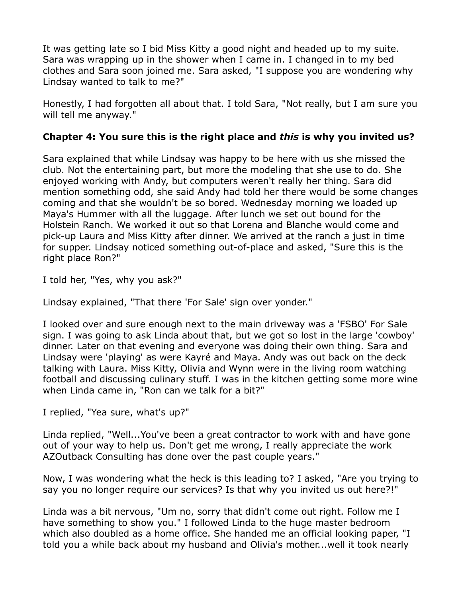It was getting late so I bid Miss Kitty a good night and headed up to my suite. Sara was wrapping up in the shower when I came in. I changed in to my bed clothes and Sara soon joined me. Sara asked, "I suppose you are wondering why Lindsay wanted to talk to me?"

Honestly, I had forgotten all about that. I told Sara, "Not really, but I am sure you will tell me anyway."

# **Chapter 4: You sure this is the right place and** *this* **is why you invited us?**

Sara explained that while Lindsay was happy to be here with us she missed the club. Not the entertaining part, but more the modeling that she use to do. She enjoyed working with Andy, but computers weren't really her thing. Sara did mention something odd, she said Andy had told her there would be some changes coming and that she wouldn't be so bored. Wednesday morning we loaded up Maya's Hummer with all the luggage. After lunch we set out bound for the Holstein Ranch. We worked it out so that Lorena and Blanche would come and pick-up Laura and Miss Kitty after dinner. We arrived at the ranch a just in time for supper. Lindsay noticed something out-of-place and asked, "Sure this is the right place Ron?"

I told her, "Yes, why you ask?"

Lindsay explained, "That there 'For Sale' sign over yonder."

I looked over and sure enough next to the main driveway was a 'FSBO' For Sale sign. I was going to ask Linda about that, but we got so lost in the large 'cowboy' dinner. Later on that evening and everyone was doing their own thing. Sara and Lindsay were 'playing' as were Kayré and Maya. Andy was out back on the deck talking with Laura. Miss Kitty, Olivia and Wynn were in the living room watching football and discussing culinary stuff. I was in the kitchen getting some more wine when Linda came in, "Ron can we talk for a bit?"

I replied, "Yea sure, what's up?"

Linda replied, "Well...You've been a great contractor to work with and have gone out of your way to help us. Don't get me wrong, I really appreciate the work AZOutback Consulting has done over the past couple years."

Now, I was wondering what the heck is this leading to? I asked, "Are you trying to say you no longer require our services? Is that why you invited us out here?!"

Linda was a bit nervous, "Um no, sorry that didn't come out right. Follow me I have something to show you." I followed Linda to the huge master bedroom which also doubled as a home office. She handed me an official looking paper, "I told you a while back about my husband and Olivia's mother...well it took nearly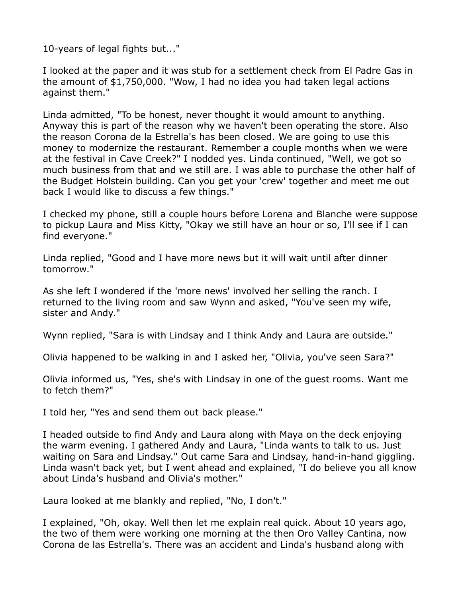10-years of legal fights but..."

I looked at the paper and it was stub for a settlement check from El Padre Gas in the amount of \$1,750,000. "Wow, I had no idea you had taken legal actions against them."

Linda admitted, "To be honest, never thought it would amount to anything. Anyway this is part of the reason why we haven't been operating the store. Also the reason Corona de la Estrella's has been closed. We are going to use this money to modernize the restaurant. Remember a couple months when we were at the festival in Cave Creek?" I nodded yes. Linda continued, "Well, we got so much business from that and we still are. I was able to purchase the other half of the Budget Holstein building. Can you get your 'crew' together and meet me out back I would like to discuss a few things."

I checked my phone, still a couple hours before Lorena and Blanche were suppose to pickup Laura and Miss Kitty, "Okay we still have an hour or so, I'll see if I can find everyone."

Linda replied, "Good and I have more news but it will wait until after dinner tomorrow."

As she left I wondered if the 'more news' involved her selling the ranch. I returned to the living room and saw Wynn and asked, "You've seen my wife, sister and Andy."

Wynn replied, "Sara is with Lindsay and I think Andy and Laura are outside."

Olivia happened to be walking in and I asked her, "Olivia, you've seen Sara?"

Olivia informed us, "Yes, she's with Lindsay in one of the guest rooms. Want me to fetch them?"

I told her, "Yes and send them out back please."

I headed outside to find Andy and Laura along with Maya on the deck enjoying the warm evening. I gathered Andy and Laura, "Linda wants to talk to us. Just waiting on Sara and Lindsay." Out came Sara and Lindsay, hand-in-hand giggling. Linda wasn't back yet, but I went ahead and explained, "I do believe you all know about Linda's husband and Olivia's mother."

Laura looked at me blankly and replied, "No, I don't."

I explained, "Oh, okay. Well then let me explain real quick. About 10 years ago, the two of them were working one morning at the then Oro Valley Cantina, now Corona de las Estrella's. There was an accident and Linda's husband along with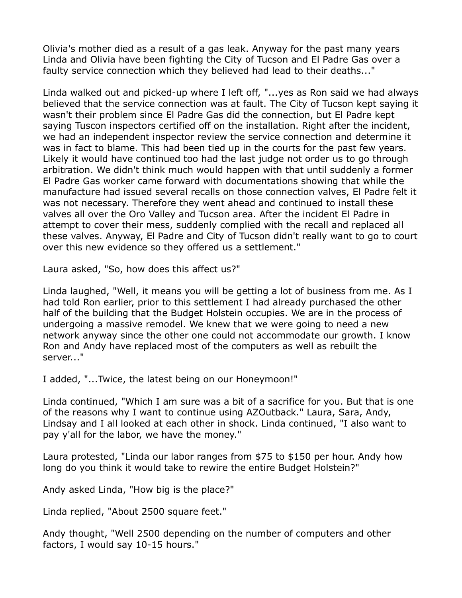Olivia's mother died as a result of a gas leak. Anyway for the past many years Linda and Olivia have been fighting the City of Tucson and El Padre Gas over a faulty service connection which they believed had lead to their deaths..."

Linda walked out and picked-up where I left off, "...yes as Ron said we had always believed that the service connection was at fault. The City of Tucson kept saying it wasn't their problem since El Padre Gas did the connection, but El Padre kept saying Tuscon inspectors certified off on the installation. Right after the incident, we had an independent inspector review the service connection and determine it was in fact to blame. This had been tied up in the courts for the past few years. Likely it would have continued too had the last judge not order us to go through arbitration. We didn't think much would happen with that until suddenly a former El Padre Gas worker came forward with documentations showing that while the manufacture had issued several recalls on those connection valves, El Padre felt it was not necessary. Therefore they went ahead and continued to install these valves all over the Oro Valley and Tucson area. After the incident El Padre in attempt to cover their mess, suddenly complied with the recall and replaced all these valves. Anyway, El Padre and City of Tucson didn't really want to go to court over this new evidence so they offered us a settlement."

Laura asked, "So, how does this affect us?"

Linda laughed, "Well, it means you will be getting a lot of business from me. As I had told Ron earlier, prior to this settlement I had already purchased the other half of the building that the Budget Holstein occupies. We are in the process of undergoing a massive remodel. We knew that we were going to need a new network anyway since the other one could not accommodate our growth. I know Ron and Andy have replaced most of the computers as well as rebuilt the server..."

I added, "...Twice, the latest being on our Honeymoon!"

Linda continued, "Which I am sure was a bit of a sacrifice for you. But that is one of the reasons why I want to continue using AZOutback." Laura, Sara, Andy, Lindsay and I all looked at each other in shock. Linda continued, "I also want to pay y'all for the labor, we have the money."

Laura protested, "Linda our labor ranges from \$75 to \$150 per hour. Andy how long do you think it would take to rewire the entire Budget Holstein?"

Andy asked Linda, "How big is the place?"

Linda replied, "About 2500 square feet."

Andy thought, "Well 2500 depending on the number of computers and other factors, I would say 10-15 hours."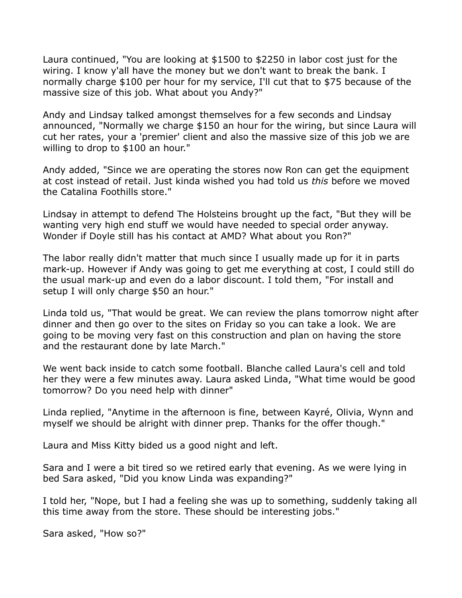Laura continued, "You are looking at \$1500 to \$2250 in labor cost just for the wiring. I know y'all have the money but we don't want to break the bank. I normally charge \$100 per hour for my service, I'll cut that to \$75 because of the massive size of this job. What about you Andy?"

Andy and Lindsay talked amongst themselves for a few seconds and Lindsay announced, "Normally we charge \$150 an hour for the wiring, but since Laura will cut her rates, your a 'premier' client and also the massive size of this job we are willing to drop to \$100 an hour."

Andy added, "Since we are operating the stores now Ron can get the equipment at cost instead of retail. Just kinda wished you had told us *this* before we moved the Catalina Foothills store."

Lindsay in attempt to defend The Holsteins brought up the fact, "But they will be wanting very high end stuff we would have needed to special order anyway. Wonder if Doyle still has his contact at AMD? What about you Ron?"

The labor really didn't matter that much since I usually made up for it in parts mark-up. However if Andy was going to get me everything at cost, I could still do the usual mark-up and even do a labor discount. I told them, "For install and setup I will only charge \$50 an hour."

Linda told us, "That would be great. We can review the plans tomorrow night after dinner and then go over to the sites on Friday so you can take a look. We are going to be moving very fast on this construction and plan on having the store and the restaurant done by late March."

We went back inside to catch some football. Blanche called Laura's cell and told her they were a few minutes away. Laura asked Linda, "What time would be good tomorrow? Do you need help with dinner"

Linda replied, "Anytime in the afternoon is fine, between Kayré, Olivia, Wynn and myself we should be alright with dinner prep. Thanks for the offer though."

Laura and Miss Kitty bided us a good night and left.

Sara and I were a bit tired so we retired early that evening. As we were lying in bed Sara asked, "Did you know Linda was expanding?"

I told her, "Nope, but I had a feeling she was up to something, suddenly taking all this time away from the store. These should be interesting jobs."

Sara asked, "How so?"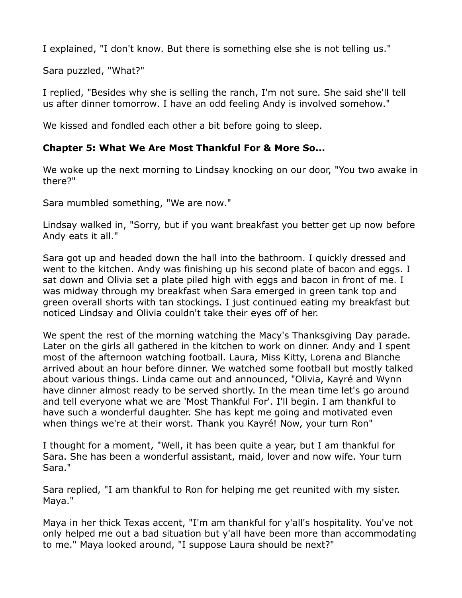I explained, "I don't know. But there is something else she is not telling us."

Sara puzzled, "What?"

I replied, "Besides why she is selling the ranch, I'm not sure. She said she'll tell us after dinner tomorrow. I have an odd feeling Andy is involved somehow."

We kissed and fondled each other a bit before going to sleep.

## **Chapter 5: What We Are Most Thankful For & More So...**

We woke up the next morning to Lindsay knocking on our door, "You two awake in there?"

Sara mumbled something, "We are now."

Lindsay walked in, "Sorry, but if you want breakfast you better get up now before Andy eats it all."

Sara got up and headed down the hall into the bathroom. I quickly dressed and went to the kitchen. Andy was finishing up his second plate of bacon and eggs. I sat down and Olivia set a plate piled high with eggs and bacon in front of me. I was midway through my breakfast when Sara emerged in green tank top and green overall shorts with tan stockings. I just continued eating my breakfast but noticed Lindsay and Olivia couldn't take their eyes off of her.

We spent the rest of the morning watching the Macy's Thanksgiving Day parade. Later on the girls all gathered in the kitchen to work on dinner. Andy and I spent most of the afternoon watching football. Laura, Miss Kitty, Lorena and Blanche arrived about an hour before dinner. We watched some football but mostly talked about various things. Linda came out and announced, "Olivia, Kayré and Wynn have dinner almost ready to be served shortly. In the mean time let's go around and tell everyone what we are 'Most Thankful For'. I'll begin. I am thankful to have such a wonderful daughter. She has kept me going and motivated even when things we're at their worst. Thank you Kayré! Now, your turn Ron"

I thought for a moment, "Well, it has been quite a year, but I am thankful for Sara. She has been a wonderful assistant, maid, lover and now wife. Your turn Sara."

Sara replied, "I am thankful to Ron for helping me get reunited with my sister. Maya."

Maya in her thick Texas accent, "I'm am thankful for y'all's hospitality. You've not only helped me out a bad situation but y'all have been more than accommodating to me." Maya looked around, "I suppose Laura should be next?"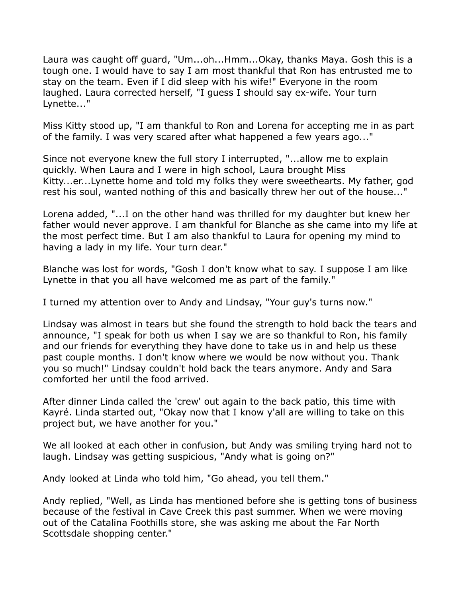Laura was caught off guard, "Um...oh...Hmm...Okay, thanks Maya. Gosh this is a tough one. I would have to say I am most thankful that Ron has entrusted me to stay on the team. Even if I did sleep with his wife!" Everyone in the room laughed. Laura corrected herself, "I guess I should say ex-wife. Your turn Lynette..."

Miss Kitty stood up, "I am thankful to Ron and Lorena for accepting me in as part of the family. I was very scared after what happened a few years ago..."

Since not everyone knew the full story I interrupted, "...allow me to explain quickly. When Laura and I were in high school, Laura brought Miss Kitty...er...Lynette home and told my folks they were sweethearts. My father, god rest his soul, wanted nothing of this and basically threw her out of the house..."

Lorena added, "...I on the other hand was thrilled for my daughter but knew her father would never approve. I am thankful for Blanche as she came into my life at the most perfect time. But I am also thankful to Laura for opening my mind to having a lady in my life. Your turn dear."

Blanche was lost for words, "Gosh I don't know what to say. I suppose I am like Lynette in that you all have welcomed me as part of the family."

I turned my attention over to Andy and Lindsay, "Your guy's turns now."

Lindsay was almost in tears but she found the strength to hold back the tears and announce, "I speak for both us when I say we are so thankful to Ron, his family and our friends for everything they have done to take us in and help us these past couple months. I don't know where we would be now without you. Thank you so much!" Lindsay couldn't hold back the tears anymore. Andy and Sara comforted her until the food arrived.

After dinner Linda called the 'crew' out again to the back patio, this time with Kayré. Linda started out, "Okay now that I know y'all are willing to take on this project but, we have another for you."

We all looked at each other in confusion, but Andy was smiling trying hard not to laugh. Lindsay was getting suspicious, "Andy what is going on?"

Andy looked at Linda who told him, "Go ahead, you tell them."

Andy replied, "Well, as Linda has mentioned before she is getting tons of business because of the festival in Cave Creek this past summer. When we were moving out of the Catalina Foothills store, she was asking me about the Far North Scottsdale shopping center."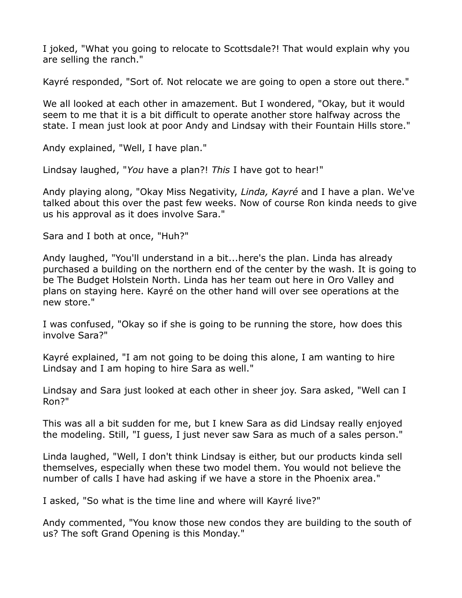I joked, "What you going to relocate to Scottsdale?! That would explain why you are selling the ranch."

Kayré responded, "Sort of. Not relocate we are going to open a store out there."

We all looked at each other in amazement. But I wondered, "Okay, but it would seem to me that it is a bit difficult to operate another store halfway across the state. I mean just look at poor Andy and Lindsay with their Fountain Hills store."

Andy explained, "Well, I have plan."

Lindsay laughed, "*You* have a plan?! *This* I have got to hear!"

Andy playing along, "Okay Miss Negativity, *Linda, Kayré* and I have a plan. We've talked about this over the past few weeks. Now of course Ron kinda needs to give us his approval as it does involve Sara."

Sara and I both at once, "Huh?"

Andy laughed, "You'll understand in a bit...here's the plan. Linda has already purchased a building on the northern end of the center by the wash. It is going to be The Budget Holstein North. Linda has her team out here in Oro Valley and plans on staying here. Kayré on the other hand will over see operations at the new store."

I was confused, "Okay so if she is going to be running the store, how does this involve Sara?"

Kayré explained, "I am not going to be doing this alone, I am wanting to hire Lindsay and I am hoping to hire Sara as well."

Lindsay and Sara just looked at each other in sheer joy. Sara asked, "Well can I Ron?"

This was all a bit sudden for me, but I knew Sara as did Lindsay really enjoyed the modeling. Still, "I guess, I just never saw Sara as much of a sales person."

Linda laughed, "Well, I don't think Lindsay is either, but our products kinda sell themselves, especially when these two model them. You would not believe the number of calls I have had asking if we have a store in the Phoenix area."

I asked, "So what is the time line and where will Kayré live?"

Andy commented, "You know those new condos they are building to the south of us? The soft Grand Opening is this Monday."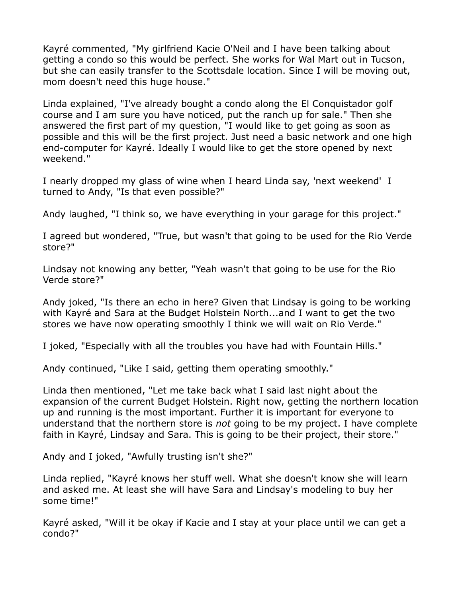Kayré commented, "My girlfriend Kacie O'Neil and I have been talking about getting a condo so this would be perfect. She works for Wal Mart out in Tucson, but she can easily transfer to the Scottsdale location. Since I will be moving out, mom doesn't need this huge house."

Linda explained, "I've already bought a condo along the El Conquistador golf course and I am sure you have noticed, put the ranch up for sale." Then she answered the first part of my question, "I would like to get going as soon as possible and this will be the first project. Just need a basic network and one high end-computer for Kayré. Ideally I would like to get the store opened by next weekend."

I nearly dropped my glass of wine when I heard Linda say, 'next weekend' I turned to Andy, "Is that even possible?"

Andy laughed, "I think so, we have everything in your garage for this project."

I agreed but wondered, "True, but wasn't that going to be used for the Rio Verde store?"

Lindsay not knowing any better, "Yeah wasn't that going to be use for the Rio Verde store?"

Andy joked, "Is there an echo in here? Given that Lindsay is going to be working with Kayré and Sara at the Budget Holstein North...and I want to get the two stores we have now operating smoothly I think we will wait on Rio Verde."

I joked, "Especially with all the troubles you have had with Fountain Hills."

Andy continued, "Like I said, getting them operating smoothly."

Linda then mentioned, "Let me take back what I said last night about the expansion of the current Budget Holstein. Right now, getting the northern location up and running is the most important. Further it is important for everyone to understand that the northern store is *not* going to be my project. I have complete faith in Kayré, Lindsay and Sara. This is going to be their project, their store."

Andy and I joked, "Awfully trusting isn't she?"

Linda replied, "Kayré knows her stuff well. What she doesn't know she will learn and asked me. At least she will have Sara and Lindsay's modeling to buy her some time!"

Kayré asked, "Will it be okay if Kacie and I stay at your place until we can get a condo?"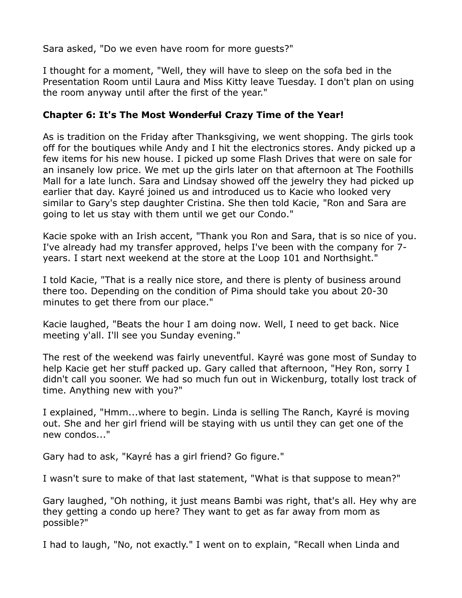Sara asked, "Do we even have room for more guests?"

I thought for a moment, "Well, they will have to sleep on the sofa bed in the Presentation Room until Laura and Miss Kitty leave Tuesday. I don't plan on using the room anyway until after the first of the year."

#### **Chapter 6: It's The Most Wonderful Crazy Time of the Year!**

As is tradition on the Friday after Thanksgiving, we went shopping. The girls took off for the boutiques while Andy and I hit the electronics stores. Andy picked up a few items for his new house. I picked up some Flash Drives that were on sale for an insanely low price. We met up the girls later on that afternoon at The Foothills Mall for a late lunch. Sara and Lindsay showed off the jewelry they had picked up earlier that day. Kayré joined us and introduced us to Kacie who looked very similar to Gary's step daughter Cristina. She then told Kacie, "Ron and Sara are going to let us stay with them until we get our Condo."

Kacie spoke with an Irish accent, "Thank you Ron and Sara, that is so nice of you. I've already had my transfer approved, helps I've been with the company for 7 years. I start next weekend at the store at the Loop 101 and Northsight."

I told Kacie, "That is a really nice store, and there is plenty of business around there too. Depending on the condition of Pima should take you about 20-30 minutes to get there from our place."

Kacie laughed, "Beats the hour I am doing now. Well, I need to get back. Nice meeting y'all. I'll see you Sunday evening."

The rest of the weekend was fairly uneventful. Kayré was gone most of Sunday to help Kacie get her stuff packed up. Gary called that afternoon, "Hey Ron, sorry I didn't call you sooner. We had so much fun out in Wickenburg, totally lost track of time. Anything new with you?"

I explained, "Hmm...where to begin. Linda is selling The Ranch, Kayré is moving out. She and her girl friend will be staying with us until they can get one of the new condos..."

Gary had to ask, "Kayré has a girl friend? Go figure."

I wasn't sure to make of that last statement, "What is that suppose to mean?"

Gary laughed, "Oh nothing, it just means Bambi was right, that's all. Hey why are they getting a condo up here? They want to get as far away from mom as possible?"

I had to laugh, "No, not exactly." I went on to explain, "Recall when Linda and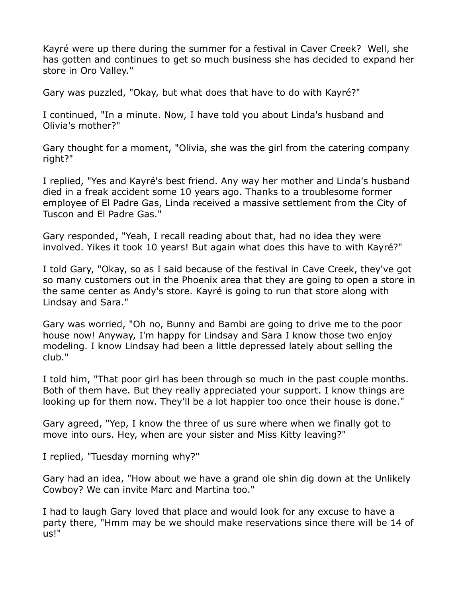Kayré were up there during the summer for a festival in Caver Creek? Well, she has gotten and continues to get so much business she has decided to expand her store in Oro Valley."

Gary was puzzled, "Okay, but what does that have to do with Kayré?"

I continued, "In a minute. Now, I have told you about Linda's husband and Olivia's mother?"

Gary thought for a moment, "Olivia, she was the girl from the catering company right?"

I replied, "Yes and Kayré's best friend. Any way her mother and Linda's husband died in a freak accident some 10 years ago. Thanks to a troublesome former employee of El Padre Gas, Linda received a massive settlement from the City of Tuscon and El Padre Gas."

Gary responded, "Yeah, I recall reading about that, had no idea they were involved. Yikes it took 10 years! But again what does this have to with Kayré?"

I told Gary, "Okay, so as I said because of the festival in Cave Creek, they've got so many customers out in the Phoenix area that they are going to open a store in the same center as Andy's store. Kayré is going to run that store along with Lindsay and Sara."

Gary was worried, "Oh no, Bunny and Bambi are going to drive me to the poor house now! Anyway, I'm happy for Lindsay and Sara I know those two enjoy modeling. I know Lindsay had been a little depressed lately about selling the club."

I told him, "That poor girl has been through so much in the past couple months. Both of them have. But they really appreciated your support. I know things are looking up for them now. They'll be a lot happier too once their house is done."

Gary agreed, "Yep, I know the three of us sure where when we finally got to move into ours. Hey, when are your sister and Miss Kitty leaving?"

I replied, "Tuesday morning why?"

Gary had an idea, "How about we have a grand ole shin dig down at the Unlikely Cowboy? We can invite Marc and Martina too."

I had to laugh Gary loved that place and would look for any excuse to have a party there, "Hmm may be we should make reservations since there will be 14 of us!"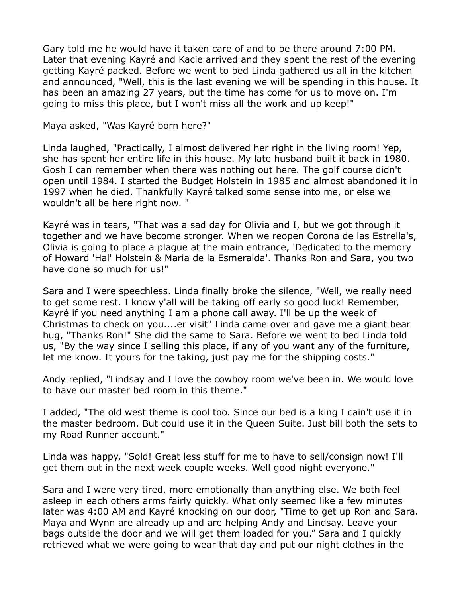Gary told me he would have it taken care of and to be there around 7:00 PM. Later that evening Kayré and Kacie arrived and they spent the rest of the evening getting Kayré packed. Before we went to bed Linda gathered us all in the kitchen and announced, "Well, this is the last evening we will be spending in this house. It has been an amazing 27 years, but the time has come for us to move on. I'm going to miss this place, but I won't miss all the work and up keep!"

Maya asked, "Was Kayré born here?"

Linda laughed, "Practically, I almost delivered her right in the living room! Yep, she has spent her entire life in this house. My late husband built it back in 1980. Gosh I can remember when there was nothing out here. The golf course didn't open until 1984. I started the Budget Holstein in 1985 and almost abandoned it in 1997 when he died. Thankfully Kayré talked some sense into me, or else we wouldn't all be here right now. "

Kayré was in tears, "That was a sad day for Olivia and I, but we got through it together and we have become stronger. When we reopen Corona de las Estrella's, Olivia is going to place a plague at the main entrance, 'Dedicated to the memory of Howard 'Hal' Holstein & Maria de la Esmeralda'. Thanks Ron and Sara, you two have done so much for us!"

Sara and I were speechless. Linda finally broke the silence, "Well, we really need to get some rest. I know y'all will be taking off early so good luck! Remember, Kayré if you need anything I am a phone call away. I'll be up the week of Christmas to check on you....er visit" Linda came over and gave me a giant bear hug, "Thanks Ron!" She did the same to Sara. Before we went to bed Linda told us, "By the way since I selling this place, if any of you want any of the furniture, let me know. It yours for the taking, just pay me for the shipping costs."

Andy replied, "Lindsay and I love the cowboy room we've been in. We would love to have our master bed room in this theme."

I added, "The old west theme is cool too. Since our bed is a king I cain't use it in the master bedroom. But could use it in the Queen Suite. Just bill both the sets to my Road Runner account."

Linda was happy, "Sold! Great less stuff for me to have to sell/consign now! I'll get them out in the next week couple weeks. Well good night everyone."

Sara and I were very tired, more emotionally than anything else. We both feel asleep in each others arms fairly quickly. What only seemed like a few minutes later was 4:00 AM and Kayré knocking on our door, "Time to get up Ron and Sara. Maya and Wynn are already up and are helping Andy and Lindsay. Leave your bags outside the door and we will get them loaded for you." Sara and I quickly retrieved what we were going to wear that day and put our night clothes in the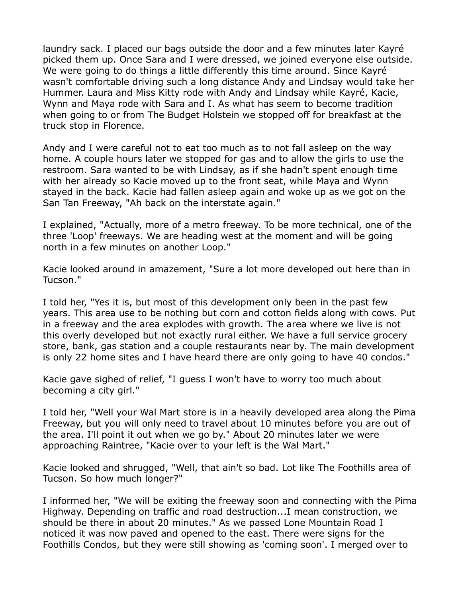laundry sack. I placed our bags outside the door and a few minutes later Kayré picked them up. Once Sara and I were dressed, we joined everyone else outside. We were going to do things a little differently this time around. Since Kayré wasn't comfortable driving such a long distance Andy and Lindsay would take her Hummer. Laura and Miss Kitty rode with Andy and Lindsay while Kayré, Kacie, Wynn and Maya rode with Sara and I. As what has seem to become tradition when going to or from The Budget Holstein we stopped off for breakfast at the truck stop in Florence.

Andy and I were careful not to eat too much as to not fall asleep on the way home. A couple hours later we stopped for gas and to allow the girls to use the restroom. Sara wanted to be with Lindsay, as if she hadn't spent enough time with her already so Kacie moved up to the front seat, while Maya and Wynn stayed in the back. Kacie had fallen asleep again and woke up as we got on the San Tan Freeway, "Ah back on the interstate again."

I explained, "Actually, more of a metro freeway. To be more technical, one of the three 'Loop' freeways. We are heading west at the moment and will be going north in a few minutes on another Loop."

Kacie looked around in amazement, "Sure a lot more developed out here than in Tucson."

I told her, "Yes it is, but most of this development only been in the past few years. This area use to be nothing but corn and cotton fields along with cows. Put in a freeway and the area explodes with growth. The area where we live is not this overly developed but not exactly rural either. We have a full service grocery store, bank, gas station and a couple restaurants near by. The main development is only 22 home sites and I have heard there are only going to have 40 condos."

Kacie gave sighed of relief, "I guess I won't have to worry too much about becoming a city girl."

I told her, "Well your Wal Mart store is in a heavily developed area along the Pima Freeway, but you will only need to travel about 10 minutes before you are out of the area. I'll point it out when we go by." About 20 minutes later we were approaching Raintree, "Kacie over to your left is the Wal Mart."

Kacie looked and shrugged, "Well, that ain't so bad. Lot like The Foothills area of Tucson. So how much longer?"

I informed her, "We will be exiting the freeway soon and connecting with the Pima Highway. Depending on traffic and road destruction...I mean construction, we should be there in about 20 minutes." As we passed Lone Mountain Road I noticed it was now paved and opened to the east. There were signs for the Foothills Condos, but they were still showing as 'coming soon'. I merged over to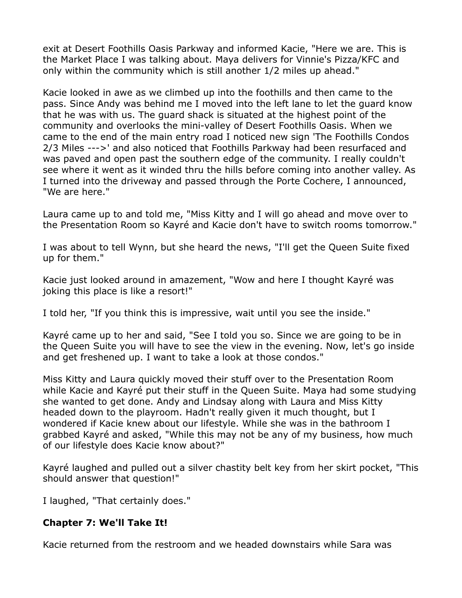exit at Desert Foothills Oasis Parkway and informed Kacie, "Here we are. This is the Market Place I was talking about. Maya delivers for Vinnie's Pizza/KFC and only within the community which is still another 1/2 miles up ahead."

Kacie looked in awe as we climbed up into the foothills and then came to the pass. Since Andy was behind me I moved into the left lane to let the guard know that he was with us. The guard shack is situated at the highest point of the community and overlooks the mini-valley of Desert Foothills Oasis. When we came to the end of the main entry road I noticed new sign 'The Foothills Condos 2/3 Miles --->' and also noticed that Foothills Parkway had been resurfaced and was paved and open past the southern edge of the community. I really couldn't see where it went as it winded thru the hills before coming into another valley. As I turned into the driveway and passed through the Porte Cochere, I announced, "We are here."

Laura came up to and told me, "Miss Kitty and I will go ahead and move over to the Presentation Room so Kayré and Kacie don't have to switch rooms tomorrow."

I was about to tell Wynn, but she heard the news, "I'll get the Queen Suite fixed up for them."

Kacie just looked around in amazement, "Wow and here I thought Kayré was joking this place is like a resort!"

I told her, "If you think this is impressive, wait until you see the inside."

Kayré came up to her and said, "See I told you so. Since we are going to be in the Queen Suite you will have to see the view in the evening. Now, let's go inside and get freshened up. I want to take a look at those condos."

Miss Kitty and Laura quickly moved their stuff over to the Presentation Room while Kacie and Kayré put their stuff in the Queen Suite. Maya had some studying she wanted to get done. Andy and Lindsay along with Laura and Miss Kitty headed down to the playroom. Hadn't really given it much thought, but I wondered if Kacie knew about our lifestyle. While she was in the bathroom I grabbed Kayré and asked, "While this may not be any of my business, how much of our lifestyle does Kacie know about?"

Kayré laughed and pulled out a silver chastity belt key from her skirt pocket, "This should answer that question!"

I laughed, "That certainly does."

## **Chapter 7: We'll Take It!**

Kacie returned from the restroom and we headed downstairs while Sara was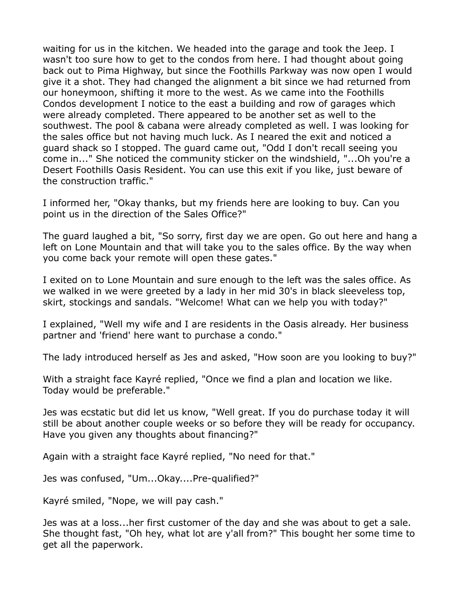waiting for us in the kitchen. We headed into the garage and took the Jeep. I wasn't too sure how to get to the condos from here. I had thought about going back out to Pima Highway, but since the Foothills Parkway was now open I would give it a shot. They had changed the alignment a bit since we had returned from our honeymoon, shifting it more to the west. As we came into the Foothills Condos development I notice to the east a building and row of garages which were already completed. There appeared to be another set as well to the southwest. The pool & cabana were already completed as well. I was looking for the sales office but not having much luck. As I neared the exit and noticed a guard shack so I stopped. The guard came out, "Odd I don't recall seeing you come in..." She noticed the community sticker on the windshield, "...Oh you're a Desert Foothills Oasis Resident. You can use this exit if you like, just beware of the construction traffic."

I informed her, "Okay thanks, but my friends here are looking to buy. Can you point us in the direction of the Sales Office?"

The guard laughed a bit, "So sorry, first day we are open. Go out here and hang a left on Lone Mountain and that will take you to the sales office. By the way when you come back your remote will open these gates."

I exited on to Lone Mountain and sure enough to the left was the sales office. As we walked in we were greeted by a lady in her mid 30's in black sleeveless top, skirt, stockings and sandals. "Welcome! What can we help you with today?"

I explained, "Well my wife and I are residents in the Oasis already. Her business partner and 'friend' here want to purchase a condo."

The lady introduced herself as Jes and asked, "How soon are you looking to buy?"

With a straight face Kayré replied, "Once we find a plan and location we like. Today would be preferable."

Jes was ecstatic but did let us know, "Well great. If you do purchase today it will still be about another couple weeks or so before they will be ready for occupancy. Have you given any thoughts about financing?"

Again with a straight face Kayré replied, "No need for that."

Jes was confused, "Um...Okay....Pre-qualified?"

Kayré smiled, "Nope, we will pay cash."

Jes was at a loss...her first customer of the day and she was about to get a sale. She thought fast, "Oh hey, what lot are y'all from?" This bought her some time to get all the paperwork.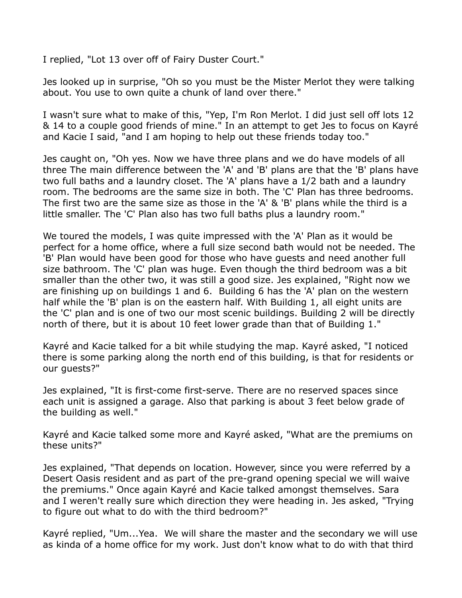I replied, "Lot 13 over off of Fairy Duster Court."

Jes looked up in surprise, "Oh so you must be the Mister Merlot they were talking about. You use to own quite a chunk of land over there."

I wasn't sure what to make of this, "Yep, I'm Ron Merlot. I did just sell off lots 12 & 14 to a couple good friends of mine." In an attempt to get Jes to focus on Kayré and Kacie I said, "and I am hoping to help out these friends today too."

Jes caught on, "Oh yes. Now we have three plans and we do have models of all three The main difference between the 'A' and 'B' plans are that the 'B' plans have two full baths and a laundry closet. The 'A' plans have a 1/2 bath and a laundry room. The bedrooms are the same size in both. The 'C' Plan has three bedrooms. The first two are the same size as those in the 'A' & 'B' plans while the third is a little smaller. The 'C' Plan also has two full baths plus a laundry room."

We toured the models, I was quite impressed with the 'A' Plan as it would be perfect for a home office, where a full size second bath would not be needed. The 'B' Plan would have been good for those who have guests and need another full size bathroom. The 'C' plan was huge. Even though the third bedroom was a bit smaller than the other two, it was still a good size. Jes explained, "Right now we are finishing up on buildings 1 and 6. Building 6 has the 'A' plan on the western half while the 'B' plan is on the eastern half. With Building 1, all eight units are the 'C' plan and is one of two our most scenic buildings. Building 2 will be directly north of there, but it is about 10 feet lower grade than that of Building 1."

Kayré and Kacie talked for a bit while studying the map. Kayré asked, "I noticed there is some parking along the north end of this building, is that for residents or our guests?"

Jes explained, "It is first-come first-serve. There are no reserved spaces since each unit is assigned a garage. Also that parking is about 3 feet below grade of the building as well."

Kayré and Kacie talked some more and Kayré asked, "What are the premiums on these units?"

Jes explained, "That depends on location. However, since you were referred by a Desert Oasis resident and as part of the pre-grand opening special we will waive the premiums." Once again Kayré and Kacie talked amongst themselves. Sara and I weren't really sure which direction they were heading in. Jes asked, "Trying to figure out what to do with the third bedroom?"

Kayré replied, "Um...Yea. We will share the master and the secondary we will use as kinda of a home office for my work. Just don't know what to do with that third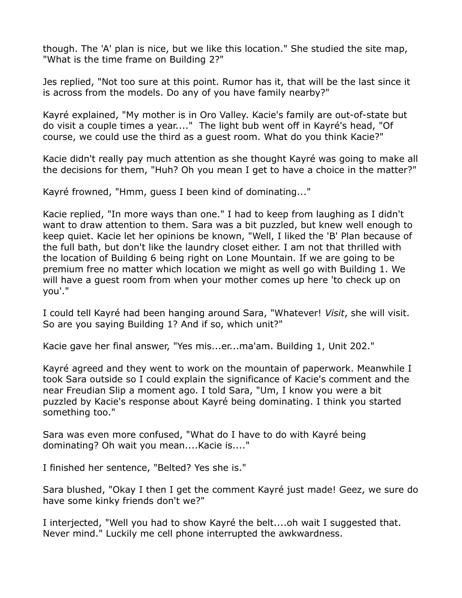though. The 'A' plan is nice, but we like this location." She studied the site map, "What is the time frame on Building 2?"

Jes replied, "Not too sure at this point. Rumor has it, that will be the last since it is across from the models. Do any of you have family nearby?"

Kayré explained, "My mother is in Oro Valley. Kacie's family are out-of-state but do visit a couple times a year...." The light bub went off in Kayré's head, "Of course, we could use the third as a guest room. What do you think Kacie?"

Kacie didn't really pay much attention as she thought Kayré was going to make all the decisions for them, "Huh? Oh you mean I get to have a choice in the matter?"

Kayré frowned, "Hmm, guess I been kind of dominating..."

Kacie replied, "In more ways than one." I had to keep from laughing as I didn't want to draw attention to them. Sara was a bit puzzled, but knew well enough to keep quiet. Kacie let her opinions be known, "Well, I liked the 'B' Plan because of the full bath, but don't like the laundry closet either. I am not that thrilled with the location of Building 6 being right on Lone Mountain. If we are going to be premium free no matter which location we might as well go with Building 1. We will have a guest room from when your mother comes up here 'to check up on you'."

I could tell Kayré had been hanging around Sara, "Whatever! *Visit*, she will visit. So are you saying Building 1? And if so, which unit?"

Kacie gave her final answer, "Yes mis...er...ma'am. Building 1, Unit 202."

Kayré agreed and they went to work on the mountain of paperwork. Meanwhile I took Sara outside so I could explain the significance of Kacie's comment and the near Freudian Slip a moment ago. I told Sara, "Um, I know you were a bit puzzled by Kacie's response about Kayré being dominating. I think you started something too."

Sara was even more confused, "What do I have to do with Kayré being dominating? Oh wait you mean....Kacie is...."

I finished her sentence, "Belted? Yes she is."

Sara blushed, "Okay I then I get the comment Kayré just made! Geez, we sure do have some kinky friends don't we?"

I interjected, "Well you had to show Kayré the belt....oh wait I suggested that. Never mind." Luckily me cell phone interrupted the awkwardness.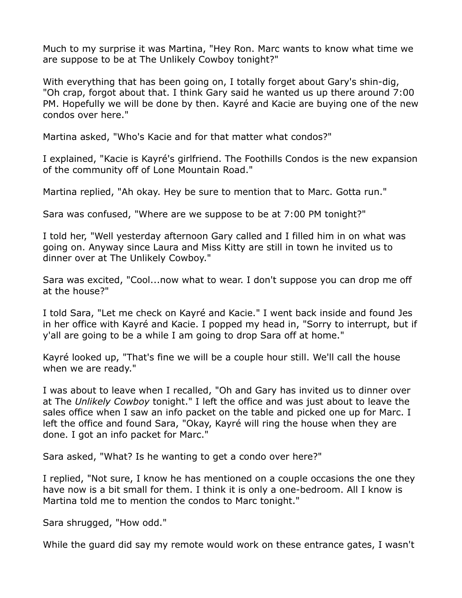Much to my surprise it was Martina, "Hey Ron. Marc wants to know what time we are suppose to be at The Unlikely Cowboy tonight?"

With everything that has been going on, I totally forget about Gary's shin-dig, "Oh crap, forgot about that. I think Gary said he wanted us up there around 7:00 PM. Hopefully we will be done by then. Kayré and Kacie are buying one of the new condos over here."

Martina asked, "Who's Kacie and for that matter what condos?"

I explained, "Kacie is Kayré's girlfriend. The Foothills Condos is the new expansion of the community off of Lone Mountain Road."

Martina replied, "Ah okay. Hey be sure to mention that to Marc. Gotta run."

Sara was confused, "Where are we suppose to be at 7:00 PM tonight?"

I told her, "Well yesterday afternoon Gary called and I filled him in on what was going on. Anyway since Laura and Miss Kitty are still in town he invited us to dinner over at The Unlikely Cowboy."

Sara was excited, "Cool...now what to wear. I don't suppose you can drop me off at the house?"

I told Sara, "Let me check on Kayré and Kacie." I went back inside and found Jes in her office with Kayré and Kacie. I popped my head in, "Sorry to interrupt, but if y'all are going to be a while I am going to drop Sara off at home."

Kayré looked up, "That's fine we will be a couple hour still. We'll call the house when we are ready."

I was about to leave when I recalled, "Oh and Gary has invited us to dinner over at The *Unlikely Cowboy* tonight." I left the office and was just about to leave the sales office when I saw an info packet on the table and picked one up for Marc. I left the office and found Sara, "Okay, Kayré will ring the house when they are done. I got an info packet for Marc."

Sara asked, "What? Is he wanting to get a condo over here?"

I replied, "Not sure, I know he has mentioned on a couple occasions the one they have now is a bit small for them. I think it is only a one-bedroom. All I know is Martina told me to mention the condos to Marc tonight."

Sara shrugged, "How odd."

While the guard did say my remote would work on these entrance gates, I wasn't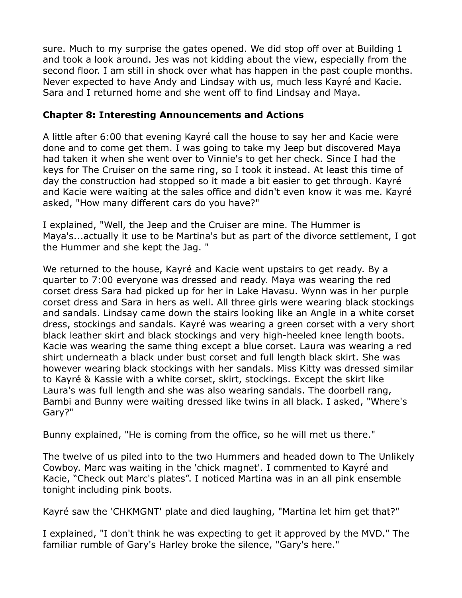sure. Much to my surprise the gates opened. We did stop off over at Building 1 and took a look around. Jes was not kidding about the view, especially from the second floor. I am still in shock over what has happen in the past couple months. Never expected to have Andy and Lindsay with us, much less Kayré and Kacie. Sara and I returned home and she went off to find Lindsay and Maya.

#### **Chapter 8: Interesting Announcements and Actions**

A little after 6:00 that evening Kayré call the house to say her and Kacie were done and to come get them. I was going to take my Jeep but discovered Maya had taken it when she went over to Vinnie's to get her check. Since I had the keys for The Cruiser on the same ring, so I took it instead. At least this time of day the construction had stopped so it made a bit easier to get through. Kayré and Kacie were waiting at the sales office and didn't even know it was me. Kayré asked, "How many different cars do you have?"

I explained, "Well, the Jeep and the Cruiser are mine. The Hummer is Maya's...actually it use to be Martina's but as part of the divorce settlement, I got the Hummer and she kept the Jag. "

We returned to the house, Kayré and Kacie went upstairs to get ready. By a quarter to 7:00 everyone was dressed and ready. Maya was wearing the red corset dress Sara had picked up for her in Lake Havasu. Wynn was in her purple corset dress and Sara in hers as well. All three girls were wearing black stockings and sandals. Lindsay came down the stairs looking like an Angle in a white corset dress, stockings and sandals. Kayré was wearing a green corset with a very short black leather skirt and black stockings and very high-heeled knee length boots. Kacie was wearing the same thing except a blue corset. Laura was wearing a red shirt underneath a black under bust corset and full length black skirt. She was however wearing black stockings with her sandals. Miss Kitty was dressed similar to Kayré & Kassie with a white corset, skirt, stockings. Except the skirt like Laura's was full length and she was also wearing sandals. The doorbell rang, Bambi and Bunny were waiting dressed like twins in all black. I asked, "Where's Gary?"

Bunny explained, "He is coming from the office, so he will met us there."

The twelve of us piled into to the two Hummers and headed down to The Unlikely Cowboy. Marc was waiting in the 'chick magnet'. I commented to Kayré and Kacie, "Check out Marc's plates". I noticed Martina was in an all pink ensemble tonight including pink boots.

Kayré saw the 'CHKMGNT' plate and died laughing, "Martina let him get that?"

I explained, "I don't think he was expecting to get it approved by the MVD." The familiar rumble of Gary's Harley broke the silence, "Gary's here."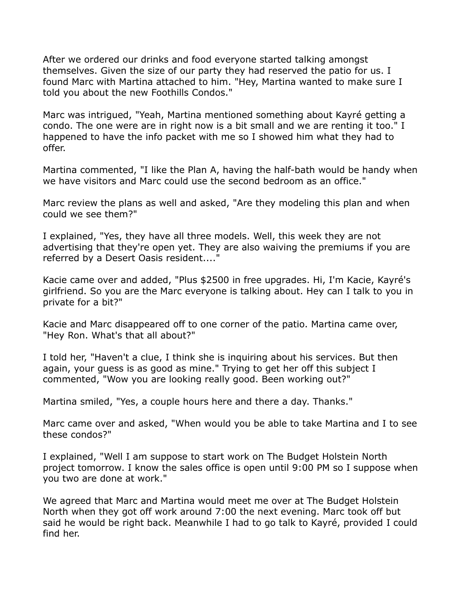After we ordered our drinks and food everyone started talking amongst themselves. Given the size of our party they had reserved the patio for us. I found Marc with Martina attached to him. "Hey, Martina wanted to make sure I told you about the new Foothills Condos."

Marc was intrigued, "Yeah, Martina mentioned something about Kayré getting a condo. The one were are in right now is a bit small and we are renting it too." I happened to have the info packet with me so I showed him what they had to offer.

Martina commented, "I like the Plan A, having the half-bath would be handy when we have visitors and Marc could use the second bedroom as an office."

Marc review the plans as well and asked, "Are they modeling this plan and when could we see them?"

I explained, "Yes, they have all three models. Well, this week they are not advertising that they're open yet. They are also waiving the premiums if you are referred by a Desert Oasis resident...."

Kacie came over and added, "Plus \$2500 in free upgrades. Hi, I'm Kacie, Kayré's girlfriend. So you are the Marc everyone is talking about. Hey can I talk to you in private for a bit?"

Kacie and Marc disappeared off to one corner of the patio. Martina came over, "Hey Ron. What's that all about?"

I told her, "Haven't a clue, I think she is inquiring about his services. But then again, your guess is as good as mine." Trying to get her off this subject I commented, "Wow you are looking really good. Been working out?"

Martina smiled, "Yes, a couple hours here and there a day. Thanks."

Marc came over and asked, "When would you be able to take Martina and I to see these condos?"

I explained, "Well I am suppose to start work on The Budget Holstein North project tomorrow. I know the sales office is open until 9:00 PM so I suppose when you two are done at work."

We agreed that Marc and Martina would meet me over at The Budget Holstein North when they got off work around 7:00 the next evening. Marc took off but said he would be right back. Meanwhile I had to go talk to Kayré, provided I could find her.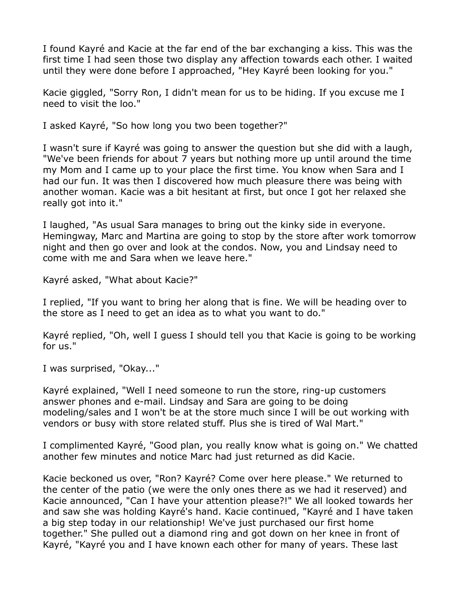I found Kayré and Kacie at the far end of the bar exchanging a kiss. This was the first time I had seen those two display any affection towards each other. I waited until they were done before I approached, "Hey Kayré been looking for you."

Kacie giggled, "Sorry Ron, I didn't mean for us to be hiding. If you excuse me I need to visit the loo."

I asked Kayré, "So how long you two been together?"

I wasn't sure if Kayré was going to answer the question but she did with a laugh, "We've been friends for about 7 years but nothing more up until around the time my Mom and I came up to your place the first time. You know when Sara and I had our fun. It was then I discovered how much pleasure there was being with another woman. Kacie was a bit hesitant at first, but once I got her relaxed she really got into it."

I laughed, "As usual Sara manages to bring out the kinky side in everyone. Hemingway, Marc and Martina are going to stop by the store after work tomorrow night and then go over and look at the condos. Now, you and Lindsay need to come with me and Sara when we leave here."

Kayré asked, "What about Kacie?"

I replied, "If you want to bring her along that is fine. We will be heading over to the store as I need to get an idea as to what you want to do."

Kayré replied, "Oh, well I guess I should tell you that Kacie is going to be working for us."

I was surprised, "Okay..."

Kayré explained, "Well I need someone to run the store, ring-up customers answer phones and e-mail. Lindsay and Sara are going to be doing modeling/sales and I won't be at the store much since I will be out working with vendors or busy with store related stuff. Plus she is tired of Wal Mart."

I complimented Kayré, "Good plan, you really know what is going on." We chatted another few minutes and notice Marc had just returned as did Kacie.

Kacie beckoned us over, "Ron? Kayré? Come over here please." We returned to the center of the patio (we were the only ones there as we had it reserved) and Kacie announced, "Can I have your attention please?!" We all looked towards her and saw she was holding Kayré's hand. Kacie continued, "Kayré and I have taken a big step today in our relationship! We've just purchased our first home together." She pulled out a diamond ring and got down on her knee in front of Kayré, "Kayré you and I have known each other for many of years. These last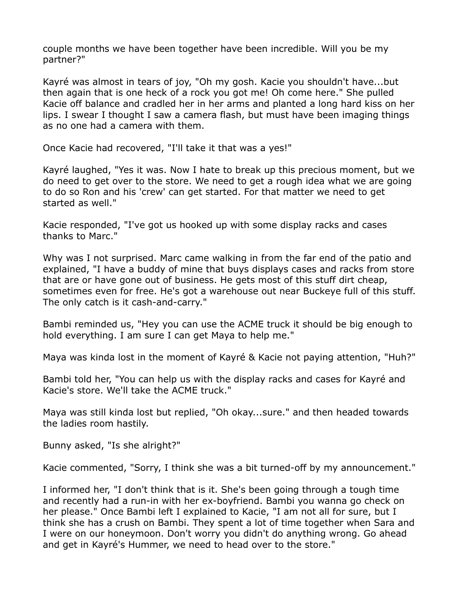couple months we have been together have been incredible. Will you be my partner?"

Kayré was almost in tears of joy, "Oh my gosh. Kacie you shouldn't have...but then again that is one heck of a rock you got me! Oh come here." She pulled Kacie off balance and cradled her in her arms and planted a long hard kiss on her lips. I swear I thought I saw a camera flash, but must have been imaging things as no one had a camera with them.

Once Kacie had recovered, "I'll take it that was a yes!"

Kayré laughed, "Yes it was. Now I hate to break up this precious moment, but we do need to get over to the store. We need to get a rough idea what we are going to do so Ron and his 'crew' can get started. For that matter we need to get started as well."

Kacie responded, "I've got us hooked up with some display racks and cases thanks to Marc."

Why was I not surprised. Marc came walking in from the far end of the patio and explained, "I have a buddy of mine that buys displays cases and racks from store that are or have gone out of business. He gets most of this stuff dirt cheap, sometimes even for free. He's got a warehouse out near Buckeye full of this stuff. The only catch is it cash-and-carry."

Bambi reminded us, "Hey you can use the ACME truck it should be big enough to hold everything. I am sure I can get Maya to help me."

Maya was kinda lost in the moment of Kayré & Kacie not paying attention, "Huh?"

Bambi told her, "You can help us with the display racks and cases for Kayré and Kacie's store. We'll take the ACME truck."

Maya was still kinda lost but replied, "Oh okay...sure." and then headed towards the ladies room hastily.

Bunny asked, "Is she alright?"

Kacie commented, "Sorry, I think she was a bit turned-off by my announcement."

I informed her, "I don't think that is it. She's been going through a tough time and recently had a run-in with her ex-boyfriend. Bambi you wanna go check on her please." Once Bambi left I explained to Kacie, "I am not all for sure, but I think she has a crush on Bambi. They spent a lot of time together when Sara and I were on our honeymoon. Don't worry you didn't do anything wrong. Go ahead and get in Kayré's Hummer, we need to head over to the store."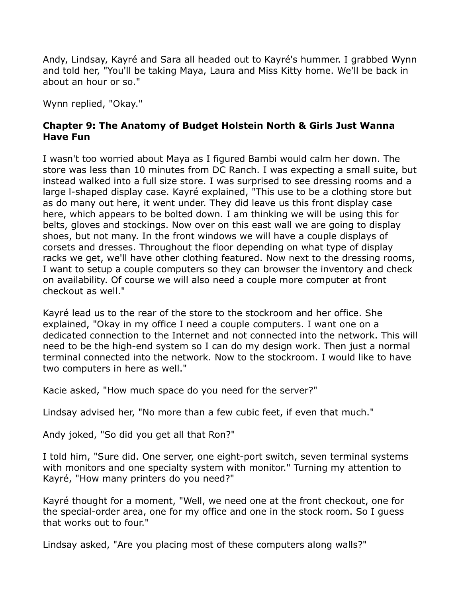Andy, Lindsay, Kayré and Sara all headed out to Kayré's hummer. I grabbed Wynn and told her, "You'll be taking Maya, Laura and Miss Kitty home. We'll be back in about an hour or so."

Wynn replied, "Okay."

## **Chapter 9: The Anatomy of Budget Holstein North & Girls Just Wanna Have Fun**

I wasn't too worried about Maya as I figured Bambi would calm her down. The store was less than 10 minutes from DC Ranch. I was expecting a small suite, but instead walked into a full size store. I was surprised to see dressing rooms and a large l-shaped display case. Kayré explained, "This use to be a clothing store but as do many out here, it went under. They did leave us this front display case here, which appears to be bolted down. I am thinking we will be using this for belts, gloves and stockings. Now over on this east wall we are going to display shoes, but not many. In the front windows we will have a couple displays of corsets and dresses. Throughout the floor depending on what type of display racks we get, we'll have other clothing featured. Now next to the dressing rooms, I want to setup a couple computers so they can browser the inventory and check on availability. Of course we will also need a couple more computer at front checkout as well."

Kayré lead us to the rear of the store to the stockroom and her office. She explained, "Okay in my office I need a couple computers. I want one on a dedicated connection to the Internet and not connected into the network. This will need to be the high-end system so I can do my design work. Then just a normal terminal connected into the network. Now to the stockroom. I would like to have two computers in here as well."

Kacie asked, "How much space do you need for the server?"

Lindsay advised her, "No more than a few cubic feet, if even that much."

Andy joked, "So did you get all that Ron?"

I told him, "Sure did. One server, one eight-port switch, seven terminal systems with monitors and one specialty system with monitor." Turning my attention to Kayré, "How many printers do you need?"

Kayré thought for a moment, "Well, we need one at the front checkout, one for the special-order area, one for my office and one in the stock room. So I guess that works out to four."

Lindsay asked, "Are you placing most of these computers along walls?"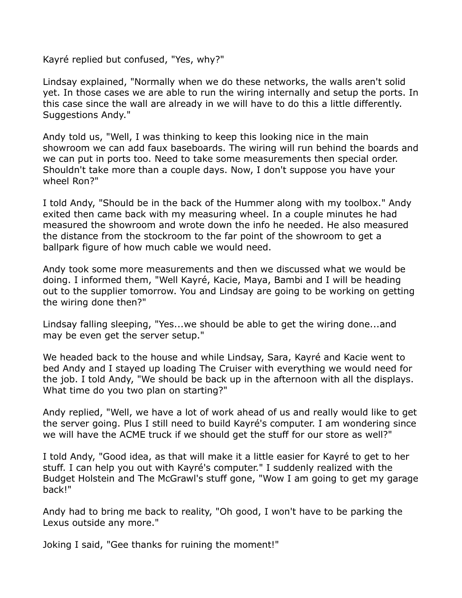Kayré replied but confused, "Yes, why?"

Lindsay explained, "Normally when we do these networks, the walls aren't solid yet. In those cases we are able to run the wiring internally and setup the ports. In this case since the wall are already in we will have to do this a little differently. Suggestions Andy."

Andy told us, "Well, I was thinking to keep this looking nice in the main showroom we can add faux baseboards. The wiring will run behind the boards and we can put in ports too. Need to take some measurements then special order. Shouldn't take more than a couple days. Now, I don't suppose you have your wheel Ron?"

I told Andy, "Should be in the back of the Hummer along with my toolbox." Andy exited then came back with my measuring wheel. In a couple minutes he had measured the showroom and wrote down the info he needed. He also measured the distance from the stockroom to the far point of the showroom to get a ballpark figure of how much cable we would need.

Andy took some more measurements and then we discussed what we would be doing. I informed them, "Well Kayré, Kacie, Maya, Bambi and I will be heading out to the supplier tomorrow. You and Lindsay are going to be working on getting the wiring done then?"

Lindsay falling sleeping, "Yes...we should be able to get the wiring done...and may be even get the server setup."

We headed back to the house and while Lindsay, Sara, Kayré and Kacie went to bed Andy and I stayed up loading The Cruiser with everything we would need for the job. I told Andy, "We should be back up in the afternoon with all the displays. What time do you two plan on starting?"

Andy replied, "Well, we have a lot of work ahead of us and really would like to get the server going. Plus I still need to build Kayré's computer. I am wondering since we will have the ACME truck if we should get the stuff for our store as well?"

I told Andy, "Good idea, as that will make it a little easier for Kayré to get to her stuff. I can help you out with Kayré's computer." I suddenly realized with the Budget Holstein and The McGrawl's stuff gone, "Wow I am going to get my garage back!"

Andy had to bring me back to reality, "Oh good, I won't have to be parking the Lexus outside any more."

Joking I said, "Gee thanks for ruining the moment!"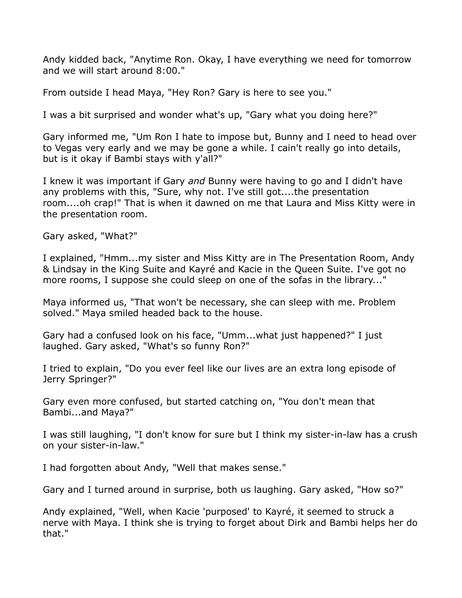Andy kidded back, "Anytime Ron. Okay, I have everything we need for tomorrow and we will start around 8:00."

From outside I head Maya, "Hey Ron? Gary is here to see you."

I was a bit surprised and wonder what's up, "Gary what you doing here?"

Gary informed me, "Um Ron I hate to impose but, Bunny and I need to head over to Vegas very early and we may be gone a while. I cain't really go into details, but is it okay if Bambi stays with y'all?"

I knew it was important if Gary *and* Bunny were having to go and I didn't have any problems with this, "Sure, why not. I've still got....the presentation room....oh crap!" That is when it dawned on me that Laura and Miss Kitty were in the presentation room.

Gary asked, "What?"

I explained, "Hmm...my sister and Miss Kitty are in The Presentation Room, Andy & Lindsay in the King Suite and Kayré and Kacie in the Queen Suite. I've got no more rooms, I suppose she could sleep on one of the sofas in the library..."

Maya informed us, "That won't be necessary, she can sleep with me. Problem solved." Maya smiled headed back to the house.

Gary had a confused look on his face, "Umm...what just happened?" I just laughed. Gary asked, "What's so funny Ron?"

I tried to explain, "Do you ever feel like our lives are an extra long episode of Jerry Springer?"

Gary even more confused, but started catching on, "You don't mean that Bambi...and Maya?"

I was still laughing, "I don't know for sure but I think my sister-in-law has a crush on your sister-in-law."

I had forgotten about Andy, "Well that makes sense."

Gary and I turned around in surprise, both us laughing. Gary asked, "How so?"

Andy explained, "Well, when Kacie 'purposed' to Kayré, it seemed to struck a nerve with Maya. I think she is trying to forget about Dirk and Bambi helps her do that."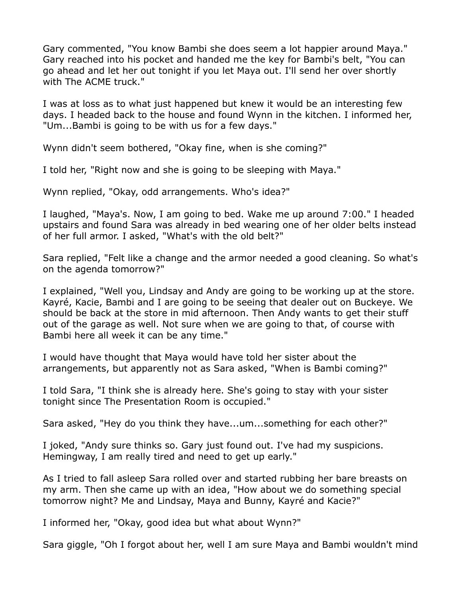Gary commented, "You know Bambi she does seem a lot happier around Maya." Gary reached into his pocket and handed me the key for Bambi's belt, "You can go ahead and let her out tonight if you let Maya out. I'll send her over shortly with The ACME truck."

I was at loss as to what just happened but knew it would be an interesting few days. I headed back to the house and found Wynn in the kitchen. I informed her, "Um...Bambi is going to be with us for a few days."

Wynn didn't seem bothered, "Okay fine, when is she coming?"

I told her, "Right now and she is going to be sleeping with Maya."

Wynn replied, "Okay, odd arrangements. Who's idea?"

I laughed, "Maya's. Now, I am going to bed. Wake me up around 7:00." I headed upstairs and found Sara was already in bed wearing one of her older belts instead of her full armor. I asked, "What's with the old belt?"

Sara replied, "Felt like a change and the armor needed a good cleaning. So what's on the agenda tomorrow?"

I explained, "Well you, Lindsay and Andy are going to be working up at the store. Kayré, Kacie, Bambi and I are going to be seeing that dealer out on Buckeye. We should be back at the store in mid afternoon. Then Andy wants to get their stuff out of the garage as well. Not sure when we are going to that, of course with Bambi here all week it can be any time."

I would have thought that Maya would have told her sister about the arrangements, but apparently not as Sara asked, "When is Bambi coming?"

I told Sara, "I think she is already here. She's going to stay with your sister tonight since The Presentation Room is occupied."

Sara asked, "Hey do you think they have...um...something for each other?"

I joked, "Andy sure thinks so. Gary just found out. I've had my suspicions. Hemingway, I am really tired and need to get up early."

As I tried to fall asleep Sara rolled over and started rubbing her bare breasts on my arm. Then she came up with an idea, "How about we do something special tomorrow night? Me and Lindsay, Maya and Bunny, Kayré and Kacie?"

I informed her, "Okay, good idea but what about Wynn?"

Sara giggle, "Oh I forgot about her, well I am sure Maya and Bambi wouldn't mind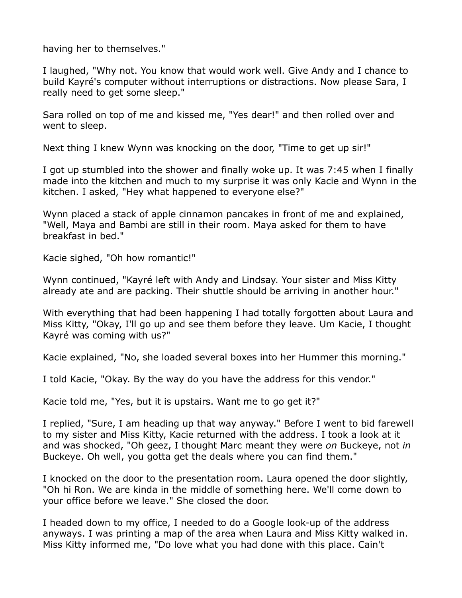having her to themselves."

I laughed, "Why not. You know that would work well. Give Andy and I chance to build Kayré's computer without interruptions or distractions. Now please Sara, I really need to get some sleep."

Sara rolled on top of me and kissed me, "Yes dear!" and then rolled over and went to sleep.

Next thing I knew Wynn was knocking on the door, "Time to get up sir!"

I got up stumbled into the shower and finally woke up. It was 7:45 when I finally made into the kitchen and much to my surprise it was only Kacie and Wynn in the kitchen. I asked, "Hey what happened to everyone else?"

Wynn placed a stack of apple cinnamon pancakes in front of me and explained, "Well, Maya and Bambi are still in their room. Maya asked for them to have breakfast in bed."

Kacie sighed, "Oh how romantic!"

Wynn continued, "Kayré left with Andy and Lindsay. Your sister and Miss Kitty already ate and are packing. Their shuttle should be arriving in another hour."

With everything that had been happening I had totally forgotten about Laura and Miss Kitty, "Okay, I'll go up and see them before they leave. Um Kacie, I thought Kayré was coming with us?"

Kacie explained, "No, she loaded several boxes into her Hummer this morning."

I told Kacie, "Okay. By the way do you have the address for this vendor."

Kacie told me, "Yes, but it is upstairs. Want me to go get it?"

I replied, "Sure, I am heading up that way anyway." Before I went to bid farewell to my sister and Miss Kitty, Kacie returned with the address. I took a look at it and was shocked, "Oh geez, I thought Marc meant they were *on* Buckeye, not *in*  Buckeye. Oh well, you gotta get the deals where you can find them."

I knocked on the door to the presentation room. Laura opened the door slightly, "Oh hi Ron. We are kinda in the middle of something here. We'll come down to your office before we leave." She closed the door.

I headed down to my office, I needed to do a Google look-up of the address anyways. I was printing a map of the area when Laura and Miss Kitty walked in. Miss Kitty informed me, "Do love what you had done with this place. Cain't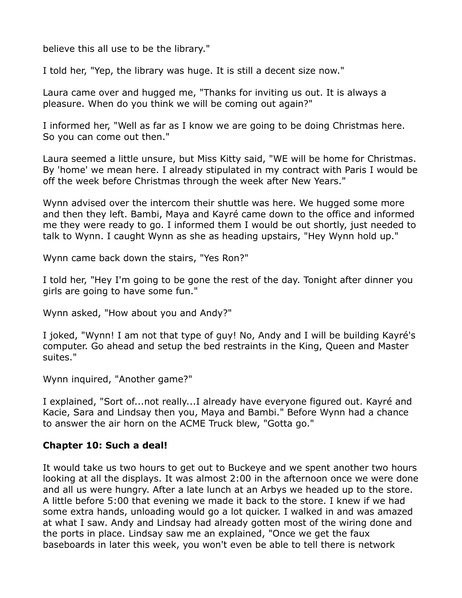believe this all use to be the library."

I told her, "Yep, the library was huge. It is still a decent size now."

Laura came over and hugged me, "Thanks for inviting us out. It is always a pleasure. When do you think we will be coming out again?"

I informed her, "Well as far as I know we are going to be doing Christmas here. So you can come out then."

Laura seemed a little unsure, but Miss Kitty said, "WE will be home for Christmas. By 'home' we mean here. I already stipulated in my contract with Paris I would be off the week before Christmas through the week after New Years."

Wynn advised over the intercom their shuttle was here. We hugged some more and then they left. Bambi, Maya and Kayré came down to the office and informed me they were ready to go. I informed them I would be out shortly, just needed to talk to Wynn. I caught Wynn as she as heading upstairs, "Hey Wynn hold up."

Wynn came back down the stairs, "Yes Ron?"

I told her, "Hey I'm going to be gone the rest of the day. Tonight after dinner you girls are going to have some fun."

Wynn asked, "How about you and Andy?"

I joked, "Wynn! I am not that type of guy! No, Andy and I will be building Kayré's computer. Go ahead and setup the bed restraints in the King, Queen and Master suites."

Wynn inquired, "Another game?"

I explained, "Sort of...not really...I already have everyone figured out. Kayré and Kacie, Sara and Lindsay then you, Maya and Bambi." Before Wynn had a chance to answer the air horn on the ACME Truck blew, "Gotta go."

## **Chapter 10: Such a deal!**

It would take us two hours to get out to Buckeye and we spent another two hours looking at all the displays. It was almost 2:00 in the afternoon once we were done and all us were hungry. After a late lunch at an Arbys we headed up to the store. A little before 5:00 that evening we made it back to the store. I knew if we had some extra hands, unloading would go a lot quicker. I walked in and was amazed at what I saw. Andy and Lindsay had already gotten most of the wiring done and the ports in place. Lindsay saw me an explained, "Once we get the faux baseboards in later this week, you won't even be able to tell there is network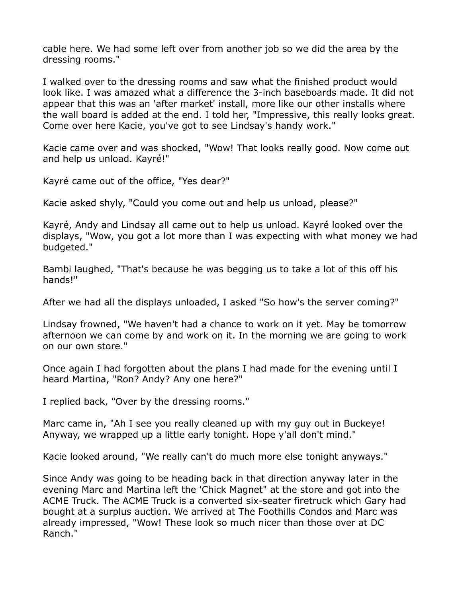cable here. We had some left over from another job so we did the area by the dressing rooms."

I walked over to the dressing rooms and saw what the finished product would look like. I was amazed what a difference the 3-inch baseboards made. It did not appear that this was an 'after market' install, more like our other installs where the wall board is added at the end. I told her, "Impressive, this really looks great. Come over here Kacie, you've got to see Lindsay's handy work."

Kacie came over and was shocked, "Wow! That looks really good. Now come out and help us unload. Kayré!"

Kayré came out of the office, "Yes dear?"

Kacie asked shyly, "Could you come out and help us unload, please?"

Kayré, Andy and Lindsay all came out to help us unload. Kayré looked over the displays, "Wow, you got a lot more than I was expecting with what money we had budgeted."

Bambi laughed, "That's because he was begging us to take a lot of this off his hands!"

After we had all the displays unloaded, I asked "So how's the server coming?"

Lindsay frowned, "We haven't had a chance to work on it yet. May be tomorrow afternoon we can come by and work on it. In the morning we are going to work on our own store."

Once again I had forgotten about the plans I had made for the evening until I heard Martina, "Ron? Andy? Any one here?"

I replied back, "Over by the dressing rooms."

Marc came in, "Ah I see you really cleaned up with my guy out in Buckeye! Anyway, we wrapped up a little early tonight. Hope y'all don't mind."

Kacie looked around, "We really can't do much more else tonight anyways."

Since Andy was going to be heading back in that direction anyway later in the evening Marc and Martina left the 'Chick Magnet" at the store and got into the ACME Truck. The ACME Truck is a converted six-seater firetruck which Gary had bought at a surplus auction. We arrived at The Foothills Condos and Marc was already impressed, "Wow! These look so much nicer than those over at DC Ranch."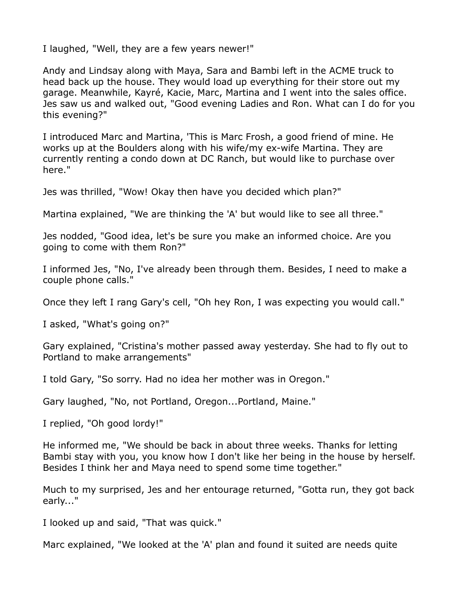I laughed, "Well, they are a few years newer!"

Andy and Lindsay along with Maya, Sara and Bambi left in the ACME truck to head back up the house. They would load up everything for their store out my garage. Meanwhile, Kayré, Kacie, Marc, Martina and I went into the sales office. Jes saw us and walked out, "Good evening Ladies and Ron. What can I do for you this evening?"

I introduced Marc and Martina, 'This is Marc Frosh, a good friend of mine. He works up at the Boulders along with his wife/my ex-wife Martina. They are currently renting a condo down at DC Ranch, but would like to purchase over here."

Jes was thrilled, "Wow! Okay then have you decided which plan?"

Martina explained, "We are thinking the 'A' but would like to see all three."

Jes nodded, "Good idea, let's be sure you make an informed choice. Are you going to come with them Ron?"

I informed Jes, "No, I've already been through them. Besides, I need to make a couple phone calls."

Once they left I rang Gary's cell, "Oh hey Ron, I was expecting you would call."

I asked, "What's going on?"

Gary explained, "Cristina's mother passed away yesterday. She had to fly out to Portland to make arrangements"

I told Gary, "So sorry. Had no idea her mother was in Oregon."

Gary laughed, "No, not Portland, Oregon...Portland, Maine."

I replied, "Oh good lordy!"

He informed me, "We should be back in about three weeks. Thanks for letting Bambi stay with you, you know how I don't like her being in the house by herself. Besides I think her and Maya need to spend some time together."

Much to my surprised, Jes and her entourage returned, "Gotta run, they got back early..."

I looked up and said, "That was quick."

Marc explained, "We looked at the 'A' plan and found it suited are needs quite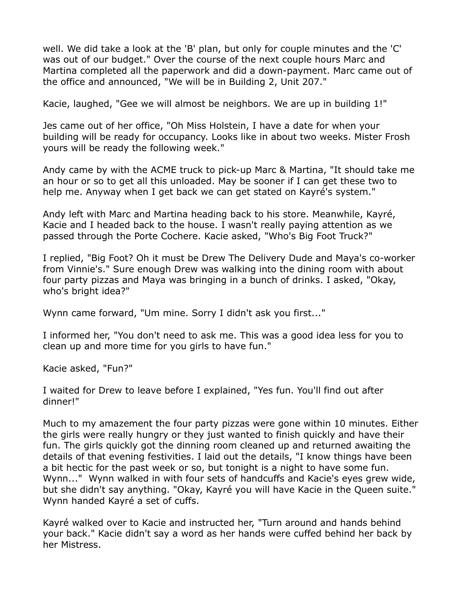well. We did take a look at the 'B' plan, but only for couple minutes and the 'C' was out of our budget." Over the course of the next couple hours Marc and Martina completed all the paperwork and did a down-payment. Marc came out of the office and announced, "We will be in Building 2, Unit 207."

Kacie, laughed, "Gee we will almost be neighbors. We are up in building 1!"

Jes came out of her office, "Oh Miss Holstein, I have a date for when your building will be ready for occupancy. Looks like in about two weeks. Mister Frosh yours will be ready the following week."

Andy came by with the ACME truck to pick-up Marc & Martina, "It should take me an hour or so to get all this unloaded. May be sooner if I can get these two to help me. Anyway when I get back we can get stated on Kayré's system."

Andy left with Marc and Martina heading back to his store. Meanwhile, Kayré, Kacie and I headed back to the house. I wasn't really paying attention as we passed through the Porte Cochere. Kacie asked, "Who's Big Foot Truck?"

I replied, "Big Foot? Oh it must be Drew The Delivery Dude and Maya's co-worker from Vinnie's." Sure enough Drew was walking into the dining room with about four party pizzas and Maya was bringing in a bunch of drinks. I asked, "Okay, who's bright idea?"

Wynn came forward, "Um mine. Sorry I didn't ask you first..."

I informed her, "You don't need to ask me. This was a good idea less for you to clean up and more time for you girls to have fun."

Kacie asked, "Fun?"

I waited for Drew to leave before I explained, "Yes fun. You'll find out after dinner!"

Much to my amazement the four party pizzas were gone within 10 minutes. Either the girls were really hungry or they just wanted to finish quickly and have their fun. The girls quickly got the dinning room cleaned up and returned awaiting the details of that evening festivities. I laid out the details, "I know things have been a bit hectic for the past week or so, but tonight is a night to have some fun. Wynn..." Wynn walked in with four sets of handcuffs and Kacie's eyes grew wide, but she didn't say anything. "Okay, Kayré you will have Kacie in the Queen suite." Wynn handed Kayré a set of cuffs.

Kayré walked over to Kacie and instructed her, "Turn around and hands behind your back." Kacie didn't say a word as her hands were cuffed behind her back by her Mistress.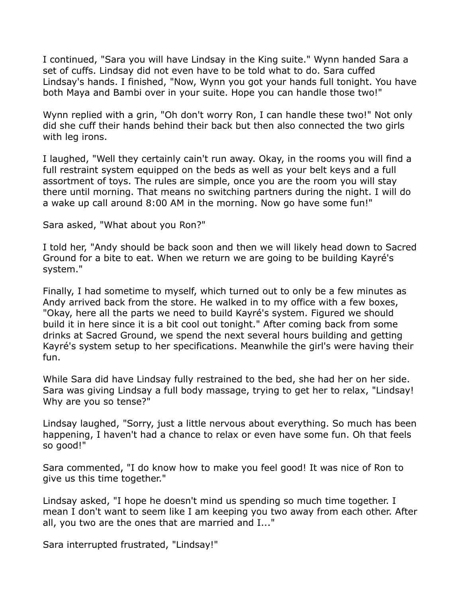I continued, "Sara you will have Lindsay in the King suite." Wynn handed Sara a set of cuffs. Lindsay did not even have to be told what to do. Sara cuffed Lindsay's hands. I finished, "Now, Wynn you got your hands full tonight. You have both Maya and Bambi over in your suite. Hope you can handle those two!"

Wynn replied with a grin, "Oh don't worry Ron, I can handle these two!" Not only did she cuff their hands behind their back but then also connected the two girls with leg irons.

I laughed, "Well they certainly cain't run away. Okay, in the rooms you will find a full restraint system equipped on the beds as well as your belt keys and a full assortment of toys. The rules are simple, once you are the room you will stay there until morning. That means no switching partners during the night. I will do a wake up call around 8:00 AM in the morning. Now go have some fun!"

Sara asked, "What about you Ron?"

I told her, "Andy should be back soon and then we will likely head down to Sacred Ground for a bite to eat. When we return we are going to be building Kayré's system."

Finally, I had sometime to myself, which turned out to only be a few minutes as Andy arrived back from the store. He walked in to my office with a few boxes, "Okay, here all the parts we need to build Kayré's system. Figured we should build it in here since it is a bit cool out tonight." After coming back from some drinks at Sacred Ground, we spend the next several hours building and getting Kayré's system setup to her specifications. Meanwhile the girl's were having their fun.

While Sara did have Lindsay fully restrained to the bed, she had her on her side. Sara was giving Lindsay a full body massage, trying to get her to relax, "Lindsay! Why are you so tense?"

Lindsay laughed, "Sorry, just a little nervous about everything. So much has been happening, I haven't had a chance to relax or even have some fun. Oh that feels so good!"

Sara commented, "I do know how to make you feel good! It was nice of Ron to give us this time together."

Lindsay asked, "I hope he doesn't mind us spending so much time together. I mean I don't want to seem like I am keeping you two away from each other. After all, you two are the ones that are married and I..."

Sara interrupted frustrated, "Lindsay!"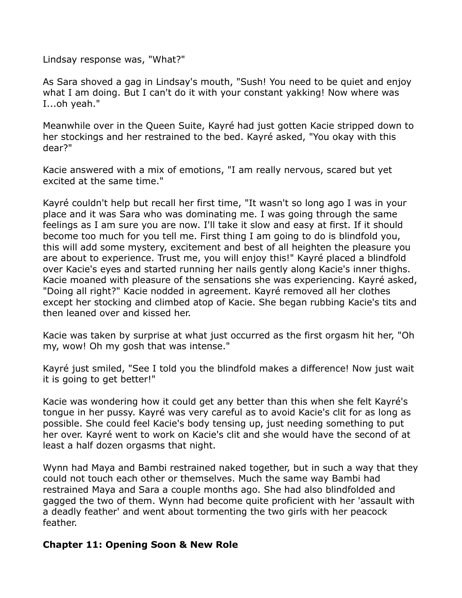Lindsay response was, "What?"

As Sara shoved a gag in Lindsay's mouth, "Sush! You need to be quiet and enjoy what I am doing. But I can't do it with your constant yakking! Now where was I...oh yeah."

Meanwhile over in the Queen Suite, Kayré had just gotten Kacie stripped down to her stockings and her restrained to the bed. Kayré asked, "You okay with this dear?"

Kacie answered with a mix of emotions, "I am really nervous, scared but yet excited at the same time."

Kayré couldn't help but recall her first time, "It wasn't so long ago I was in your place and it was Sara who was dominating me. I was going through the same feelings as I am sure you are now. I'll take it slow and easy at first. If it should become too much for you tell me. First thing I am going to do is blindfold you, this will add some mystery, excitement and best of all heighten the pleasure you are about to experience. Trust me, you will enjoy this!" Kayré placed a blindfold over Kacie's eyes and started running her nails gently along Kacie's inner thighs. Kacie moaned with pleasure of the sensations she was experiencing. Kayré asked, "Doing all right?" Kacie nodded in agreement. Kayré removed all her clothes except her stocking and climbed atop of Kacie. She began rubbing Kacie's tits and then leaned over and kissed her.

Kacie was taken by surprise at what just occurred as the first orgasm hit her, "Oh my, wow! Oh my gosh that was intense."

Kayré just smiled, "See I told you the blindfold makes a difference! Now just wait it is going to get better!"

Kacie was wondering how it could get any better than this when she felt Kayré's tongue in her pussy. Kayré was very careful as to avoid Kacie's clit for as long as possible. She could feel Kacie's body tensing up, just needing something to put her over. Kayré went to work on Kacie's clit and she would have the second of at least a half dozen orgasms that night.

Wynn had Maya and Bambi restrained naked together, but in such a way that they could not touch each other or themselves. Much the same way Bambi had restrained Maya and Sara a couple months ago. She had also blindfolded and gagged the two of them. Wynn had become quite proficient with her 'assault with a deadly feather' and went about tormenting the two girls with her peacock feather.

## **Chapter 11: Opening Soon & New Role**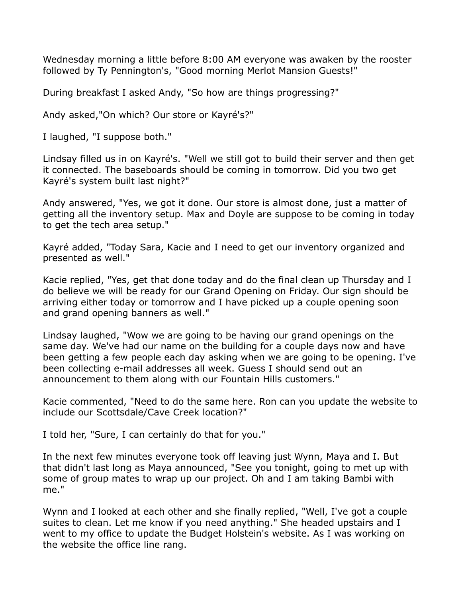Wednesday morning a little before 8:00 AM everyone was awaken by the rooster followed by Ty Pennington's, "Good morning Merlot Mansion Guests!"

During breakfast I asked Andy, "So how are things progressing?"

Andy asked,"On which? Our store or Kayré's?"

I laughed, "I suppose both."

Lindsay filled us in on Kayré's. "Well we still got to build their server and then get it connected. The baseboards should be coming in tomorrow. Did you two get Kayré's system built last night?"

Andy answered, "Yes, we got it done. Our store is almost done, just a matter of getting all the inventory setup. Max and Doyle are suppose to be coming in today to get the tech area setup."

Kayré added, "Today Sara, Kacie and I need to get our inventory organized and presented as well."

Kacie replied, "Yes, get that done today and do the final clean up Thursday and I do believe we will be ready for our Grand Opening on Friday. Our sign should be arriving either today or tomorrow and I have picked up a couple opening soon and grand opening banners as well."

Lindsay laughed, "Wow we are going to be having our grand openings on the same day. We've had our name on the building for a couple days now and have been getting a few people each day asking when we are going to be opening. I've been collecting e-mail addresses all week. Guess I should send out an announcement to them along with our Fountain Hills customers."

Kacie commented, "Need to do the same here. Ron can you update the website to include our Scottsdale/Cave Creek location?"

I told her, "Sure, I can certainly do that for you."

In the next few minutes everyone took off leaving just Wynn, Maya and I. But that didn't last long as Maya announced, "See you tonight, going to met up with some of group mates to wrap up our project. Oh and I am taking Bambi with me."

Wynn and I looked at each other and she finally replied, "Well, I've got a couple suites to clean. Let me know if you need anything." She headed upstairs and I went to my office to update the Budget Holstein's website. As I was working on the website the office line rang.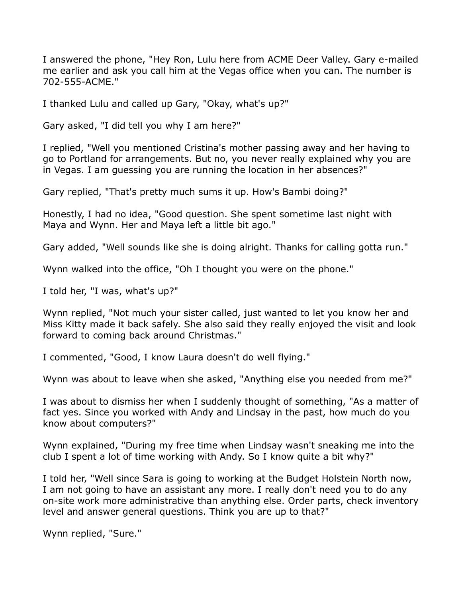I answered the phone, "Hey Ron, Lulu here from ACME Deer Valley. Gary e-mailed me earlier and ask you call him at the Vegas office when you can. The number is 702-555-ACME."

I thanked Lulu and called up Gary, "Okay, what's up?"

Gary asked, "I did tell you why I am here?"

I replied, "Well you mentioned Cristina's mother passing away and her having to go to Portland for arrangements. But no, you never really explained why you are in Vegas. I am guessing you are running the location in her absences?"

Gary replied, "That's pretty much sums it up. How's Bambi doing?"

Honestly, I had no idea, "Good question. She spent sometime last night with Maya and Wynn. Her and Maya left a little bit ago."

Gary added, "Well sounds like she is doing alright. Thanks for calling gotta run."

Wynn walked into the office, "Oh I thought you were on the phone."

I told her, "I was, what's up?"

Wynn replied, "Not much your sister called, just wanted to let you know her and Miss Kitty made it back safely. She also said they really enjoyed the visit and look forward to coming back around Christmas."

I commented, "Good, I know Laura doesn't do well flying."

Wynn was about to leave when she asked, "Anything else you needed from me?"

I was about to dismiss her when I suddenly thought of something, "As a matter of fact yes. Since you worked with Andy and Lindsay in the past, how much do you know about computers?"

Wynn explained, "During my free time when Lindsay wasn't sneaking me into the club I spent a lot of time working with Andy. So I know quite a bit why?"

I told her, "Well since Sara is going to working at the Budget Holstein North now, I am not going to have an assistant any more. I really don't need you to do any on-site work more administrative than anything else. Order parts, check inventory level and answer general questions. Think you are up to that?"

Wynn replied, "Sure."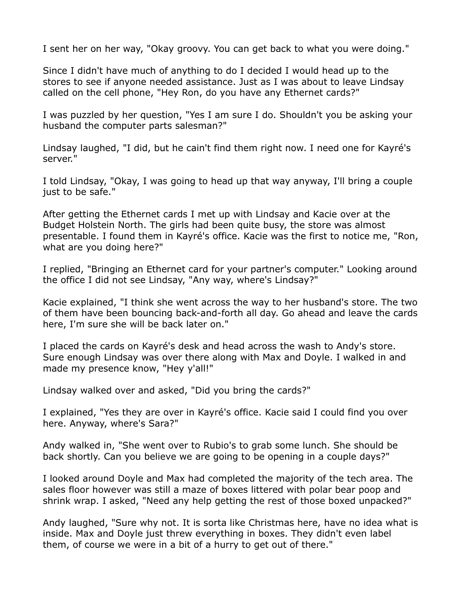I sent her on her way, "Okay groovy. You can get back to what you were doing."

Since I didn't have much of anything to do I decided I would head up to the stores to see if anyone needed assistance. Just as I was about to leave Lindsay called on the cell phone, "Hey Ron, do you have any Ethernet cards?"

I was puzzled by her question, "Yes I am sure I do. Shouldn't you be asking your husband the computer parts salesman?"

Lindsay laughed, "I did, but he cain't find them right now. I need one for Kayré's server."

I told Lindsay, "Okay, I was going to head up that way anyway, I'll bring a couple just to be safe."

After getting the Ethernet cards I met up with Lindsay and Kacie over at the Budget Holstein North. The girls had been quite busy, the store was almost presentable. I found them in Kayré's office. Kacie was the first to notice me, "Ron, what are you doing here?"

I replied, "Bringing an Ethernet card for your partner's computer." Looking around the office I did not see Lindsay, "Any way, where's Lindsay?"

Kacie explained, "I think she went across the way to her husband's store. The two of them have been bouncing back-and-forth all day. Go ahead and leave the cards here, I'm sure she will be back later on."

I placed the cards on Kayré's desk and head across the wash to Andy's store. Sure enough Lindsay was over there along with Max and Doyle. I walked in and made my presence know, "Hey y'all!"

Lindsay walked over and asked, "Did you bring the cards?"

I explained, "Yes they are over in Kayré's office. Kacie said I could find you over here. Anyway, where's Sara?"

Andy walked in, "She went over to Rubio's to grab some lunch. She should be back shortly. Can you believe we are going to be opening in a couple days?"

I looked around Doyle and Max had completed the majority of the tech area. The sales floor however was still a maze of boxes littered with polar bear poop and shrink wrap. I asked, "Need any help getting the rest of those boxed unpacked?"

Andy laughed, "Sure why not. It is sorta like Christmas here, have no idea what is inside. Max and Doyle just threw everything in boxes. They didn't even label them, of course we were in a bit of a hurry to get out of there."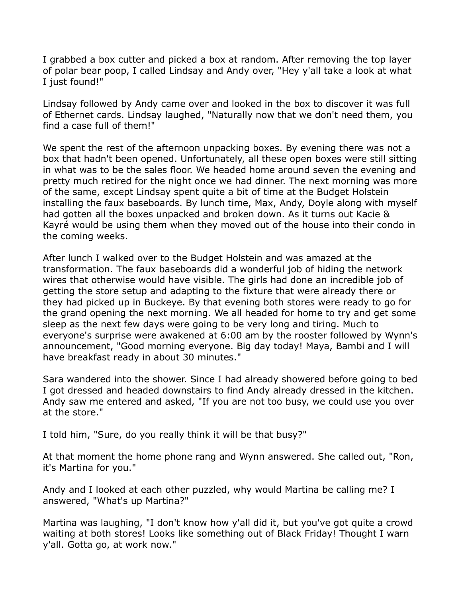I grabbed a box cutter and picked a box at random. After removing the top layer of polar bear poop, I called Lindsay and Andy over, "Hey y'all take a look at what I just found!"

Lindsay followed by Andy came over and looked in the box to discover it was full of Ethernet cards. Lindsay laughed, "Naturally now that we don't need them, you find a case full of them!"

We spent the rest of the afternoon unpacking boxes. By evening there was not a box that hadn't been opened. Unfortunately, all these open boxes were still sitting in what was to be the sales floor. We headed home around seven the evening and pretty much retired for the night once we had dinner. The next morning was more of the same, except Lindsay spent quite a bit of time at the Budget Holstein installing the faux baseboards. By lunch time, Max, Andy, Doyle along with myself had gotten all the boxes unpacked and broken down. As it turns out Kacie & Kayré would be using them when they moved out of the house into their condo in the coming weeks.

After lunch I walked over to the Budget Holstein and was amazed at the transformation. The faux baseboards did a wonderful job of hiding the network wires that otherwise would have visible. The girls had done an incredible job of getting the store setup and adapting to the fixture that were already there or they had picked up in Buckeye. By that evening both stores were ready to go for the grand opening the next morning. We all headed for home to try and get some sleep as the next few days were going to be very long and tiring. Much to everyone's surprise were awakened at 6:00 am by the rooster followed by Wynn's announcement, "Good morning everyone. Big day today! Maya, Bambi and I will have breakfast ready in about 30 minutes."

Sara wandered into the shower. Since I had already showered before going to bed I got dressed and headed downstairs to find Andy already dressed in the kitchen. Andy saw me entered and asked, "If you are not too busy, we could use you over at the store."

I told him, "Sure, do you really think it will be that busy?"

At that moment the home phone rang and Wynn answered. She called out, "Ron, it's Martina for you."

Andy and I looked at each other puzzled, why would Martina be calling me? I answered, "What's up Martina?"

Martina was laughing, "I don't know how y'all did it, but you've got quite a crowd waiting at both stores! Looks like something out of Black Friday! Thought I warn y'all. Gotta go, at work now."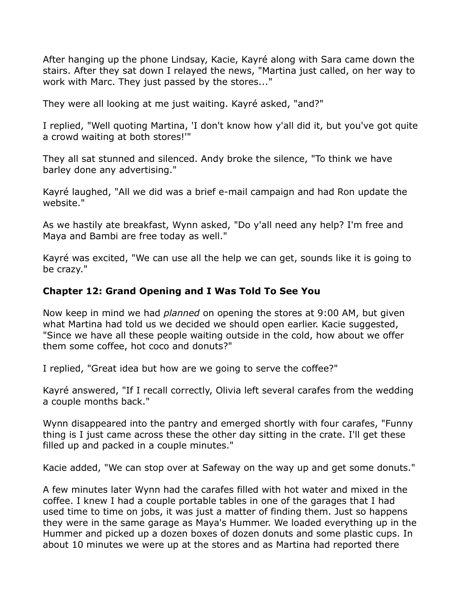After hanging up the phone Lindsay, Kacie, Kayré along with Sara came down the stairs. After they sat down I relayed the news, "Martina just called, on her way to work with Marc. They just passed by the stores..."

They were all looking at me just waiting. Kayré asked, "and?"

I replied, "Well quoting Martina, 'I don't know how y'all did it, but you've got quite a crowd waiting at both stores!'"

They all sat stunned and silenced. Andy broke the silence, "To think we have barley done any advertising."

Kayré laughed, "All we did was a brief e-mail campaign and had Ron update the website."

As we hastily ate breakfast, Wynn asked, "Do y'all need any help? I'm free and Maya and Bambi are free today as well."

Kayré was excited, "We can use all the help we can get, sounds like it is going to be crazy."

# **Chapter 12: Grand Opening and I Was Told To See You**

Now keep in mind we had *planned* on opening the stores at 9:00 AM, but given what Martina had told us we decided we should open earlier. Kacie suggested, "Since we have all these people waiting outside in the cold, how about we offer them some coffee, hot coco and donuts?"

I replied, "Great idea but how are we going to serve the coffee?"

Kayré answered, "If I recall correctly, Olivia left several carafes from the wedding a couple months back."

Wynn disappeared into the pantry and emerged shortly with four carafes, "Funny thing is I just came across these the other day sitting in the crate. I'll get these filled up and packed in a couple minutes."

Kacie added, "We can stop over at Safeway on the way up and get some donuts."

A few minutes later Wynn had the carafes filled with hot water and mixed in the coffee. I knew I had a couple portable tables in one of the garages that I had used time to time on jobs, it was just a matter of finding them. Just so happens they were in the same garage as Maya's Hummer. We loaded everything up in the Hummer and picked up a dozen boxes of dozen donuts and some plastic cups. In about 10 minutes we were up at the stores and as Martina had reported there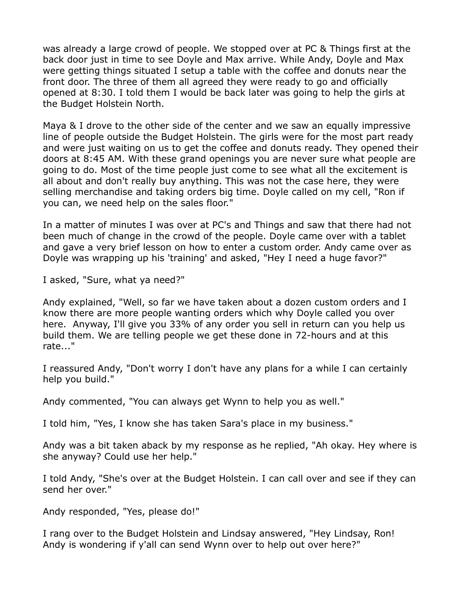was already a large crowd of people. We stopped over at PC & Things first at the back door just in time to see Doyle and Max arrive. While Andy, Doyle and Max were getting things situated I setup a table with the coffee and donuts near the front door. The three of them all agreed they were ready to go and officially opened at 8:30. I told them I would be back later was going to help the girls at the Budget Holstein North.

Maya & I drove to the other side of the center and we saw an equally impressive line of people outside the Budget Holstein. The girls were for the most part ready and were just waiting on us to get the coffee and donuts ready. They opened their doors at 8:45 AM. With these grand openings you are never sure what people are going to do. Most of the time people just come to see what all the excitement is all about and don't really buy anything. This was not the case here, they were selling merchandise and taking orders big time. Doyle called on my cell, "Ron if you can, we need help on the sales floor."

In a matter of minutes I was over at PC's and Things and saw that there had not been much of change in the crowd of the people. Doyle came over with a tablet and gave a very brief lesson on how to enter a custom order. Andy came over as Doyle was wrapping up his 'training' and asked, "Hey I need a huge favor?"

I asked, "Sure, what ya need?"

Andy explained, "Well, so far we have taken about a dozen custom orders and I know there are more people wanting orders which why Doyle called you over here. Anyway, I'll give you 33% of any order you sell in return can you help us build them. We are telling people we get these done in 72-hours and at this rate..."

I reassured Andy, "Don't worry I don't have any plans for a while I can certainly help you build."

Andy commented, "You can always get Wynn to help you as well."

I told him, "Yes, I know she has taken Sara's place in my business."

Andy was a bit taken aback by my response as he replied, "Ah okay. Hey where is she anyway? Could use her help."

I told Andy, "She's over at the Budget Holstein. I can call over and see if they can send her over."

Andy responded, "Yes, please do!"

I rang over to the Budget Holstein and Lindsay answered, "Hey Lindsay, Ron! Andy is wondering if y'all can send Wynn over to help out over here?"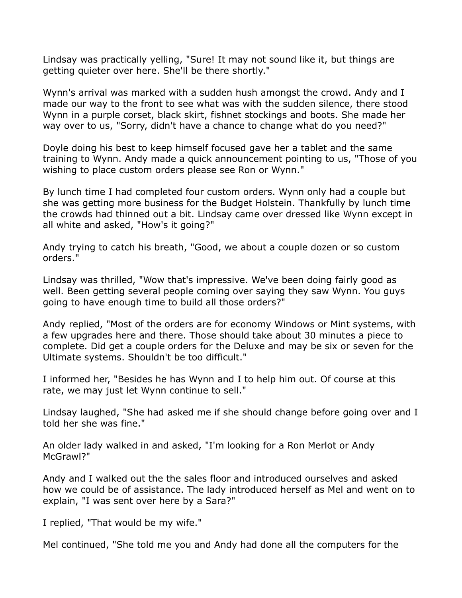Lindsay was practically yelling, "Sure! It may not sound like it, but things are getting quieter over here. She'll be there shortly."

Wynn's arrival was marked with a sudden hush amongst the crowd. Andy and I made our way to the front to see what was with the sudden silence, there stood Wynn in a purple corset, black skirt, fishnet stockings and boots. She made her way over to us, "Sorry, didn't have a chance to change what do you need?"

Doyle doing his best to keep himself focused gave her a tablet and the same training to Wynn. Andy made a quick announcement pointing to us, "Those of you wishing to place custom orders please see Ron or Wynn."

By lunch time I had completed four custom orders. Wynn only had a couple but she was getting more business for the Budget Holstein. Thankfully by lunch time the crowds had thinned out a bit. Lindsay came over dressed like Wynn except in all white and asked, "How's it going?"

Andy trying to catch his breath, "Good, we about a couple dozen or so custom orders."

Lindsay was thrilled, "Wow that's impressive. We've been doing fairly good as well. Been getting several people coming over saying they saw Wynn. You guys going to have enough time to build all those orders?"

Andy replied, "Most of the orders are for economy Windows or Mint systems, with a few upgrades here and there. Those should take about 30 minutes a piece to complete. Did get a couple orders for the Deluxe and may be six or seven for the Ultimate systems. Shouldn't be too difficult."

I informed her, "Besides he has Wynn and I to help him out. Of course at this rate, we may just let Wynn continue to sell."

Lindsay laughed, "She had asked me if she should change before going over and I told her she was fine."

An older lady walked in and asked, "I'm looking for a Ron Merlot or Andy McGrawl?"

Andy and I walked out the the sales floor and introduced ourselves and asked how we could be of assistance. The lady introduced herself as Mel and went on to explain, "I was sent over here by a Sara?"

I replied, "That would be my wife."

Mel continued, "She told me you and Andy had done all the computers for the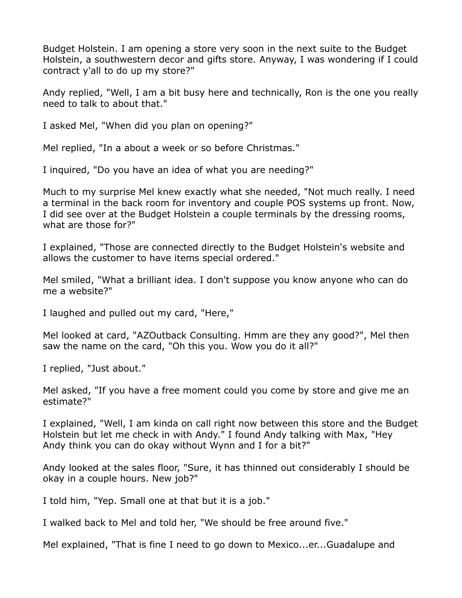Budget Holstein. I am opening a store very soon in the next suite to the Budget Holstein, a southwestern decor and gifts store. Anyway, I was wondering if I could contract y'all to do up my store?"

Andy replied, "Well, I am a bit busy here and technically, Ron is the one you really need to talk to about that."

I asked Mel, "When did you plan on opening?"

Mel replied, "In a about a week or so before Christmas."

I inquired, "Do you have an idea of what you are needing?"

Much to my surprise Mel knew exactly what she needed, "Not much really. I need a terminal in the back room for inventory and couple POS systems up front. Now, I did see over at the Budget Holstein a couple terminals by the dressing rooms, what are those for?"

I explained, "Those are connected directly to the Budget Holstein's website and allows the customer to have items special ordered."

Mel smiled, "What a brilliant idea. I don't suppose you know anyone who can do me a website?"

I laughed and pulled out my card, "Here,"

Mel looked at card, "AZOutback Consulting. Hmm are they any good?", Mel then saw the name on the card, "Oh this you. Wow you do it all?"

I replied, "Just about."

Mel asked, "If you have a free moment could you come by store and give me an estimate?"

I explained, "Well, I am kinda on call right now between this store and the Budget Holstein but let me check in with Andy." I found Andy talking with Max, "Hey Andy think you can do okay without Wynn and I for a bit?"

Andy looked at the sales floor, "Sure, it has thinned out considerably I should be okay in a couple hours. New job?"

I told him, "Yep. Small one at that but it is a job."

I walked back to Mel and told her, "We should be free around five."

Mel explained, "That is fine I need to go down to Mexico...er...Guadalupe and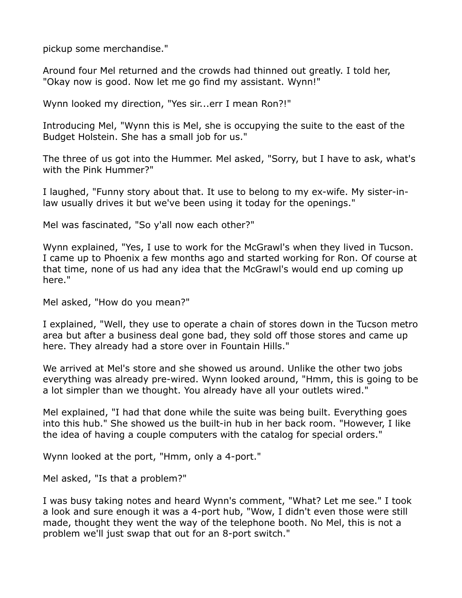pickup some merchandise."

Around four Mel returned and the crowds had thinned out greatly. I told her, "Okay now is good. Now let me go find my assistant. Wynn!"

Wynn looked my direction, "Yes sir...err I mean Ron?!"

Introducing Mel, "Wynn this is Mel, she is occupying the suite to the east of the Budget Holstein. She has a small job for us."

The three of us got into the Hummer. Mel asked, "Sorry, but I have to ask, what's with the Pink Hummer?"

I laughed, "Funny story about that. It use to belong to my ex-wife. My sister-inlaw usually drives it but we've been using it today for the openings."

Mel was fascinated, "So y'all now each other?"

Wynn explained, "Yes, I use to work for the McGrawl's when they lived in Tucson. I came up to Phoenix a few months ago and started working for Ron. Of course at that time, none of us had any idea that the McGrawl's would end up coming up here."

Mel asked, "How do you mean?"

I explained, "Well, they use to operate a chain of stores down in the Tucson metro area but after a business deal gone bad, they sold off those stores and came up here. They already had a store over in Fountain Hills."

We arrived at Mel's store and she showed us around. Unlike the other two jobs everything was already pre-wired. Wynn looked around, "Hmm, this is going to be a lot simpler than we thought. You already have all your outlets wired."

Mel explained, "I had that done while the suite was being built. Everything goes into this hub." She showed us the built-in hub in her back room. "However, I like the idea of having a couple computers with the catalog for special orders."

Wynn looked at the port, "Hmm, only a 4-port."

Mel asked, "Is that a problem?"

I was busy taking notes and heard Wynn's comment, "What? Let me see." I took a look and sure enough it was a 4-port hub, "Wow, I didn't even those were still made, thought they went the way of the telephone booth. No Mel, this is not a problem we'll just swap that out for an 8-port switch."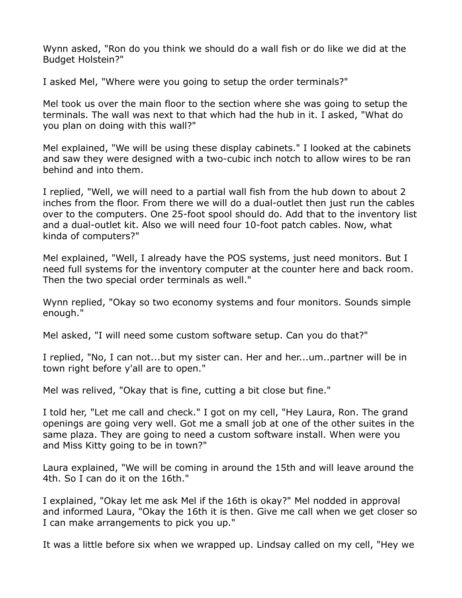Wynn asked, "Ron do you think we should do a wall fish or do like we did at the Budget Holstein?"

I asked Mel, "Where were you going to setup the order terminals?"

Mel took us over the main floor to the section where she was going to setup the terminals. The wall was next to that which had the hub in it. I asked, "What do you plan on doing with this wall?"

Mel explained, "We will be using these display cabinets." I looked at the cabinets and saw they were designed with a two-cubic inch notch to allow wires to be ran behind and into them.

I replied, "Well, we will need to a partial wall fish from the hub down to about 2 inches from the floor. From there we will do a dual-outlet then just run the cables over to the computers. One 25-foot spool should do. Add that to the inventory list and a dual-outlet kit. Also we will need four 10-foot patch cables. Now, what kinda of computers?"

Mel explained, "Well, I already have the POS systems, just need monitors. But I need full systems for the inventory computer at the counter here and back room. Then the two special order terminals as well."

Wynn replied, "Okay so two economy systems and four monitors. Sounds simple enough."

Mel asked, "I will need some custom software setup. Can you do that?"

I replied, "No, I can not...but my sister can. Her and her...um..partner will be in town right before y'all are to open."

Mel was relived, "Okay that is fine, cutting a bit close but fine."

I told her, "Let me call and check." I got on my cell, "Hey Laura, Ron. The grand openings are going very well. Got me a small job at one of the other suites in the same plaza. They are going to need a custom software install. When were you and Miss Kitty going to be in town?"

Laura explained, "We will be coming in around the 15th and will leave around the 4th. So I can do it on the 16th."

I explained, "Okay let me ask Mel if the 16th is okay?" Mel nodded in approval and informed Laura, "Okay the 16th it is then. Give me call when we get closer so I can make arrangements to pick you up."

It was a little before six when we wrapped up. Lindsay called on my cell, "Hey we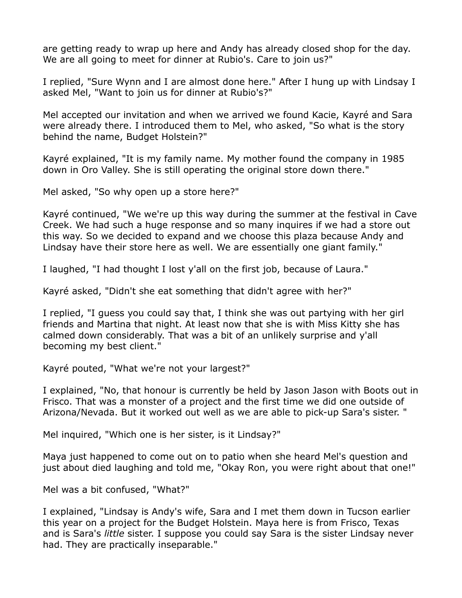are getting ready to wrap up here and Andy has already closed shop for the day. We are all going to meet for dinner at Rubio's. Care to join us?"

I replied, "Sure Wynn and I are almost done here." After I hung up with Lindsay I asked Mel, "Want to join us for dinner at Rubio's?"

Mel accepted our invitation and when we arrived we found Kacie, Kayré and Sara were already there. I introduced them to Mel, who asked, "So what is the story behind the name, Budget Holstein?"

Kayré explained, "It is my family name. My mother found the company in 1985 down in Oro Valley. She is still operating the original store down there."

Mel asked, "So why open up a store here?"

Kayré continued, "We we're up this way during the summer at the festival in Cave Creek. We had such a huge response and so many inquires if we had a store out this way. So we decided to expand and we choose this plaza because Andy and Lindsay have their store here as well. We are essentially one giant family."

I laughed, "I had thought I lost y'all on the first job, because of Laura."

Kayré asked, "Didn't she eat something that didn't agree with her?"

I replied, "I guess you could say that, I think she was out partying with her girl friends and Martina that night. At least now that she is with Miss Kitty she has calmed down considerably. That was a bit of an unlikely surprise and y'all becoming my best client."

Kayré pouted, "What we're not your largest?"

I explained, "No, that honour is currently be held by Jason Jason with Boots out in Frisco. That was a monster of a project and the first time we did one outside of Arizona/Nevada. But it worked out well as we are able to pick-up Sara's sister. "

Mel inquired, "Which one is her sister, is it Lindsay?"

Maya just happened to come out on to patio when she heard Mel's question and just about died laughing and told me, "Okay Ron, you were right about that one!"

Mel was a bit confused, "What?"

I explained, "Lindsay is Andy's wife, Sara and I met them down in Tucson earlier this year on a project for the Budget Holstein. Maya here is from Frisco, Texas and is Sara's *little* sister. I suppose you could say Sara is the sister Lindsay never had. They are practically inseparable."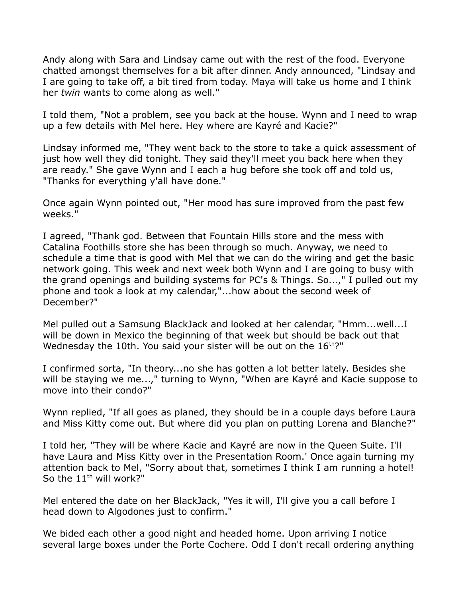Andy along with Sara and Lindsay came out with the rest of the food. Everyone chatted amongst themselves for a bit after dinner. Andy announced, "Lindsay and I are going to take off, a bit tired from today. Maya will take us home and I think her *twin* wants to come along as well."

I told them, "Not a problem, see you back at the house. Wynn and I need to wrap up a few details with Mel here. Hey where are Kayré and Kacie?"

Lindsay informed me, "They went back to the store to take a quick assessment of just how well they did tonight. They said they'll meet you back here when they are ready." She gave Wynn and I each a hug before she took off and told us, "Thanks for everything y'all have done."

Once again Wynn pointed out, "Her mood has sure improved from the past few weeks."

I agreed, "Thank god. Between that Fountain Hills store and the mess with Catalina Foothills store she has been through so much. Anyway, we need to schedule a time that is good with Mel that we can do the wiring and get the basic network going. This week and next week both Wynn and I are going to busy with the grand openings and building systems for PC's & Things. So...," I pulled out my phone and took a look at my calendar,"...how about the second week of December?"

Mel pulled out a Samsung BlackJack and looked at her calendar, "Hmm...well...I will be down in Mexico the beginning of that week but should be back out that Wednesday the 10th. You said your sister will be out on the  $16<sup>th</sup>$ ?"

I confirmed sorta, "In theory...no she has gotten a lot better lately. Besides she will be staying we me...," turning to Wynn, "When are Kayré and Kacie suppose to move into their condo?"

Wynn replied, "If all goes as planed, they should be in a couple days before Laura and Miss Kitty come out. But where did you plan on putting Lorena and Blanche?"

I told her, "They will be where Kacie and Kayré are now in the Queen Suite. I'll have Laura and Miss Kitty over in the Presentation Room.' Once again turning my attention back to Mel, "Sorry about that, sometimes I think I am running a hotel! So the  $11^{th}$  will work?"

Mel entered the date on her BlackJack, "Yes it will, I'll give you a call before I head down to Algodones just to confirm."

We bided each other a good night and headed home. Upon arriving I notice several large boxes under the Porte Cochere. Odd I don't recall ordering anything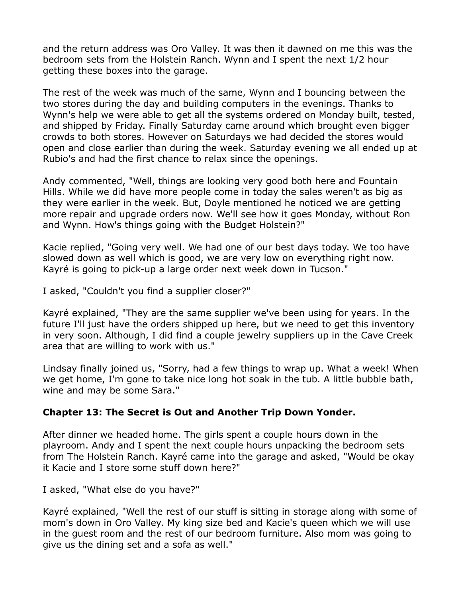and the return address was Oro Valley. It was then it dawned on me this was the bedroom sets from the Holstein Ranch. Wynn and I spent the next 1/2 hour getting these boxes into the garage.

The rest of the week was much of the same, Wynn and I bouncing between the two stores during the day and building computers in the evenings. Thanks to Wynn's help we were able to get all the systems ordered on Monday built, tested, and shipped by Friday. Finally Saturday came around which brought even bigger crowds to both stores. However on Saturdays we had decided the stores would open and close earlier than during the week. Saturday evening we all ended up at Rubio's and had the first chance to relax since the openings.

Andy commented, "Well, things are looking very good both here and Fountain Hills. While we did have more people come in today the sales weren't as big as they were earlier in the week. But, Doyle mentioned he noticed we are getting more repair and upgrade orders now. We'll see how it goes Monday, without Ron and Wynn. How's things going with the Budget Holstein?"

Kacie replied, "Going very well. We had one of our best days today. We too have slowed down as well which is good, we are very low on everything right now. Kayré is going to pick-up a large order next week down in Tucson."

I asked, "Couldn't you find a supplier closer?"

Kayré explained, "They are the same supplier we've been using for years. In the future I'll just have the orders shipped up here, but we need to get this inventory in very soon. Although, I did find a couple jewelry suppliers up in the Cave Creek area that are willing to work with us."

Lindsay finally joined us, "Sorry, had a few things to wrap up. What a week! When we get home, I'm gone to take nice long hot soak in the tub. A little bubble bath, wine and may be some Sara."

# **Chapter 13: The Secret is Out and Another Trip Down Yonder.**

After dinner we headed home. The girls spent a couple hours down in the playroom. Andy and I spent the next couple hours unpacking the bedroom sets from The Holstein Ranch. Kayré came into the garage and asked, "Would be okay it Kacie and I store some stuff down here?"

I asked, "What else do you have?"

Kayré explained, "Well the rest of our stuff is sitting in storage along with some of mom's down in Oro Valley. My king size bed and Kacie's queen which we will use in the guest room and the rest of our bedroom furniture. Also mom was going to give us the dining set and a sofa as well."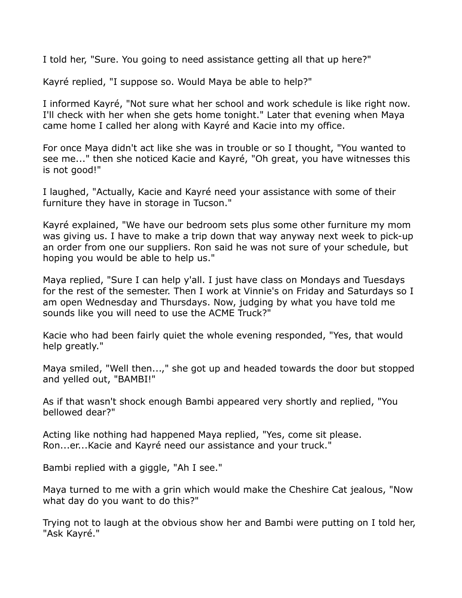I told her, "Sure. You going to need assistance getting all that up here?"

Kayré replied, "I suppose so. Would Maya be able to help?"

I informed Kayré, "Not sure what her school and work schedule is like right now. I'll check with her when she gets home tonight." Later that evening when Maya came home I called her along with Kayré and Kacie into my office.

For once Maya didn't act like she was in trouble or so I thought, "You wanted to see me..." then she noticed Kacie and Kayré, "Oh great, you have witnesses this is not good!"

I laughed, "Actually, Kacie and Kayré need your assistance with some of their furniture they have in storage in Tucson."

Kayré explained, "We have our bedroom sets plus some other furniture my mom was giving us. I have to make a trip down that way anyway next week to pick-up an order from one our suppliers. Ron said he was not sure of your schedule, but hoping you would be able to help us."

Maya replied, "Sure I can help y'all. I just have class on Mondays and Tuesdays for the rest of the semester. Then I work at Vinnie's on Friday and Saturdays so I am open Wednesday and Thursdays. Now, judging by what you have told me sounds like you will need to use the ACME Truck?"

Kacie who had been fairly quiet the whole evening responded, "Yes, that would help greatly."

Maya smiled, "Well then...," she got up and headed towards the door but stopped and yelled out, "BAMBI!"

As if that wasn't shock enough Bambi appeared very shortly and replied, "You bellowed dear?"

Acting like nothing had happened Maya replied, "Yes, come sit please. Ron...er...Kacie and Kayré need our assistance and your truck."

Bambi replied with a giggle, "Ah I see."

Maya turned to me with a grin which would make the Cheshire Cat jealous, "Now what day do you want to do this?"

Trying not to laugh at the obvious show her and Bambi were putting on I told her, "Ask Kayré."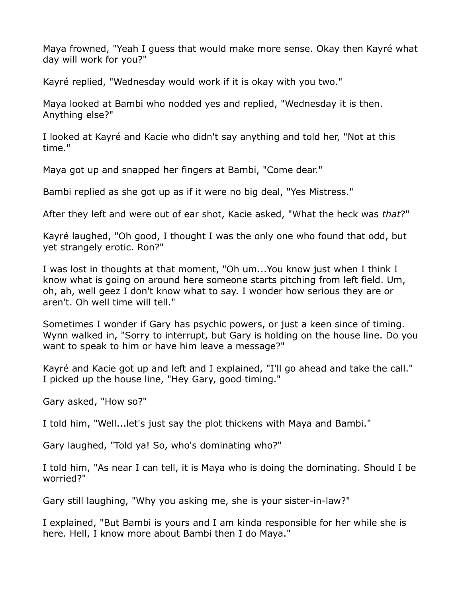Maya frowned, "Yeah I guess that would make more sense. Okay then Kayré what day will work for you?"

Kayré replied, "Wednesday would work if it is okay with you two."

Maya looked at Bambi who nodded yes and replied, "Wednesday it is then. Anything else?"

I looked at Kayré and Kacie who didn't say anything and told her, "Not at this time."

Maya got up and snapped her fingers at Bambi, "Come dear."

Bambi replied as she got up as if it were no big deal, "Yes Mistress."

After they left and were out of ear shot, Kacie asked, "What the heck was *that*?"

Kayré laughed, "Oh good, I thought I was the only one who found that odd, but yet strangely erotic. Ron?"

I was lost in thoughts at that moment, "Oh um...You know just when I think I know what is going on around here someone starts pitching from left field. Um, oh, ah, well geez I don't know what to say. I wonder how serious they are or aren't. Oh well time will tell."

Sometimes I wonder if Gary has psychic powers, or just a keen since of timing. Wynn walked in, "Sorry to interrupt, but Gary is holding on the house line. Do you want to speak to him or have him leave a message?"

Kayré and Kacie got up and left and I explained, "I'll go ahead and take the call." I picked up the house line, "Hey Gary, good timing."

Gary asked, "How so?"

I told him, "Well...let's just say the plot thickens with Maya and Bambi."

Gary laughed, "Told ya! So, who's dominating who?"

I told him, "As near I can tell, it is Maya who is doing the dominating. Should I be worried?"

Gary still laughing, "Why you asking me, she is your sister-in-law?"

I explained, "But Bambi is yours and I am kinda responsible for her while she is here. Hell, I know more about Bambi then I do Maya."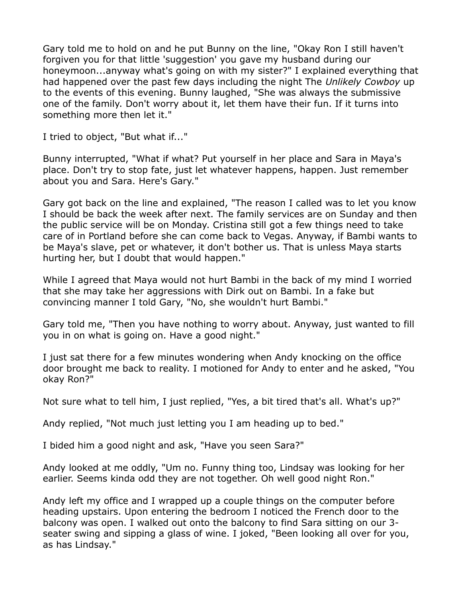Gary told me to hold on and he put Bunny on the line, "Okay Ron I still haven't forgiven you for that little 'suggestion' you gave my husband during our honeymoon...anyway what's going on with my sister?" I explained everything that had happened over the past few days including the night The *Unlikely Cowboy* up to the events of this evening. Bunny laughed, "She was always the submissive one of the family. Don't worry about it, let them have their fun. If it turns into something more then let it."

I tried to object, "But what if..."

Bunny interrupted, "What if what? Put yourself in her place and Sara in Maya's place. Don't try to stop fate, just let whatever happens, happen. Just remember about you and Sara. Here's Gary."

Gary got back on the line and explained, "The reason I called was to let you know I should be back the week after next. The family services are on Sunday and then the public service will be on Monday. Cristina still got a few things need to take care of in Portland before she can come back to Vegas. Anyway, if Bambi wants to be Maya's slave, pet or whatever, it don't bother us. That is unless Maya starts hurting her, but I doubt that would happen."

While I agreed that Maya would not hurt Bambi in the back of my mind I worried that she may take her aggressions with Dirk out on Bambi. In a fake but convincing manner I told Gary, "No, she wouldn't hurt Bambi."

Gary told me, "Then you have nothing to worry about. Anyway, just wanted to fill you in on what is going on. Have a good night."

I just sat there for a few minutes wondering when Andy knocking on the office door brought me back to reality. I motioned for Andy to enter and he asked, "You okay Ron?"

Not sure what to tell him, I just replied, "Yes, a bit tired that's all. What's up?"

Andy replied, "Not much just letting you I am heading up to bed."

I bided him a good night and ask, "Have you seen Sara?"

Andy looked at me oddly, "Um no. Funny thing too, Lindsay was looking for her earlier. Seems kinda odd they are not together. Oh well good night Ron."

Andy left my office and I wrapped up a couple things on the computer before heading upstairs. Upon entering the bedroom I noticed the French door to the balcony was open. I walked out onto the balcony to find Sara sitting on our 3 seater swing and sipping a glass of wine. I joked, "Been looking all over for you, as has Lindsay."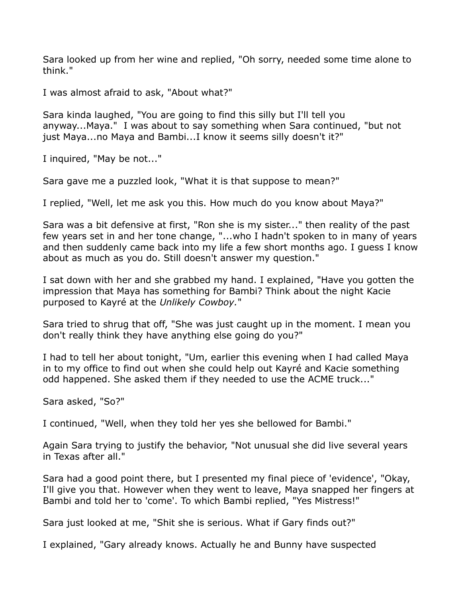Sara looked up from her wine and replied, "Oh sorry, needed some time alone to think."

I was almost afraid to ask, "About what?"

Sara kinda laughed, "You are going to find this silly but I'll tell you anyway...Maya." I was about to say something when Sara continued, "but not just Maya...no Maya and Bambi...I know it seems silly doesn't it?"

I inquired, "May be not..."

Sara gave me a puzzled look, "What it is that suppose to mean?"

I replied, "Well, let me ask you this. How much do you know about Maya?"

Sara was a bit defensive at first, "Ron she is my sister..." then reality of the past few years set in and her tone change, "...who I hadn't spoken to in many of years and then suddenly came back into my life a few short months ago. I guess I know about as much as you do. Still doesn't answer my question."

I sat down with her and she grabbed my hand. I explained, "Have you gotten the impression that Maya has something for Bambi? Think about the night Kacie purposed to Kayré at the *Unlikely Cowboy.*"

Sara tried to shrug that off, "She was just caught up in the moment. I mean you don't really think they have anything else going do you?"

I had to tell her about tonight, "Um, earlier this evening when I had called Maya in to my office to find out when she could help out Kayré and Kacie something odd happened. She asked them if they needed to use the ACME truck..."

Sara asked, "So?"

I continued, "Well, when they told her yes she bellowed for Bambi."

Again Sara trying to justify the behavior, "Not unusual she did live several years in Texas after all."

Sara had a good point there, but I presented my final piece of 'evidence', "Okay, I'll give you that. However when they went to leave, Maya snapped her fingers at Bambi and told her to 'come'. To which Bambi replied, "Yes Mistress!"

Sara just looked at me, "Shit she is serious. What if Gary finds out?"

I explained, "Gary already knows. Actually he and Bunny have suspected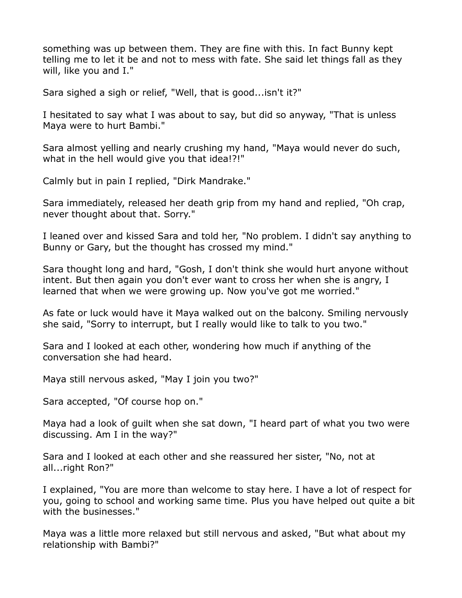something was up between them. They are fine with this. In fact Bunny kept telling me to let it be and not to mess with fate. She said let things fall as they will, like you and I."

Sara sighed a sigh or relief, "Well, that is good...isn't it?"

I hesitated to say what I was about to say, but did so anyway, "That is unless Maya were to hurt Bambi."

Sara almost yelling and nearly crushing my hand, "Maya would never do such, what in the hell would give you that idea!?!"

Calmly but in pain I replied, "Dirk Mandrake."

Sara immediately, released her death grip from my hand and replied, "Oh crap, never thought about that. Sorry."

I leaned over and kissed Sara and told her, "No problem. I didn't say anything to Bunny or Gary, but the thought has crossed my mind."

Sara thought long and hard, "Gosh, I don't think she would hurt anyone without intent. But then again you don't ever want to cross her when she is angry, I learned that when we were growing up. Now you've got me worried."

As fate or luck would have it Maya walked out on the balcony. Smiling nervously she said, "Sorry to interrupt, but I really would like to talk to you two."

Sara and I looked at each other, wondering how much if anything of the conversation she had heard.

Maya still nervous asked, "May I join you two?"

Sara accepted, "Of course hop on."

Maya had a look of guilt when she sat down, "I heard part of what you two were discussing. Am I in the way?"

Sara and I looked at each other and she reassured her sister, "No, not at all...right Ron?"

I explained, "You are more than welcome to stay here. I have a lot of respect for you, going to school and working same time. Plus you have helped out quite a bit with the businesses."

Maya was a little more relaxed but still nervous and asked, "But what about my relationship with Bambi?"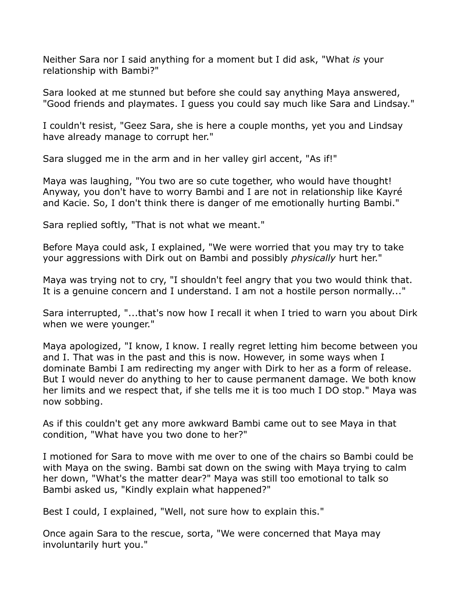Neither Sara nor I said anything for a moment but I did ask, "What *is* your relationship with Bambi?"

Sara looked at me stunned but before she could say anything Maya answered, "Good friends and playmates. I guess you could say much like Sara and Lindsay."

I couldn't resist, "Geez Sara, she is here a couple months, yet you and Lindsay have already manage to corrupt her."

Sara slugged me in the arm and in her valley girl accent, "As if!"

Maya was laughing, "You two are so cute together, who would have thought! Anyway, you don't have to worry Bambi and I are not in relationship like Kayré and Kacie. So, I don't think there is danger of me emotionally hurting Bambi."

Sara replied softly, "That is not what we meant."

Before Maya could ask, I explained, "We were worried that you may try to take your aggressions with Dirk out on Bambi and possibly *physically* hurt her."

Maya was trying not to cry, "I shouldn't feel angry that you two would think that. It is a genuine concern and I understand. I am not a hostile person normally..."

Sara interrupted, "...that's now how I recall it when I tried to warn you about Dirk when we were younger."

Maya apologized, "I know, I know. I really regret letting him become between you and I. That was in the past and this is now. However, in some ways when I dominate Bambi I am redirecting my anger with Dirk to her as a form of release. But I would never do anything to her to cause permanent damage. We both know her limits and we respect that, if she tells me it is too much I DO stop." Maya was now sobbing.

As if this couldn't get any more awkward Bambi came out to see Maya in that condition, "What have you two done to her?"

I motioned for Sara to move with me over to one of the chairs so Bambi could be with Maya on the swing. Bambi sat down on the swing with Maya trying to calm her down, "What's the matter dear?" Maya was still too emotional to talk so Bambi asked us, "Kindly explain what happened?"

Best I could, I explained, "Well, not sure how to explain this."

Once again Sara to the rescue, sorta, "We were concerned that Maya may involuntarily hurt you."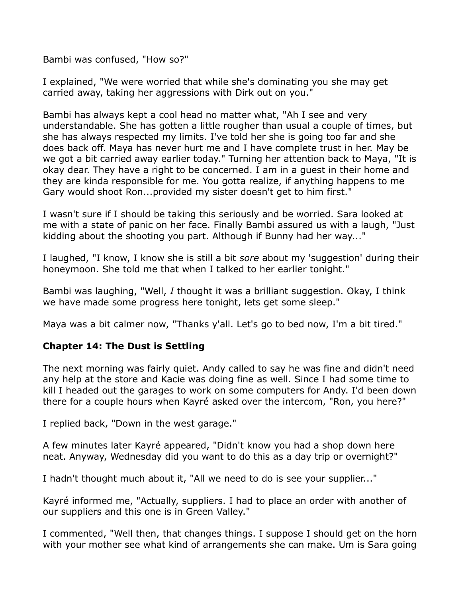Bambi was confused, "How so?"

I explained, "We were worried that while she's dominating you she may get carried away, taking her aggressions with Dirk out on you."

Bambi has always kept a cool head no matter what, "Ah I see and very understandable. She has gotten a little rougher than usual a couple of times, but she has always respected my limits. I've told her she is going too far and she does back off. Maya has never hurt me and I have complete trust in her. May be we got a bit carried away earlier today." Turning her attention back to Maya, "It is okay dear. They have a right to be concerned. I am in a guest in their home and they are kinda responsible for me. You gotta realize, if anything happens to me Gary would shoot Ron...provided my sister doesn't get to him first."

I wasn't sure if I should be taking this seriously and be worried. Sara looked at me with a state of panic on her face. Finally Bambi assured us with a laugh, "Just kidding about the shooting you part. Although if Bunny had her way..."

I laughed, "I know, I know she is still a bit *sore* about my 'suggestion' during their honeymoon. She told me that when I talked to her earlier tonight."

Bambi was laughing, "Well, *I* thought it was a brilliant suggestion. Okay, I think we have made some progress here tonight, lets get some sleep."

Maya was a bit calmer now, "Thanks y'all. Let's go to bed now, I'm a bit tired."

# **Chapter 14: The Dust is Settling**

The next morning was fairly quiet. Andy called to say he was fine and didn't need any help at the store and Kacie was doing fine as well. Since I had some time to kill I headed out the garages to work on some computers for Andy. I'd been down there for a couple hours when Kayré asked over the intercom, "Ron, you here?"

I replied back, "Down in the west garage."

A few minutes later Kayré appeared, "Didn't know you had a shop down here neat. Anyway, Wednesday did you want to do this as a day trip or overnight?"

I hadn't thought much about it, "All we need to do is see your supplier..."

Kayré informed me, "Actually, suppliers. I had to place an order with another of our suppliers and this one is in Green Valley."

I commented, "Well then, that changes things. I suppose I should get on the horn with your mother see what kind of arrangements she can make. Um is Sara going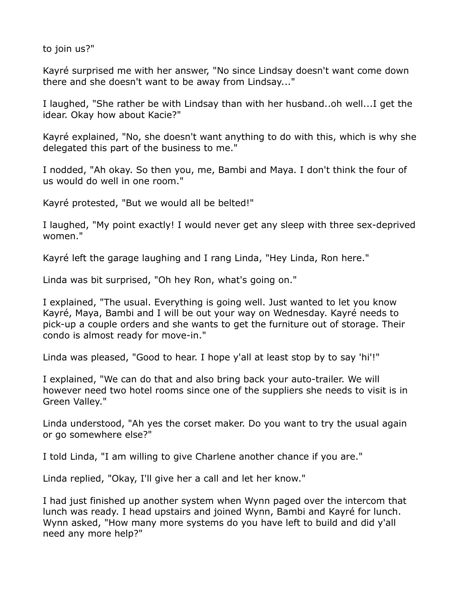to join us?"

Kayré surprised me with her answer, "No since Lindsay doesn't want come down there and she doesn't want to be away from Lindsay..."

I laughed, "She rather be with Lindsay than with her husband..oh well...I get the idear. Okay how about Kacie?"

Kayré explained, "No, she doesn't want anything to do with this, which is why she delegated this part of the business to me."

I nodded, "Ah okay. So then you, me, Bambi and Maya. I don't think the four of us would do well in one room."

Kayré protested, "But we would all be belted!"

I laughed, "My point exactly! I would never get any sleep with three sex-deprived women."

Kayré left the garage laughing and I rang Linda, "Hey Linda, Ron here."

Linda was bit surprised, "Oh hey Ron, what's going on."

I explained, "The usual. Everything is going well. Just wanted to let you know Kayré, Maya, Bambi and I will be out your way on Wednesday. Kayré needs to pick-up a couple orders and she wants to get the furniture out of storage. Their condo is almost ready for move-in."

Linda was pleased, "Good to hear. I hope y'all at least stop by to say 'hi'!"

I explained, "We can do that and also bring back your auto-trailer. We will however need two hotel rooms since one of the suppliers she needs to visit is in Green Valley."

Linda understood, "Ah yes the corset maker. Do you want to try the usual again or go somewhere else?"

I told Linda, "I am willing to give Charlene another chance if you are."

Linda replied, "Okay, I'll give her a call and let her know."

I had just finished up another system when Wynn paged over the intercom that lunch was ready. I head upstairs and joined Wynn, Bambi and Kayré for lunch. Wynn asked, "How many more systems do you have left to build and did y'all need any more help?"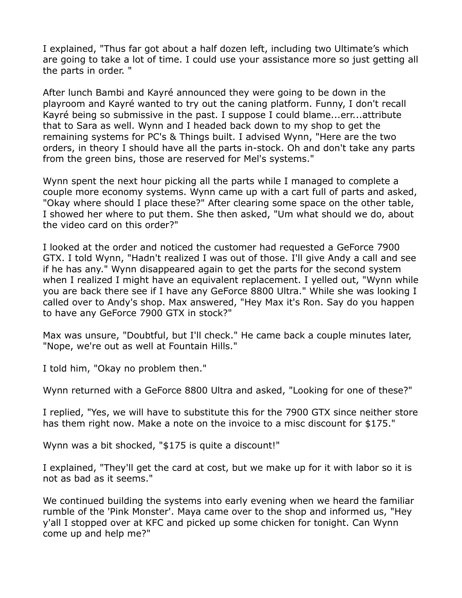I explained, "Thus far got about a half dozen left, including two Ultimate's which are going to take a lot of time. I could use your assistance more so just getting all the parts in order. "

After lunch Bambi and Kayré announced they were going to be down in the playroom and Kayré wanted to try out the caning platform. Funny, I don't recall Kayré being so submissive in the past. I suppose I could blame...err...attribute that to Sara as well. Wynn and I headed back down to my shop to get the remaining systems for PC's & Things built. I advised Wynn, "Here are the two orders, in theory I should have all the parts in-stock. Oh and don't take any parts from the green bins, those are reserved for Mel's systems."

Wynn spent the next hour picking all the parts while I managed to complete a couple more economy systems. Wynn came up with a cart full of parts and asked, "Okay where should I place these?" After clearing some space on the other table, I showed her where to put them. She then asked, "Um what should we do, about the video card on this order?"

I looked at the order and noticed the customer had requested a GeForce 7900 GTX. I told Wynn, "Hadn't realized I was out of those. I'll give Andy a call and see if he has any." Wynn disappeared again to get the parts for the second system when I realized I might have an equivalent replacement. I yelled out, "Wynn while you are back there see if I have any GeForce 8800 Ultra." While she was looking I called over to Andy's shop. Max answered, "Hey Max it's Ron. Say do you happen to have any GeForce 7900 GTX in stock?"

Max was unsure, "Doubtful, but I'll check." He came back a couple minutes later, "Nope, we're out as well at Fountain Hills."

I told him, "Okay no problem then."

Wynn returned with a GeForce 8800 Ultra and asked, "Looking for one of these?"

I replied, "Yes, we will have to substitute this for the 7900 GTX since neither store has them right now. Make a note on the invoice to a misc discount for \$175."

Wynn was a bit shocked, "\$175 is quite a discount!"

I explained, "They'll get the card at cost, but we make up for it with labor so it is not as bad as it seems."

We continued building the systems into early evening when we heard the familiar rumble of the 'Pink Monster'. Maya came over to the shop and informed us, "Hey y'all I stopped over at KFC and picked up some chicken for tonight. Can Wynn come up and help me?"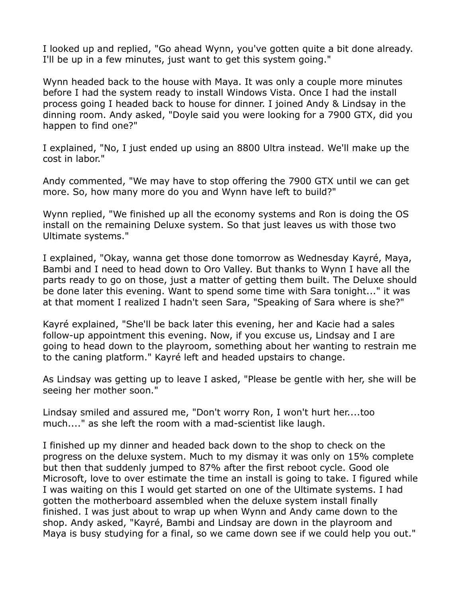I looked up and replied, "Go ahead Wynn, you've gotten quite a bit done already. I'll be up in a few minutes, just want to get this system going."

Wynn headed back to the house with Maya. It was only a couple more minutes before I had the system ready to install Windows Vista. Once I had the install process going I headed back to house for dinner. I joined Andy & Lindsay in the dinning room. Andy asked, "Doyle said you were looking for a 7900 GTX, did you happen to find one?"

I explained, "No, I just ended up using an 8800 Ultra instead. We'll make up the cost in labor."

Andy commented, "We may have to stop offering the 7900 GTX until we can get more. So, how many more do you and Wynn have left to build?"

Wynn replied, "We finished up all the economy systems and Ron is doing the OS install on the remaining Deluxe system. So that just leaves us with those two Ultimate systems."

I explained, "Okay, wanna get those done tomorrow as Wednesday Kayré, Maya, Bambi and I need to head down to Oro Valley. But thanks to Wynn I have all the parts ready to go on those, just a matter of getting them built. The Deluxe should be done later this evening. Want to spend some time with Sara tonight..." it was at that moment I realized I hadn't seen Sara, "Speaking of Sara where is she?"

Kayré explained, "She'll be back later this evening, her and Kacie had a sales follow-up appointment this evening. Now, if you excuse us, Lindsay and I are going to head down to the playroom, something about her wanting to restrain me to the caning platform." Kayré left and headed upstairs to change.

As Lindsay was getting up to leave I asked, "Please be gentle with her, she will be seeing her mother soon."

Lindsay smiled and assured me, "Don't worry Ron, I won't hurt her....too much...." as she left the room with a mad-scientist like laugh.

I finished up my dinner and headed back down to the shop to check on the progress on the deluxe system. Much to my dismay it was only on 15% complete but then that suddenly jumped to 87% after the first reboot cycle. Good ole Microsoft, love to over estimate the time an install is going to take. I figured while I was waiting on this I would get started on one of the Ultimate systems. I had gotten the motherboard assembled when the deluxe system install finally finished. I was just about to wrap up when Wynn and Andy came down to the shop. Andy asked, "Kayré, Bambi and Lindsay are down in the playroom and Maya is busy studying for a final, so we came down see if we could help you out."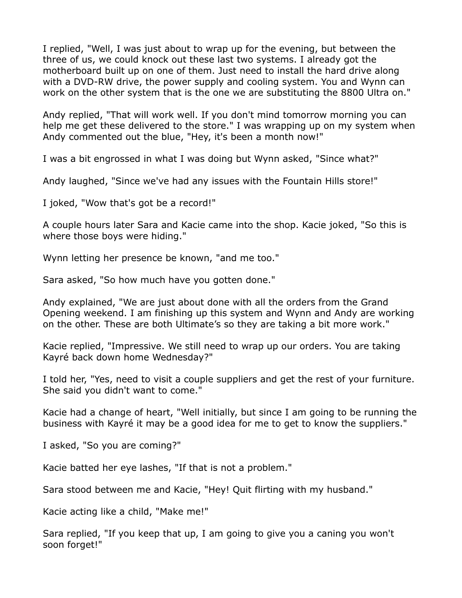I replied, "Well, I was just about to wrap up for the evening, but between the three of us, we could knock out these last two systems. I already got the motherboard built up on one of them. Just need to install the hard drive along with a DVD-RW drive, the power supply and cooling system. You and Wynn can work on the other system that is the one we are substituting the 8800 Ultra on."

Andy replied, "That will work well. If you don't mind tomorrow morning you can help me get these delivered to the store." I was wrapping up on my system when Andy commented out the blue, "Hey, it's been a month now!"

I was a bit engrossed in what I was doing but Wynn asked, "Since what?"

Andy laughed, "Since we've had any issues with the Fountain Hills store!"

I joked, "Wow that's got be a record!"

A couple hours later Sara and Kacie came into the shop. Kacie joked, "So this is where those boys were hiding."

Wynn letting her presence be known, "and me too."

Sara asked, "So how much have you gotten done."

Andy explained, "We are just about done with all the orders from the Grand Opening weekend. I am finishing up this system and Wynn and Andy are working on the other. These are both Ultimate's so they are taking a bit more work."

Kacie replied, "Impressive. We still need to wrap up our orders. You are taking Kayré back down home Wednesday?"

I told her, "Yes, need to visit a couple suppliers and get the rest of your furniture. She said you didn't want to come."

Kacie had a change of heart, "Well initially, but since I am going to be running the business with Kayré it may be a good idea for me to get to know the suppliers."

I asked, "So you are coming?"

Kacie batted her eye lashes, "If that is not a problem."

Sara stood between me and Kacie, "Hey! Quit flirting with my husband."

Kacie acting like a child, "Make me!"

Sara replied, "If you keep that up, I am going to give you a caning you won't soon forget!"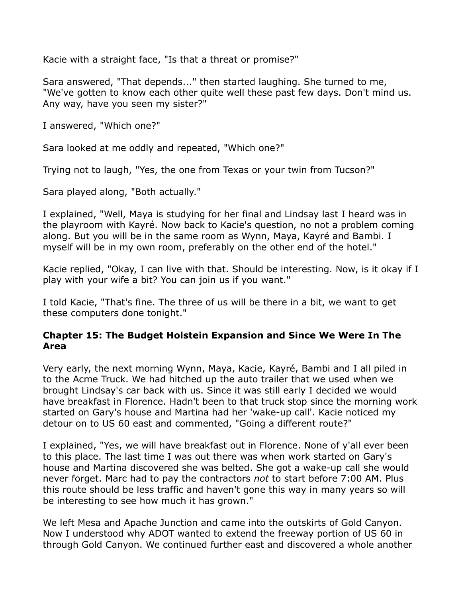Kacie with a straight face, "Is that a threat or promise?"

Sara answered, "That depends..." then started laughing. She turned to me, "We've gotten to know each other quite well these past few days. Don't mind us. Any way, have you seen my sister?"

I answered, "Which one?"

Sara looked at me oddly and repeated, "Which one?"

Trying not to laugh, "Yes, the one from Texas or your twin from Tucson?"

Sara played along, "Both actually."

I explained, "Well, Maya is studying for her final and Lindsay last I heard was in the playroom with Kayré. Now back to Kacie's question, no not a problem coming along. But you will be in the same room as Wynn, Maya, Kayré and Bambi. I myself will be in my own room, preferably on the other end of the hotel."

Kacie replied, "Okay, I can live with that. Should be interesting. Now, is it okay if I play with your wife a bit? You can join us if you want."

I told Kacie, "That's fine. The three of us will be there in a bit, we want to get these computers done tonight."

## **Chapter 15: The Budget Holstein Expansion and Since We Were In The Area**

Very early, the next morning Wynn, Maya, Kacie, Kayré, Bambi and I all piled in to the Acme Truck. We had hitched up the auto trailer that we used when we brought Lindsay's car back with us. Since it was still early I decided we would have breakfast in Florence. Hadn't been to that truck stop since the morning work started on Gary's house and Martina had her 'wake-up call'. Kacie noticed my detour on to US 60 east and commented, "Going a different route?"

I explained, "Yes, we will have breakfast out in Florence. None of y'all ever been to this place. The last time I was out there was when work started on Gary's house and Martina discovered she was belted. She got a wake-up call she would never forget. Marc had to pay the contractors *not* to start before 7:00 AM. Plus this route should be less traffic and haven't gone this way in many years so will be interesting to see how much it has grown."

We left Mesa and Apache Junction and came into the outskirts of Gold Canyon. Now I understood why ADOT wanted to extend the freeway portion of US 60 in through Gold Canyon. We continued further east and discovered a whole another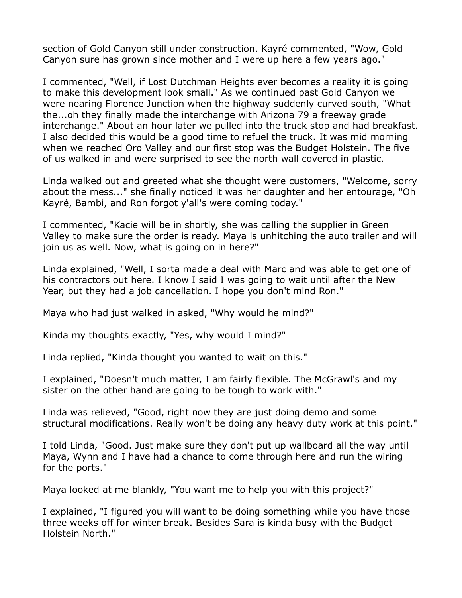section of Gold Canyon still under construction. Kayré commented, "Wow, Gold Canyon sure has grown since mother and I were up here a few years ago."

I commented, "Well, if Lost Dutchman Heights ever becomes a reality it is going to make this development look small." As we continued past Gold Canyon we were nearing Florence Junction when the highway suddenly curved south, "What the...oh they finally made the interchange with Arizona 79 a freeway grade interchange." About an hour later we pulled into the truck stop and had breakfast. I also decided this would be a good time to refuel the truck. It was mid morning when we reached Oro Valley and our first stop was the Budget Holstein. The five of us walked in and were surprised to see the north wall covered in plastic.

Linda walked out and greeted what she thought were customers, "Welcome, sorry about the mess..." she finally noticed it was her daughter and her entourage, "Oh Kayré, Bambi, and Ron forgot y'all's were coming today."

I commented, "Kacie will be in shortly, she was calling the supplier in Green Valley to make sure the order is ready. Maya is unhitching the auto trailer and will join us as well. Now, what is going on in here?"

Linda explained, "Well, I sorta made a deal with Marc and was able to get one of his contractors out here. I know I said I was going to wait until after the New Year, but they had a job cancellation. I hope you don't mind Ron."

Maya who had just walked in asked, "Why would he mind?"

Kinda my thoughts exactly, "Yes, why would I mind?"

Linda replied, "Kinda thought you wanted to wait on this."

I explained, "Doesn't much matter, I am fairly flexible. The McGrawl's and my sister on the other hand are going to be tough to work with."

Linda was relieved, "Good, right now they are just doing demo and some structural modifications. Really won't be doing any heavy duty work at this point."

I told Linda, "Good. Just make sure they don't put up wallboard all the way until Maya, Wynn and I have had a chance to come through here and run the wiring for the ports."

Maya looked at me blankly, "You want me to help you with this project?"

I explained, "I figured you will want to be doing something while you have those three weeks off for winter break. Besides Sara is kinda busy with the Budget Holstein North."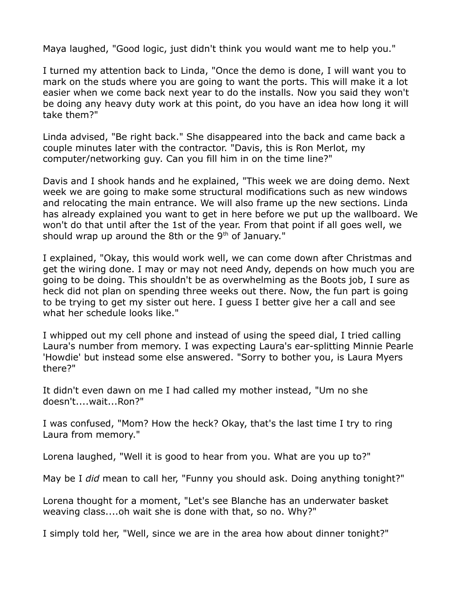Maya laughed, "Good logic, just didn't think you would want me to help you."

I turned my attention back to Linda, "Once the demo is done, I will want you to mark on the studs where you are going to want the ports. This will make it a lot easier when we come back next year to do the installs. Now you said they won't be doing any heavy duty work at this point, do you have an idea how long it will take them?"

Linda advised, "Be right back." She disappeared into the back and came back a couple minutes later with the contractor. "Davis, this is Ron Merlot, my computer/networking guy. Can you fill him in on the time line?"

Davis and I shook hands and he explained, "This week we are doing demo. Next week we are going to make some structural modifications such as new windows and relocating the main entrance. We will also frame up the new sections. Linda has already explained you want to get in here before we put up the wallboard. We won't do that until after the 1st of the year. From that point if all goes well, we should wrap up around the 8th or the  $9<sup>th</sup>$  of January."

I explained, "Okay, this would work well, we can come down after Christmas and get the wiring done. I may or may not need Andy, depends on how much you are going to be doing. This shouldn't be as overwhelming as the Boots job, I sure as heck did not plan on spending three weeks out there. Now, the fun part is going to be trying to get my sister out here. I guess I better give her a call and see what her schedule looks like."

I whipped out my cell phone and instead of using the speed dial, I tried calling Laura's number from memory. I was expecting Laura's ear-splitting Minnie Pearle 'Howdie' but instead some else answered. "Sorry to bother you, is Laura Myers there?"

It didn't even dawn on me I had called my mother instead, "Um no she doesn't....wait...Ron?"

I was confused, "Mom? How the heck? Okay, that's the last time I try to ring Laura from memory."

Lorena laughed, "Well it is good to hear from you. What are you up to?"

May be I *did* mean to call her, "Funny you should ask. Doing anything tonight?"

Lorena thought for a moment, "Let's see Blanche has an underwater basket weaving class....oh wait she is done with that, so no. Why?"

I simply told her, "Well, since we are in the area how about dinner tonight?"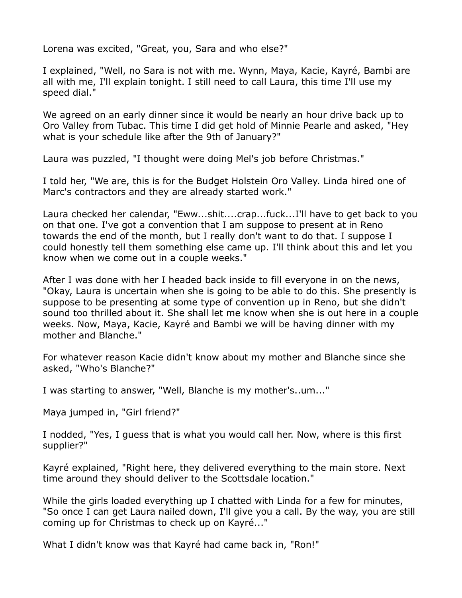Lorena was excited, "Great, you, Sara and who else?"

I explained, "Well, no Sara is not with me. Wynn, Maya, Kacie, Kayré, Bambi are all with me, I'll explain tonight. I still need to call Laura, this time I'll use my speed dial."

We agreed on an early dinner since it would be nearly an hour drive back up to Oro Valley from Tubac. This time I did get hold of Minnie Pearle and asked, "Hey what is your schedule like after the 9th of January?"

Laura was puzzled, "I thought were doing Mel's job before Christmas."

I told her, "We are, this is for the Budget Holstein Oro Valley. Linda hired one of Marc's contractors and they are already started work."

Laura checked her calendar, "Eww...shit....crap...fuck...I'll have to get back to you on that one. I've got a convention that I am suppose to present at in Reno towards the end of the month, but I really don't want to do that. I suppose I could honestly tell them something else came up. I'll think about this and let you know when we come out in a couple weeks."

After I was done with her I headed back inside to fill everyone in on the news, "Okay, Laura is uncertain when she is going to be able to do this. She presently is suppose to be presenting at some type of convention up in Reno, but she didn't sound too thrilled about it. She shall let me know when she is out here in a couple weeks. Now, Maya, Kacie, Kayré and Bambi we will be having dinner with my mother and Blanche."

For whatever reason Kacie didn't know about my mother and Blanche since she asked, "Who's Blanche?"

I was starting to answer, "Well, Blanche is my mother's..um..."

Maya jumped in, "Girl friend?"

I nodded, "Yes, I guess that is what you would call her. Now, where is this first supplier?"

Kayré explained, "Right here, they delivered everything to the main store. Next time around they should deliver to the Scottsdale location."

While the girls loaded everything up I chatted with Linda for a few for minutes, "So once I can get Laura nailed down, I'll give you a call. By the way, you are still coming up for Christmas to check up on Kayré..."

What I didn't know was that Kayré had came back in, "Ron!"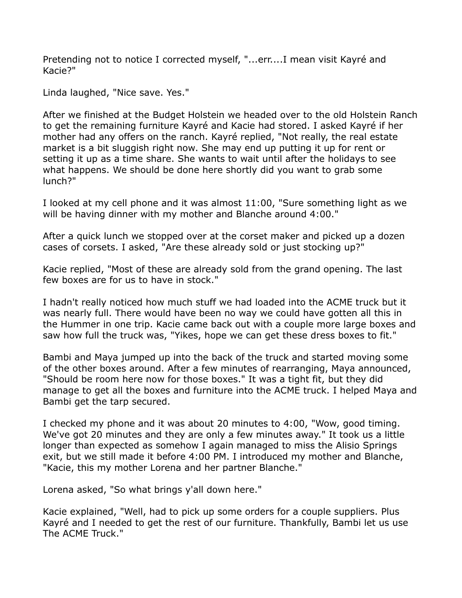Pretending not to notice I corrected myself, "...err....I mean visit Kayré and Kacie?"

Linda laughed, "Nice save. Yes."

After we finished at the Budget Holstein we headed over to the old Holstein Ranch to get the remaining furniture Kayré and Kacie had stored. I asked Kayré if her mother had any offers on the ranch. Kayré replied, "Not really, the real estate market is a bit sluggish right now. She may end up putting it up for rent or setting it up as a time share. She wants to wait until after the holidays to see what happens. We should be done here shortly did you want to grab some lunch?"

I looked at my cell phone and it was almost 11:00, "Sure something light as we will be having dinner with my mother and Blanche around 4:00."

After a quick lunch we stopped over at the corset maker and picked up a dozen cases of corsets. I asked, "Are these already sold or just stocking up?"

Kacie replied, "Most of these are already sold from the grand opening. The last few boxes are for us to have in stock."

I hadn't really noticed how much stuff we had loaded into the ACME truck but it was nearly full. There would have been no way we could have gotten all this in the Hummer in one trip. Kacie came back out with a couple more large boxes and saw how full the truck was, "Yikes, hope we can get these dress boxes to fit."

Bambi and Maya jumped up into the back of the truck and started moving some of the other boxes around. After a few minutes of rearranging, Maya announced, "Should be room here now for those boxes." It was a tight fit, but they did manage to get all the boxes and furniture into the ACME truck. I helped Maya and Bambi get the tarp secured.

I checked my phone and it was about 20 minutes to 4:00, "Wow, good timing. We've got 20 minutes and they are only a few minutes away." It took us a little longer than expected as somehow I again managed to miss the Alisio Springs exit, but we still made it before 4:00 PM. I introduced my mother and Blanche, "Kacie, this my mother Lorena and her partner Blanche."

Lorena asked, "So what brings y'all down here."

Kacie explained, "Well, had to pick up some orders for a couple suppliers. Plus Kayré and I needed to get the rest of our furniture. Thankfully, Bambi let us use The ACME Truck."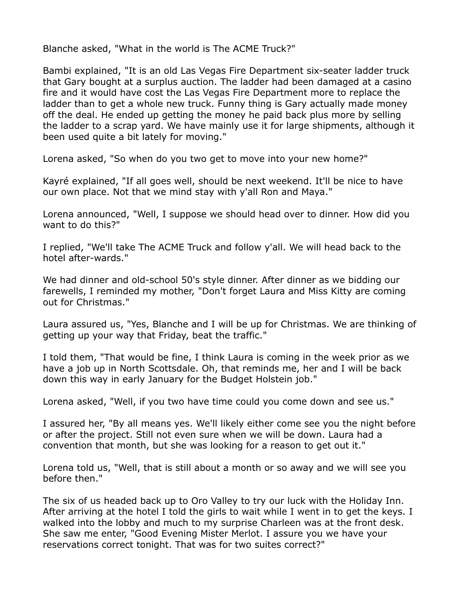Blanche asked, "What in the world is The ACME Truck?"

Bambi explained, "It is an old Las Vegas Fire Department six-seater ladder truck that Gary bought at a surplus auction. The ladder had been damaged at a casino fire and it would have cost the Las Vegas Fire Department more to replace the ladder than to get a whole new truck. Funny thing is Gary actually made money off the deal. He ended up getting the money he paid back plus more by selling the ladder to a scrap yard. We have mainly use it for large shipments, although it been used quite a bit lately for moving."

Lorena asked, "So when do you two get to move into your new home?"

Kayré explained, "If all goes well, should be next weekend. It'll be nice to have our own place. Not that we mind stay with y'all Ron and Maya."

Lorena announced, "Well, I suppose we should head over to dinner. How did you want to do this?"

I replied, "We'll take The ACME Truck and follow y'all. We will head back to the hotel after-wards."

We had dinner and old-school 50's style dinner. After dinner as we bidding our farewells, I reminded my mother, "Don't forget Laura and Miss Kitty are coming out for Christmas."

Laura assured us, "Yes, Blanche and I will be up for Christmas. We are thinking of getting up your way that Friday, beat the traffic."

I told them, "That would be fine, I think Laura is coming in the week prior as we have a job up in North Scottsdale. Oh, that reminds me, her and I will be back down this way in early January for the Budget Holstein job."

Lorena asked, "Well, if you two have time could you come down and see us."

I assured her, "By all means yes. We'll likely either come see you the night before or after the project. Still not even sure when we will be down. Laura had a convention that month, but she was looking for a reason to get out it."

Lorena told us, "Well, that is still about a month or so away and we will see you before then."

The six of us headed back up to Oro Valley to try our luck with the Holiday Inn. After arriving at the hotel I told the girls to wait while I went in to get the keys. I walked into the lobby and much to my surprise Charleen was at the front desk. She saw me enter, "Good Evening Mister Merlot. I assure you we have your reservations correct tonight. That was for two suites correct?"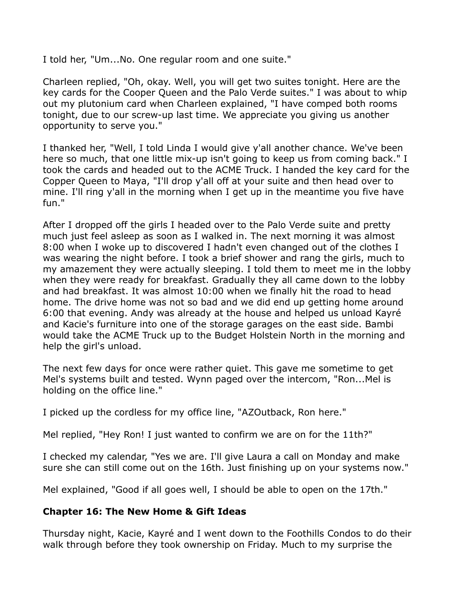I told her, "Um...No. One regular room and one suite."

Charleen replied, "Oh, okay. Well, you will get two suites tonight. Here are the key cards for the Cooper Queen and the Palo Verde suites." I was about to whip out my plutonium card when Charleen explained, "I have comped both rooms tonight, due to our screw-up last time. We appreciate you giving us another opportunity to serve you."

I thanked her, "Well, I told Linda I would give y'all another chance. We've been here so much, that one little mix-up isn't going to keep us from coming back." I took the cards and headed out to the ACME Truck. I handed the key card for the Copper Queen to Maya, "I'll drop y'all off at your suite and then head over to mine. I'll ring y'all in the morning when I get up in the meantime you five have fun."

After I dropped off the girls I headed over to the Palo Verde suite and pretty much just feel asleep as soon as I walked in. The next morning it was almost 8:00 when I woke up to discovered I hadn't even changed out of the clothes I was wearing the night before. I took a brief shower and rang the girls, much to my amazement they were actually sleeping. I told them to meet me in the lobby when they were ready for breakfast. Gradually they all came down to the lobby and had breakfast. It was almost 10:00 when we finally hit the road to head home. The drive home was not so bad and we did end up getting home around 6:00 that evening. Andy was already at the house and helped us unload Kayré and Kacie's furniture into one of the storage garages on the east side. Bambi would take the ACME Truck up to the Budget Holstein North in the morning and help the girl's unload.

The next few days for once were rather quiet. This gave me sometime to get Mel's systems built and tested. Wynn paged over the intercom, "Ron...Mel is holding on the office line."

I picked up the cordless for my office line, "AZOutback, Ron here."

Mel replied, "Hey Ron! I just wanted to confirm we are on for the 11th?"

I checked my calendar, "Yes we are. I'll give Laura a call on Monday and make sure she can still come out on the 16th. Just finishing up on your systems now."

Mel explained, "Good if all goes well, I should be able to open on the 17th."

## **Chapter 16: The New Home & Gift Ideas**

Thursday night, Kacie, Kayré and I went down to the Foothills Condos to do their walk through before they took ownership on Friday. Much to my surprise the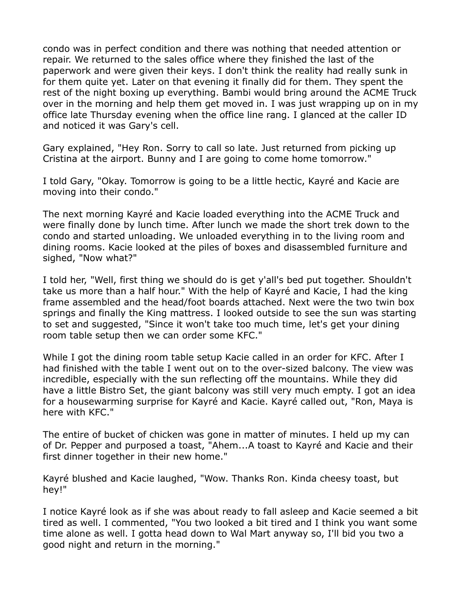condo was in perfect condition and there was nothing that needed attention or repair. We returned to the sales office where they finished the last of the paperwork and were given their keys. I don't think the reality had really sunk in for them quite yet. Later on that evening it finally did for them. They spent the rest of the night boxing up everything. Bambi would bring around the ACME Truck over in the morning and help them get moved in. I was just wrapping up on in my office late Thursday evening when the office line rang. I glanced at the caller ID and noticed it was Gary's cell.

Gary explained, "Hey Ron. Sorry to call so late. Just returned from picking up Cristina at the airport. Bunny and I are going to come home tomorrow."

I told Gary, "Okay. Tomorrow is going to be a little hectic, Kayré and Kacie are moving into their condo."

The next morning Kayré and Kacie loaded everything into the ACME Truck and were finally done by lunch time. After lunch we made the short trek down to the condo and started unloading. We unloaded everything in to the living room and dining rooms. Kacie looked at the piles of boxes and disassembled furniture and sighed, "Now what?"

I told her, "Well, first thing we should do is get y'all's bed put together. Shouldn't take us more than a half hour." With the help of Kayré and Kacie, I had the king frame assembled and the head/foot boards attached. Next were the two twin box springs and finally the King mattress. I looked outside to see the sun was starting to set and suggested, "Since it won't take too much time, let's get your dining room table setup then we can order some KFC."

While I got the dining room table setup Kacie called in an order for KFC. After I had finished with the table I went out on to the over-sized balcony. The view was incredible, especially with the sun reflecting off the mountains. While they did have a little Bistro Set, the giant balcony was still very much empty. I got an idea for a housewarming surprise for Kayré and Kacie. Kayré called out, "Ron, Maya is here with KFC."

The entire of bucket of chicken was gone in matter of minutes. I held up my can of Dr. Pepper and purposed a toast, "Ahem...A toast to Kayré and Kacie and their first dinner together in their new home."

Kayré blushed and Kacie laughed, "Wow. Thanks Ron. Kinda cheesy toast, but hey!"

I notice Kayré look as if she was about ready to fall asleep and Kacie seemed a bit tired as well. I commented, "You two looked a bit tired and I think you want some time alone as well. I gotta head down to Wal Mart anyway so, I'll bid you two a good night and return in the morning."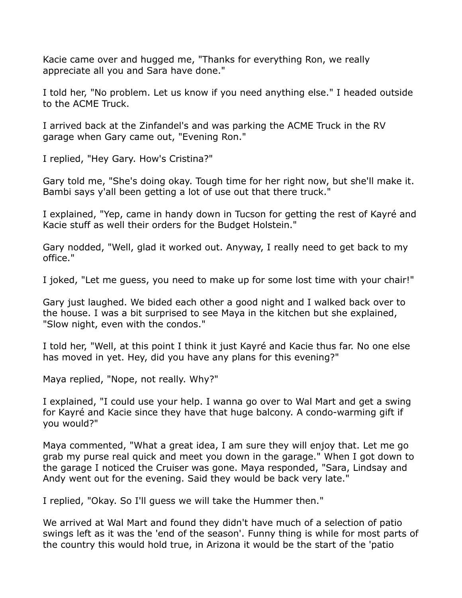Kacie came over and hugged me, "Thanks for everything Ron, we really appreciate all you and Sara have done."

I told her, "No problem. Let us know if you need anything else." I headed outside to the ACME Truck.

I arrived back at the Zinfandel's and was parking the ACME Truck in the RV garage when Gary came out, "Evening Ron."

I replied, "Hey Gary. How's Cristina?"

Gary told me, "She's doing okay. Tough time for her right now, but she'll make it. Bambi says y'all been getting a lot of use out that there truck."

I explained, "Yep, came in handy down in Tucson for getting the rest of Kayré and Kacie stuff as well their orders for the Budget Holstein."

Gary nodded, "Well, glad it worked out. Anyway, I really need to get back to my office."

I joked, "Let me guess, you need to make up for some lost time with your chair!"

Gary just laughed. We bided each other a good night and I walked back over to the house. I was a bit surprised to see Maya in the kitchen but she explained, "Slow night, even with the condos."

I told her, "Well, at this point I think it just Kayré and Kacie thus far. No one else has moved in yet. Hey, did you have any plans for this evening?"

Maya replied, "Nope, not really. Why?"

I explained, "I could use your help. I wanna go over to Wal Mart and get a swing for Kayré and Kacie since they have that huge balcony. A condo-warming gift if you would?"

Maya commented, "What a great idea, I am sure they will enjoy that. Let me go grab my purse real quick and meet you down in the garage." When I got down to the garage I noticed the Cruiser was gone. Maya responded, "Sara, Lindsay and Andy went out for the evening. Said they would be back very late."

I replied, "Okay. So I'll guess we will take the Hummer then."

We arrived at Wal Mart and found they didn't have much of a selection of patio swings left as it was the 'end of the season'. Funny thing is while for most parts of the country this would hold true, in Arizona it would be the start of the 'patio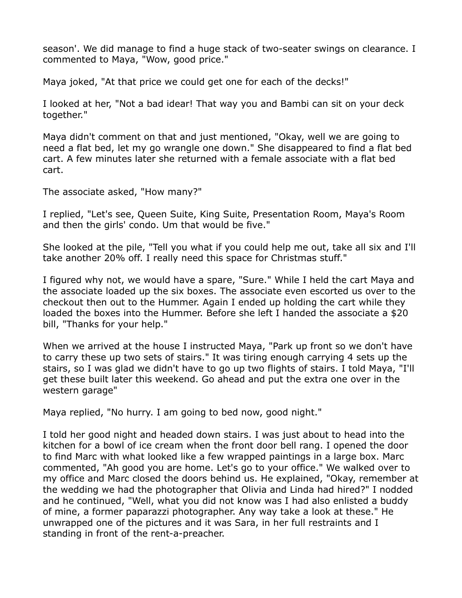season'. We did manage to find a huge stack of two-seater swings on clearance. I commented to Maya, "Wow, good price."

Maya joked, "At that price we could get one for each of the decks!"

I looked at her, "Not a bad idear! That way you and Bambi can sit on your deck together."

Maya didn't comment on that and just mentioned, "Okay, well we are going to need a flat bed, let my go wrangle one down." She disappeared to find a flat bed cart. A few minutes later she returned with a female associate with a flat bed cart.

The associate asked, "How many?"

I replied, "Let's see, Queen Suite, King Suite, Presentation Room, Maya's Room and then the girls' condo. Um that would be five."

She looked at the pile, "Tell you what if you could help me out, take all six and I'll take another 20% off. I really need this space for Christmas stuff."

I figured why not, we would have a spare, "Sure." While I held the cart Maya and the associate loaded up the six boxes. The associate even escorted us over to the checkout then out to the Hummer. Again I ended up holding the cart while they loaded the boxes into the Hummer. Before she left I handed the associate a \$20 bill, "Thanks for your help."

When we arrived at the house I instructed Maya, "Park up front so we don't have to carry these up two sets of stairs." It was tiring enough carrying 4 sets up the stairs, so I was glad we didn't have to go up two flights of stairs. I told Maya, "I'll get these built later this weekend. Go ahead and put the extra one over in the western garage"

Maya replied, "No hurry. I am going to bed now, good night."

I told her good night and headed down stairs. I was just about to head into the kitchen for a bowl of ice cream when the front door bell rang. I opened the door to find Marc with what looked like a few wrapped paintings in a large box. Marc commented, "Ah good you are home. Let's go to your office." We walked over to my office and Marc closed the doors behind us. He explained, "Okay, remember at the wedding we had the photographer that Olivia and Linda had hired?" I nodded and he continued, "Well, what you did not know was I had also enlisted a buddy of mine, a former paparazzi photographer. Any way take a look at these." He unwrapped one of the pictures and it was Sara, in her full restraints and I standing in front of the rent-a-preacher.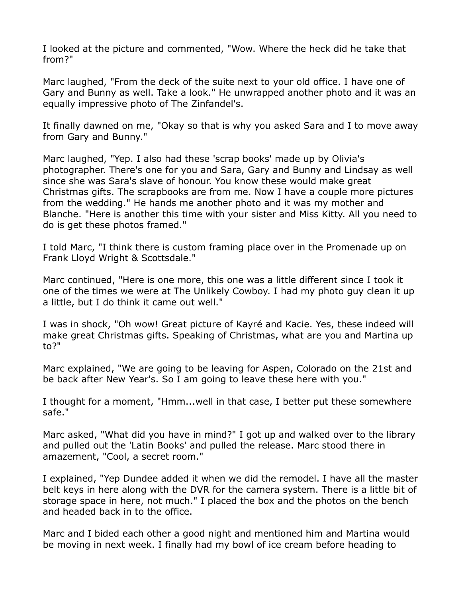I looked at the picture and commented, "Wow. Where the heck did he take that from?"

Marc laughed, "From the deck of the suite next to your old office. I have one of Gary and Bunny as well. Take a look." He unwrapped another photo and it was an equally impressive photo of The Zinfandel's.

It finally dawned on me, "Okay so that is why you asked Sara and I to move away from Gary and Bunny."

Marc laughed, "Yep. I also had these 'scrap books' made up by Olivia's photographer. There's one for you and Sara, Gary and Bunny and Lindsay as well since she was Sara's slave of honour. You know these would make great Christmas gifts. The scrapbooks are from me. Now I have a couple more pictures from the wedding." He hands me another photo and it was my mother and Blanche. "Here is another this time with your sister and Miss Kitty. All you need to do is get these photos framed."

I told Marc, "I think there is custom framing place over in the Promenade up on Frank Lloyd Wright & Scottsdale."

Marc continued, "Here is one more, this one was a little different since I took it one of the times we were at The Unlikely Cowboy. I had my photo guy clean it up a little, but I do think it came out well."

I was in shock, "Oh wow! Great picture of Kayré and Kacie. Yes, these indeed will make great Christmas gifts. Speaking of Christmas, what are you and Martina up to?"

Marc explained, "We are going to be leaving for Aspen, Colorado on the 21st and be back after New Year's. So I am going to leave these here with you."

I thought for a moment, "Hmm...well in that case, I better put these somewhere safe."

Marc asked, "What did you have in mind?" I got up and walked over to the library and pulled out the 'Latin Books' and pulled the release. Marc stood there in amazement, "Cool, a secret room."

I explained, "Yep Dundee added it when we did the remodel. I have all the master belt keys in here along with the DVR for the camera system. There is a little bit of storage space in here, not much." I placed the box and the photos on the bench and headed back in to the office.

Marc and I bided each other a good night and mentioned him and Martina would be moving in next week. I finally had my bowl of ice cream before heading to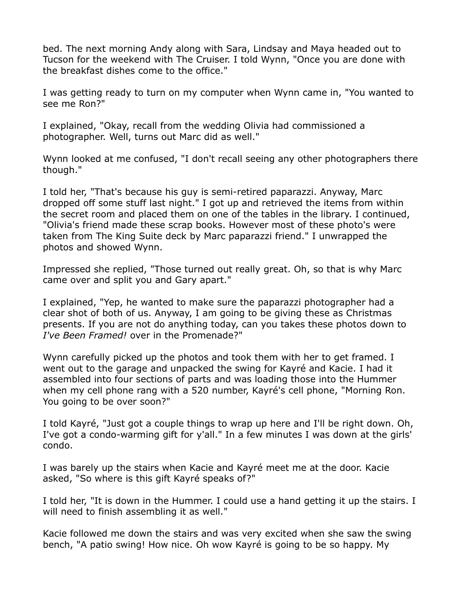bed. The next morning Andy along with Sara, Lindsay and Maya headed out to Tucson for the weekend with The Cruiser. I told Wynn, "Once you are done with the breakfast dishes come to the office."

I was getting ready to turn on my computer when Wynn came in, "You wanted to see me Ron?"

I explained, "Okay, recall from the wedding Olivia had commissioned a photographer. Well, turns out Marc did as well."

Wynn looked at me confused, "I don't recall seeing any other photographers there though."

I told her, "That's because his guy is semi-retired paparazzi. Anyway, Marc dropped off some stuff last night." I got up and retrieved the items from within the secret room and placed them on one of the tables in the library. I continued, "Olivia's friend made these scrap books. However most of these photo's were taken from The King Suite deck by Marc paparazzi friend." I unwrapped the photos and showed Wynn.

Impressed she replied, "Those turned out really great. Oh, so that is why Marc came over and split you and Gary apart."

I explained, "Yep, he wanted to make sure the paparazzi photographer had a clear shot of both of us. Anyway, I am going to be giving these as Christmas presents. If you are not do anything today, can you takes these photos down to *I've Been Framed!* over in the Promenade?"

Wynn carefully picked up the photos and took them with her to get framed. I went out to the garage and unpacked the swing for Kayré and Kacie. I had it assembled into four sections of parts and was loading those into the Hummer when my cell phone rang with a 520 number, Kayré's cell phone, "Morning Ron. You going to be over soon?"

I told Kayré, "Just got a couple things to wrap up here and I'll be right down. Oh, I've got a condo-warming gift for y'all." In a few minutes I was down at the girls' condo.

I was barely up the stairs when Kacie and Kayré meet me at the door. Kacie asked, "So where is this gift Kayré speaks of?"

I told her, "It is down in the Hummer. I could use a hand getting it up the stairs. I will need to finish assembling it as well."

Kacie followed me down the stairs and was very excited when she saw the swing bench, "A patio swing! How nice. Oh wow Kayré is going to be so happy. My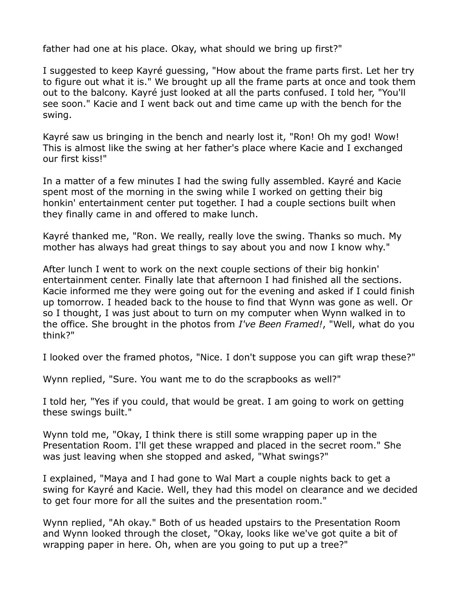father had one at his place. Okay, what should we bring up first?"

I suggested to keep Kayré guessing, "How about the frame parts first. Let her try to figure out what it is." We brought up all the frame parts at once and took them out to the balcony. Kayré just looked at all the parts confused. I told her, "You'll see soon." Kacie and I went back out and time came up with the bench for the swing.

Kayré saw us bringing in the bench and nearly lost it, "Ron! Oh my god! Wow! This is almost like the swing at her father's place where Kacie and I exchanged our first kiss!"

In a matter of a few minutes I had the swing fully assembled. Kayré and Kacie spent most of the morning in the swing while I worked on getting their big honkin' entertainment center put together. I had a couple sections built when they finally came in and offered to make lunch.

Kayré thanked me, "Ron. We really, really love the swing. Thanks so much. My mother has always had great things to say about you and now I know why."

After lunch I went to work on the next couple sections of their big honkin' entertainment center. Finally late that afternoon I had finished all the sections. Kacie informed me they were going out for the evening and asked if I could finish up tomorrow. I headed back to the house to find that Wynn was gone as well. Or so I thought, I was just about to turn on my computer when Wynn walked in to the office. She brought in the photos from *I've Been Framed!*, "Well, what do you think?"

I looked over the framed photos, "Nice. I don't suppose you can gift wrap these?"

Wynn replied, "Sure. You want me to do the scrapbooks as well?"

I told her, "Yes if you could, that would be great. I am going to work on getting these swings built."

Wynn told me, "Okay, I think there is still some wrapping paper up in the Presentation Room. I'll get these wrapped and placed in the secret room." She was just leaving when she stopped and asked, "What swings?"

I explained, "Maya and I had gone to Wal Mart a couple nights back to get a swing for Kayré and Kacie. Well, they had this model on clearance and we decided to get four more for all the suites and the presentation room."

Wynn replied, "Ah okay." Both of us headed upstairs to the Presentation Room and Wynn looked through the closet, "Okay, looks like we've got quite a bit of wrapping paper in here. Oh, when are you going to put up a tree?"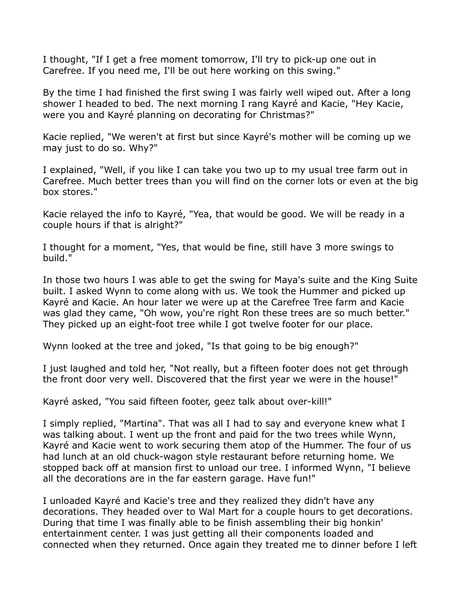I thought, "If I get a free moment tomorrow, I'll try to pick-up one out in Carefree. If you need me, I'll be out here working on this swing."

By the time I had finished the first swing I was fairly well wiped out. After a long shower I headed to bed. The next morning I rang Kayré and Kacie, "Hey Kacie, were you and Kayré planning on decorating for Christmas?"

Kacie replied, "We weren't at first but since Kayré's mother will be coming up we may just to do so. Why?"

I explained, "Well, if you like I can take you two up to my usual tree farm out in Carefree. Much better trees than you will find on the corner lots or even at the big box stores."

Kacie relayed the info to Kayré, "Yea, that would be good. We will be ready in a couple hours if that is alright?"

I thought for a moment, "Yes, that would be fine, still have 3 more swings to build."

In those two hours I was able to get the swing for Maya's suite and the King Suite built. I asked Wynn to come along with us. We took the Hummer and picked up Kayré and Kacie. An hour later we were up at the Carefree Tree farm and Kacie was glad they came, "Oh wow, you're right Ron these trees are so much better." They picked up an eight-foot tree while I got twelve footer for our place.

Wynn looked at the tree and joked, "Is that going to be big enough?"

I just laughed and told her, "Not really, but a fifteen footer does not get through the front door very well. Discovered that the first year we were in the house!"

Kayré asked, "You said fifteen footer, geez talk about over-kill!"

I simply replied, "Martina". That was all I had to say and everyone knew what I was talking about. I went up the front and paid for the two trees while Wynn, Kayré and Kacie went to work securing them atop of the Hummer. The four of us had lunch at an old chuck-wagon style restaurant before returning home. We stopped back off at mansion first to unload our tree. I informed Wynn, "I believe all the decorations are in the far eastern garage. Have fun!"

I unloaded Kayré and Kacie's tree and they realized they didn't have any decorations. They headed over to Wal Mart for a couple hours to get decorations. During that time I was finally able to be finish assembling their big honkin' entertainment center. I was just getting all their components loaded and connected when they returned. Once again they treated me to dinner before I left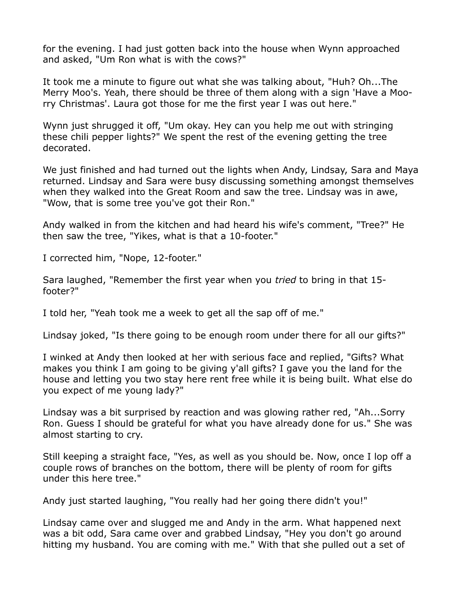for the evening. I had just gotten back into the house when Wynn approached and asked, "Um Ron what is with the cows?"

It took me a minute to figure out what she was talking about, "Huh? Oh...The Merry Moo's. Yeah, there should be three of them along with a sign 'Have a Moorry Christmas'. Laura got those for me the first year I was out here."

Wynn just shrugged it off, "Um okay. Hey can you help me out with stringing these chili pepper lights?" We spent the rest of the evening getting the tree decorated.

We just finished and had turned out the lights when Andy, Lindsay, Sara and Maya returned. Lindsay and Sara were busy discussing something amongst themselves when they walked into the Great Room and saw the tree. Lindsay was in awe, "Wow, that is some tree you've got their Ron."

Andy walked in from the kitchen and had heard his wife's comment, "Tree?" He then saw the tree, "Yikes, what is that a 10-footer."

I corrected him, "Nope, 12-footer."

Sara laughed, "Remember the first year when you *tried* to bring in that 15 footer?"

I told her, "Yeah took me a week to get all the sap off of me."

Lindsay joked, "Is there going to be enough room under there for all our gifts?"

I winked at Andy then looked at her with serious face and replied, "Gifts? What makes you think I am going to be giving y'all gifts? I gave you the land for the house and letting you two stay here rent free while it is being built. What else do you expect of me young lady?"

Lindsay was a bit surprised by reaction and was glowing rather red, "Ah...Sorry Ron. Guess I should be grateful for what you have already done for us." She was almost starting to cry.

Still keeping a straight face, "Yes, as well as you should be. Now, once I lop off a couple rows of branches on the bottom, there will be plenty of room for gifts under this here tree."

Andy just started laughing, "You really had her going there didn't you!"

Lindsay came over and slugged me and Andy in the arm. What happened next was a bit odd, Sara came over and grabbed Lindsay, "Hey you don't go around hitting my husband. You are coming with me." With that she pulled out a set of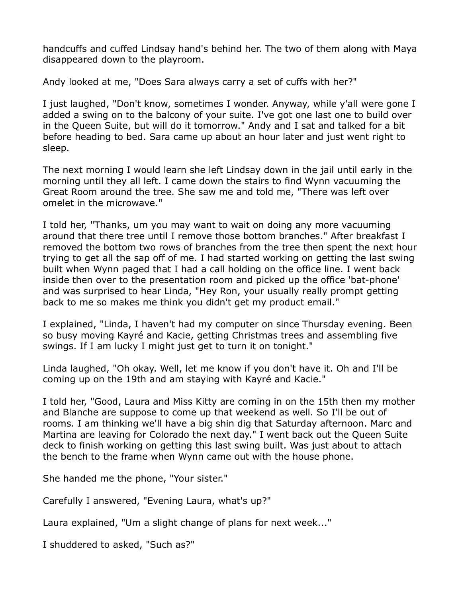handcuffs and cuffed Lindsay hand's behind her. The two of them along with Maya disappeared down to the playroom.

Andy looked at me, "Does Sara always carry a set of cuffs with her?"

I just laughed, "Don't know, sometimes I wonder. Anyway, while y'all were gone I added a swing on to the balcony of your suite. I've got one last one to build over in the Queen Suite, but will do it tomorrow." Andy and I sat and talked for a bit before heading to bed. Sara came up about an hour later and just went right to sleep.

The next morning I would learn she left Lindsay down in the jail until early in the morning until they all left. I came down the stairs to find Wynn vacuuming the Great Room around the tree. She saw me and told me, "There was left over omelet in the microwave."

I told her, "Thanks, um you may want to wait on doing any more vacuuming around that there tree until I remove those bottom branches." After breakfast I removed the bottom two rows of branches from the tree then spent the next hour trying to get all the sap off of me. I had started working on getting the last swing built when Wynn paged that I had a call holding on the office line. I went back inside then over to the presentation room and picked up the office 'bat-phone' and was surprised to hear Linda, "Hey Ron, your usually really prompt getting back to me so makes me think you didn't get my product email."

I explained, "Linda, I haven't had my computer on since Thursday evening. Been so busy moving Kayré and Kacie, getting Christmas trees and assembling five swings. If I am lucky I might just get to turn it on tonight."

Linda laughed, "Oh okay. Well, let me know if you don't have it. Oh and I'll be coming up on the 19th and am staying with Kayré and Kacie."

I told her, "Good, Laura and Miss Kitty are coming in on the 15th then my mother and Blanche are suppose to come up that weekend as well. So I'll be out of rooms. I am thinking we'll have a big shin dig that Saturday afternoon. Marc and Martina are leaving for Colorado the next day." I went back out the Queen Suite deck to finish working on getting this last swing built. Was just about to attach the bench to the frame when Wynn came out with the house phone.

She handed me the phone, "Your sister."

Carefully I answered, "Evening Laura, what's up?"

Laura explained, "Um a slight change of plans for next week..."

I shuddered to asked, "Such as?"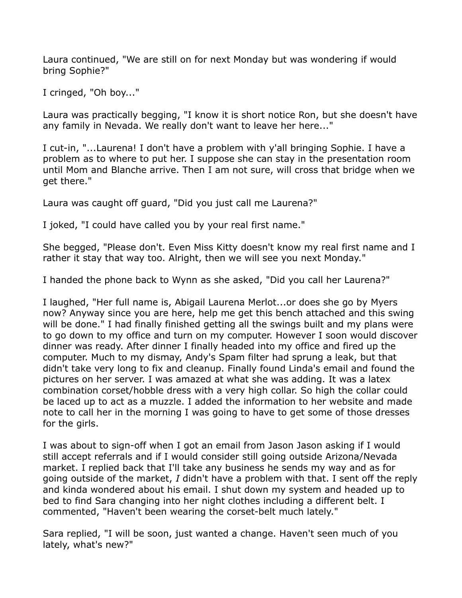Laura continued, "We are still on for next Monday but was wondering if would bring Sophie?"

I cringed, "Oh boy..."

Laura was practically begging, "I know it is short notice Ron, but she doesn't have any family in Nevada. We really don't want to leave her here..."

I cut-in, "...Laurena! I don't have a problem with y'all bringing Sophie. I have a problem as to where to put her. I suppose she can stay in the presentation room until Mom and Blanche arrive. Then I am not sure, will cross that bridge when we get there."

Laura was caught off guard, "Did you just call me Laurena?"

I joked, "I could have called you by your real first name."

She begged, "Please don't. Even Miss Kitty doesn't know my real first name and I rather it stay that way too. Alright, then we will see you next Monday."

I handed the phone back to Wynn as she asked, "Did you call her Laurena?"

I laughed, "Her full name is, Abigail Laurena Merlot...or does she go by Myers now? Anyway since you are here, help me get this bench attached and this swing will be done." I had finally finished getting all the swings built and my plans were to go down to my office and turn on my computer. However I soon would discover dinner was ready. After dinner I finally headed into my office and fired up the computer. Much to my dismay, Andy's Spam filter had sprung a leak, but that didn't take very long to fix and cleanup. Finally found Linda's email and found the pictures on her server. I was amazed at what she was adding. It was a latex combination corset/hobble dress with a very high collar. So high the collar could be laced up to act as a muzzle. I added the information to her website and made note to call her in the morning I was going to have to get some of those dresses for the girls.

I was about to sign-off when I got an email from Jason Jason asking if I would still accept referrals and if I would consider still going outside Arizona/Nevada market. I replied back that I'll take any business he sends my way and as for going outside of the market, *I* didn't have a problem with that. I sent off the reply and kinda wondered about his email. I shut down my system and headed up to bed to find Sara changing into her night clothes including a different belt. I commented, "Haven't been wearing the corset-belt much lately."

Sara replied, "I will be soon, just wanted a change. Haven't seen much of you lately, what's new?"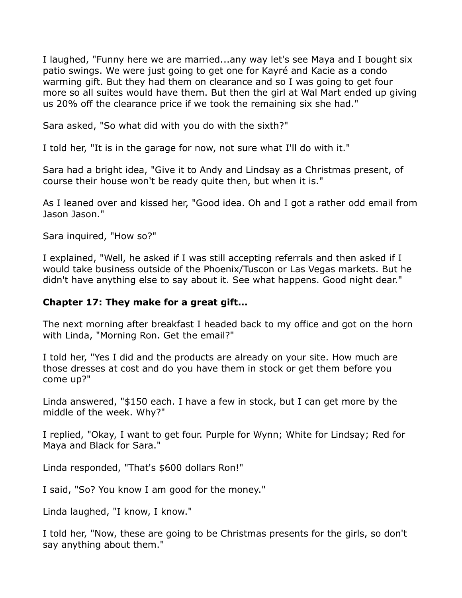I laughed, "Funny here we are married...any way let's see Maya and I bought six patio swings. We were just going to get one for Kayré and Kacie as a condo warming gift. But they had them on clearance and so I was going to get four more so all suites would have them. But then the girl at Wal Mart ended up giving us 20% off the clearance price if we took the remaining six she had."

Sara asked, "So what did with you do with the sixth?"

I told her, "It is in the garage for now, not sure what I'll do with it."

Sara had a bright idea, "Give it to Andy and Lindsay as a Christmas present, of course their house won't be ready quite then, but when it is."

As I leaned over and kissed her, "Good idea. Oh and I got a rather odd email from Jason Jason."

Sara inquired, "How so?"

I explained, "Well, he asked if I was still accepting referrals and then asked if I would take business outside of the Phoenix/Tuscon or Las Vegas markets. But he didn't have anything else to say about it. See what happens. Good night dear."

### **Chapter 17: They make for a great gift...**

The next morning after breakfast I headed back to my office and got on the horn with Linda, "Morning Ron. Get the email?"

I told her, "Yes I did and the products are already on your site. How much are those dresses at cost and do you have them in stock or get them before you come up?"

Linda answered, "\$150 each. I have a few in stock, but I can get more by the middle of the week. Why?"

I replied, "Okay, I want to get four. Purple for Wynn; White for Lindsay; Red for Maya and Black for Sara."

Linda responded, "That's \$600 dollars Ron!"

I said, "So? You know I am good for the money."

Linda laughed, "I know, I know."

I told her, "Now, these are going to be Christmas presents for the girls, so don't say anything about them."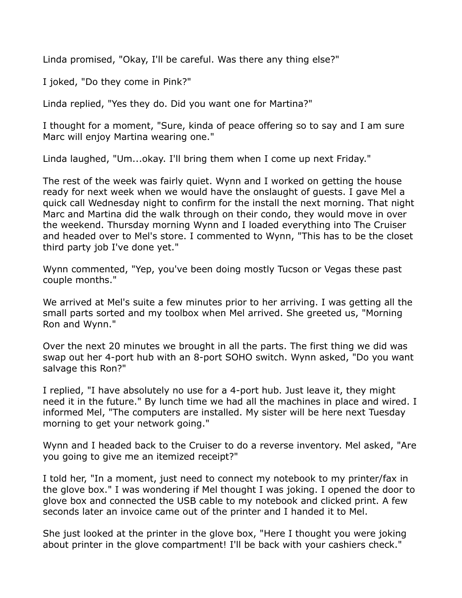Linda promised, "Okay, I'll be careful. Was there any thing else?"

I joked, "Do they come in Pink?"

Linda replied, "Yes they do. Did you want one for Martina?"

I thought for a moment, "Sure, kinda of peace offering so to say and I am sure Marc will enjoy Martina wearing one."

Linda laughed, "Um...okay. I'll bring them when I come up next Friday."

The rest of the week was fairly quiet. Wynn and I worked on getting the house ready for next week when we would have the onslaught of guests. I gave Mel a quick call Wednesday night to confirm for the install the next morning. That night Marc and Martina did the walk through on their condo, they would move in over the weekend. Thursday morning Wynn and I loaded everything into The Cruiser and headed over to Mel's store. I commented to Wynn, "This has to be the closet third party job I've done yet."

Wynn commented, "Yep, you've been doing mostly Tucson or Vegas these past couple months."

We arrived at Mel's suite a few minutes prior to her arriving. I was getting all the small parts sorted and my toolbox when Mel arrived. She greeted us, "Morning Ron and Wynn."

Over the next 20 minutes we brought in all the parts. The first thing we did was swap out her 4-port hub with an 8-port SOHO switch. Wynn asked, "Do you want salvage this Ron?"

I replied, "I have absolutely no use for a 4-port hub. Just leave it, they might need it in the future." By lunch time we had all the machines in place and wired. I informed Mel, "The computers are installed. My sister will be here next Tuesday morning to get your network going."

Wynn and I headed back to the Cruiser to do a reverse inventory. Mel asked, "Are you going to give me an itemized receipt?"

I told her, "In a moment, just need to connect my notebook to my printer/fax in the glove box." I was wondering if Mel thought I was joking. I opened the door to glove box and connected the USB cable to my notebook and clicked print. A few seconds later an invoice came out of the printer and I handed it to Mel.

She just looked at the printer in the glove box, "Here I thought you were joking about printer in the glove compartment! I'll be back with your cashiers check."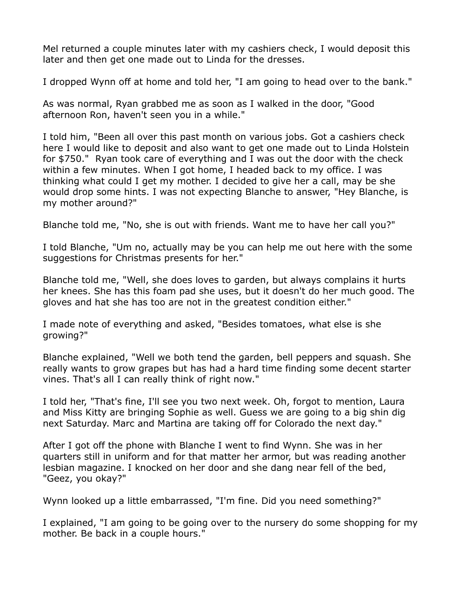Mel returned a couple minutes later with my cashiers check, I would deposit this later and then get one made out to Linda for the dresses.

I dropped Wynn off at home and told her, "I am going to head over to the bank."

As was normal, Ryan grabbed me as soon as I walked in the door, "Good afternoon Ron, haven't seen you in a while."

I told him, "Been all over this past month on various jobs. Got a cashiers check here I would like to deposit and also want to get one made out to Linda Holstein for \$750." Ryan took care of everything and I was out the door with the check within a few minutes. When I got home, I headed back to my office. I was thinking what could I get my mother. I decided to give her a call, may be she would drop some hints. I was not expecting Blanche to answer, "Hey Blanche, is my mother around?"

Blanche told me, "No, she is out with friends. Want me to have her call you?"

I told Blanche, "Um no, actually may be you can help me out here with the some suggestions for Christmas presents for her."

Blanche told me, "Well, she does loves to garden, but always complains it hurts her knees. She has this foam pad she uses, but it doesn't do her much good. The gloves and hat she has too are not in the greatest condition either."

I made note of everything and asked, "Besides tomatoes, what else is she growing?"

Blanche explained, "Well we both tend the garden, bell peppers and squash. She really wants to grow grapes but has had a hard time finding some decent starter vines. That's all I can really think of right now."

I told her, "That's fine, I'll see you two next week. Oh, forgot to mention, Laura and Miss Kitty are bringing Sophie as well. Guess we are going to a big shin dig next Saturday. Marc and Martina are taking off for Colorado the next day."

After I got off the phone with Blanche I went to find Wynn. She was in her quarters still in uniform and for that matter her armor, but was reading another lesbian magazine. I knocked on her door and she dang near fell of the bed, "Geez, you okay?"

Wynn looked up a little embarrassed, "I'm fine. Did you need something?"

I explained, "I am going to be going over to the nursery do some shopping for my mother. Be back in a couple hours."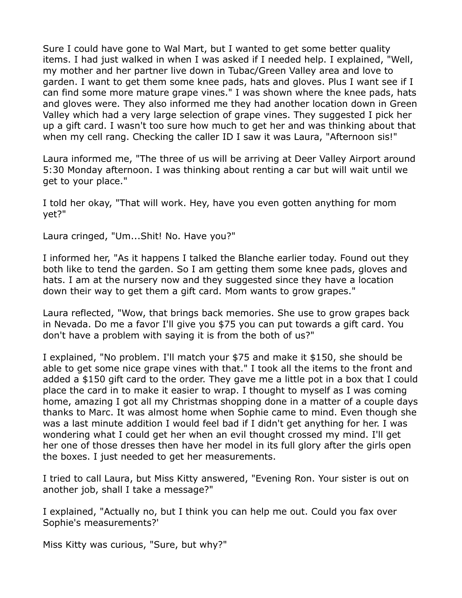Sure I could have gone to Wal Mart, but I wanted to get some better quality items. I had just walked in when I was asked if I needed help. I explained, "Well, my mother and her partner live down in Tubac/Green Valley area and love to garden. I want to get them some knee pads, hats and gloves. Plus I want see if I can find some more mature grape vines." I was shown where the knee pads, hats and gloves were. They also informed me they had another location down in Green Valley which had a very large selection of grape vines. They suggested I pick her up a gift card. I wasn't too sure how much to get her and was thinking about that when my cell rang. Checking the caller ID I saw it was Laura, "Afternoon sis!"

Laura informed me, "The three of us will be arriving at Deer Valley Airport around 5:30 Monday afternoon. I was thinking about renting a car but will wait until we get to your place."

I told her okay, "That will work. Hey, have you even gotten anything for mom yet?"

Laura cringed, "Um...Shit! No. Have you?"

I informed her, "As it happens I talked the Blanche earlier today. Found out they both like to tend the garden. So I am getting them some knee pads, gloves and hats. I am at the nursery now and they suggested since they have a location down their way to get them a gift card. Mom wants to grow grapes."

Laura reflected, "Wow, that brings back memories. She use to grow grapes back in Nevada. Do me a favor I'll give you \$75 you can put towards a gift card. You don't have a problem with saying it is from the both of us?"

I explained, "No problem. I'll match your \$75 and make it \$150, she should be able to get some nice grape vines with that." I took all the items to the front and added a \$150 gift card to the order. They gave me a little pot in a box that I could place the card in to make it easier to wrap. I thought to myself as I was coming home, amazing I got all my Christmas shopping done in a matter of a couple days thanks to Marc. It was almost home when Sophie came to mind. Even though she was a last minute addition I would feel bad if I didn't get anything for her. I was wondering what I could get her when an evil thought crossed my mind. I'll get her one of those dresses then have her model in its full glory after the girls open the boxes. I just needed to get her measurements.

I tried to call Laura, but Miss Kitty answered, "Evening Ron. Your sister is out on another job, shall I take a message?"

I explained, "Actually no, but I think you can help me out. Could you fax over Sophie's measurements?'

Miss Kitty was curious, "Sure, but why?"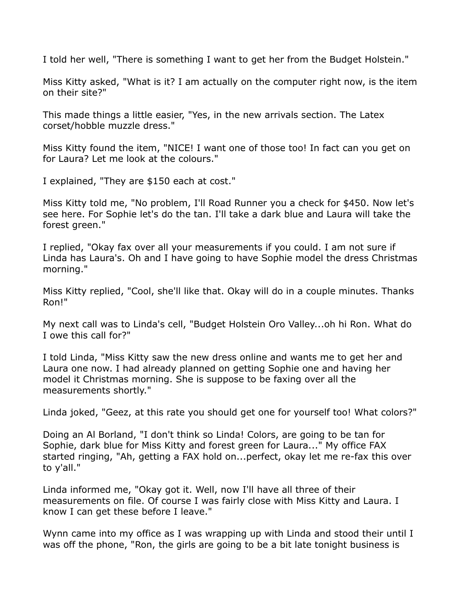I told her well, "There is something I want to get her from the Budget Holstein."

Miss Kitty asked, "What is it? I am actually on the computer right now, is the item on their site?"

This made things a little easier, "Yes, in the new arrivals section. The Latex corset/hobble muzzle dress."

Miss Kitty found the item, "NICE! I want one of those too! In fact can you get on for Laura? Let me look at the colours."

I explained, "They are \$150 each at cost."

Miss Kitty told me, "No problem, I'll Road Runner you a check for \$450. Now let's see here. For Sophie let's do the tan. I'll take a dark blue and Laura will take the forest green."

I replied, "Okay fax over all your measurements if you could. I am not sure if Linda has Laura's. Oh and I have going to have Sophie model the dress Christmas morning."

Miss Kitty replied, "Cool, she'll like that. Okay will do in a couple minutes. Thanks Ron!"

My next call was to Linda's cell, "Budget Holstein Oro Valley...oh hi Ron. What do I owe this call for?"

I told Linda, "Miss Kitty saw the new dress online and wants me to get her and Laura one now. I had already planned on getting Sophie one and having her model it Christmas morning. She is suppose to be faxing over all the measurements shortly."

Linda joked, "Geez, at this rate you should get one for yourself too! What colors?"

Doing an Al Borland, "I don't think so Linda! Colors, are going to be tan for Sophie, dark blue for Miss Kitty and forest green for Laura..." My office FAX started ringing, "Ah, getting a FAX hold on...perfect, okay let me re-fax this over to y'all."

Linda informed me, "Okay got it. Well, now I'll have all three of their measurements on file. Of course I was fairly close with Miss Kitty and Laura. I know I can get these before I leave."

Wynn came into my office as I was wrapping up with Linda and stood their until I was off the phone, "Ron, the girls are going to be a bit late tonight business is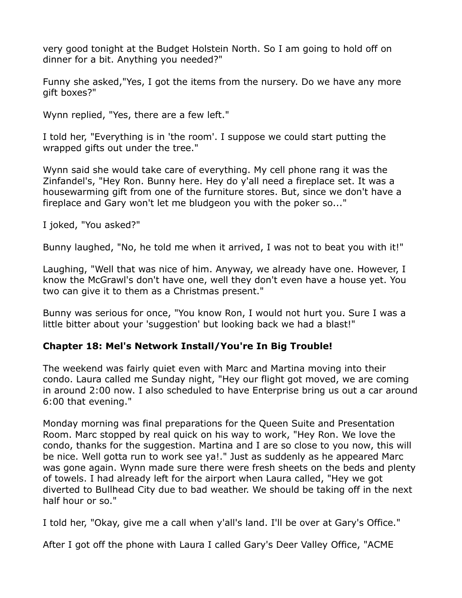very good tonight at the Budget Holstein North. So I am going to hold off on dinner for a bit. Anything you needed?"

Funny she asked,"Yes, I got the items from the nursery. Do we have any more gift boxes?"

Wynn replied, "Yes, there are a few left."

I told her, "Everything is in 'the room'. I suppose we could start putting the wrapped gifts out under the tree."

Wynn said she would take care of everything. My cell phone rang it was the Zinfandel's, "Hey Ron. Bunny here. Hey do y'all need a fireplace set. It was a housewarming gift from one of the furniture stores. But, since we don't have a fireplace and Gary won't let me bludgeon you with the poker so..."

I joked, "You asked?"

Bunny laughed, "No, he told me when it arrived, I was not to beat you with it!"

Laughing, "Well that was nice of him. Anyway, we already have one. However, I know the McGrawl's don't have one, well they don't even have a house yet. You two can give it to them as a Christmas present."

Bunny was serious for once, "You know Ron, I would not hurt you. Sure I was a little bitter about your 'suggestion' but looking back we had a blast!"

# **Chapter 18: Mel's Network Install/You're In Big Trouble!**

The weekend was fairly quiet even with Marc and Martina moving into their condo. Laura called me Sunday night, "Hey our flight got moved, we are coming in around 2:00 now. I also scheduled to have Enterprise bring us out a car around 6:00 that evening."

Monday morning was final preparations for the Queen Suite and Presentation Room. Marc stopped by real quick on his way to work, "Hey Ron. We love the condo, thanks for the suggestion. Martina and I are so close to you now, this will be nice. Well gotta run to work see ya!." Just as suddenly as he appeared Marc was gone again. Wynn made sure there were fresh sheets on the beds and plenty of towels. I had already left for the airport when Laura called, "Hey we got diverted to Bullhead City due to bad weather. We should be taking off in the next half hour or so."

I told her, "Okay, give me a call when y'all's land. I'll be over at Gary's Office."

After I got off the phone with Laura I called Gary's Deer Valley Office, "ACME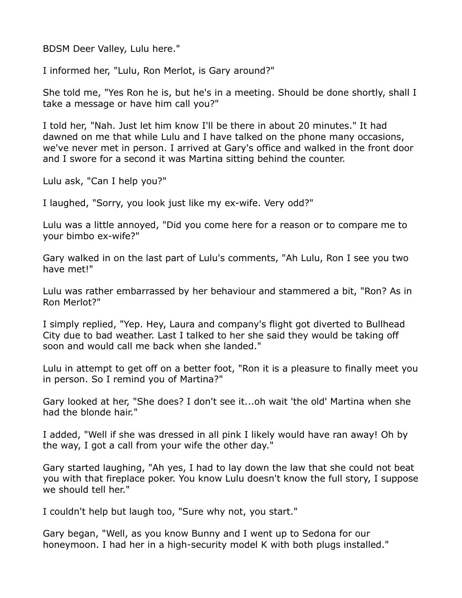BDSM Deer Valley, Lulu here."

I informed her, "Lulu, Ron Merlot, is Gary around?"

She told me, "Yes Ron he is, but he's in a meeting. Should be done shortly, shall I take a message or have him call you?"

I told her, "Nah. Just let him know I'll be there in about 20 minutes." It had dawned on me that while Lulu and I have talked on the phone many occasions, we've never met in person. I arrived at Gary's office and walked in the front door and I swore for a second it was Martina sitting behind the counter.

Lulu ask, "Can I help you?"

I laughed, "Sorry, you look just like my ex-wife. Very odd?"

Lulu was a little annoyed, "Did you come here for a reason or to compare me to your bimbo ex-wife?"

Gary walked in on the last part of Lulu's comments, "Ah Lulu, Ron I see you two have met!"

Lulu was rather embarrassed by her behaviour and stammered a bit, "Ron? As in Ron Merlot?"

I simply replied, "Yep. Hey, Laura and company's flight got diverted to Bullhead City due to bad weather. Last I talked to her she said they would be taking off soon and would call me back when she landed."

Lulu in attempt to get off on a better foot, "Ron it is a pleasure to finally meet you in person. So I remind you of Martina?"

Gary looked at her, "She does? I don't see it...oh wait 'the old' Martina when she had the blonde hair."

I added, "Well if she was dressed in all pink I likely would have ran away! Oh by the way, I got a call from your wife the other day."

Gary started laughing, "Ah yes, I had to lay down the law that she could not beat you with that fireplace poker. You know Lulu doesn't know the full story, I suppose we should tell her."

I couldn't help but laugh too, "Sure why not, you start."

Gary began, "Well, as you know Bunny and I went up to Sedona for our honeymoon. I had her in a high-security model K with both plugs installed."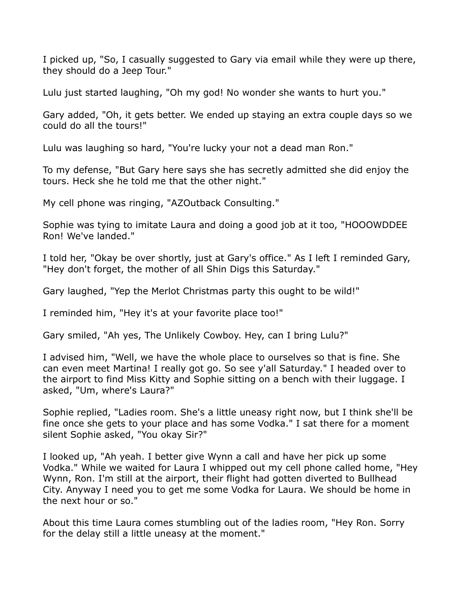I picked up, "So, I casually suggested to Gary via email while they were up there, they should do a Jeep Tour."

Lulu just started laughing, "Oh my god! No wonder she wants to hurt you."

Gary added, "Oh, it gets better. We ended up staying an extra couple days so we could do all the tours!"

Lulu was laughing so hard, "You're lucky your not a dead man Ron."

To my defense, "But Gary here says she has secretly admitted she did enjoy the tours. Heck she he told me that the other night."

My cell phone was ringing, "AZOutback Consulting."

Sophie was tying to imitate Laura and doing a good job at it too, "HOOOWDDEE Ron! We've landed."

I told her, "Okay be over shortly, just at Gary's office." As I left I reminded Gary, "Hey don't forget, the mother of all Shin Digs this Saturday."

Gary laughed, "Yep the Merlot Christmas party this ought to be wild!"

I reminded him, "Hey it's at your favorite place too!"

Gary smiled, "Ah yes, The Unlikely Cowboy. Hey, can I bring Lulu?"

I advised him, "Well, we have the whole place to ourselves so that is fine. She can even meet Martina! I really got go. So see y'all Saturday." I headed over to the airport to find Miss Kitty and Sophie sitting on a bench with their luggage. I asked, "Um, where's Laura?"

Sophie replied, "Ladies room. She's a little uneasy right now, but I think she'll be fine once she gets to your place and has some Vodka." I sat there for a moment silent Sophie asked, "You okay Sir?"

I looked up, "Ah yeah. I better give Wynn a call and have her pick up some Vodka." While we waited for Laura I whipped out my cell phone called home, "Hey Wynn, Ron. I'm still at the airport, their flight had gotten diverted to Bullhead City. Anyway I need you to get me some Vodka for Laura. We should be home in the next hour or so."

About this time Laura comes stumbling out of the ladies room, "Hey Ron. Sorry for the delay still a little uneasy at the moment."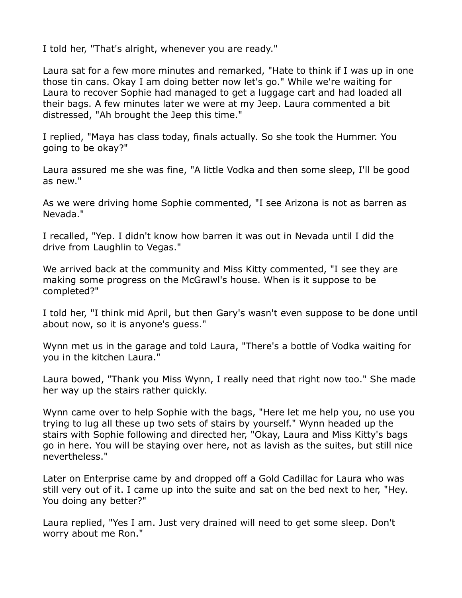I told her, "That's alright, whenever you are ready."

Laura sat for a few more minutes and remarked, "Hate to think if I was up in one those tin cans. Okay I am doing better now let's go." While we're waiting for Laura to recover Sophie had managed to get a luggage cart and had loaded all their bags. A few minutes later we were at my Jeep. Laura commented a bit distressed, "Ah brought the Jeep this time."

I replied, "Maya has class today, finals actually. So she took the Hummer. You going to be okay?"

Laura assured me she was fine, "A little Vodka and then some sleep, I'll be good as new."

As we were driving home Sophie commented, "I see Arizona is not as barren as Nevada."

I recalled, "Yep. I didn't know how barren it was out in Nevada until I did the drive from Laughlin to Vegas."

We arrived back at the community and Miss Kitty commented, "I see they are making some progress on the McGrawl's house. When is it suppose to be completed?"

I told her, "I think mid April, but then Gary's wasn't even suppose to be done until about now, so it is anyone's guess."

Wynn met us in the garage and told Laura, "There's a bottle of Vodka waiting for you in the kitchen Laura."

Laura bowed, "Thank you Miss Wynn, I really need that right now too." She made her way up the stairs rather quickly.

Wynn came over to help Sophie with the bags, "Here let me help you, no use you trying to lug all these up two sets of stairs by yourself." Wynn headed up the stairs with Sophie following and directed her, "Okay, Laura and Miss Kitty's bags go in here. You will be staying over here, not as lavish as the suites, but still nice nevertheless."

Later on Enterprise came by and dropped off a Gold Cadillac for Laura who was still very out of it. I came up into the suite and sat on the bed next to her, "Hey. You doing any better?"

Laura replied, "Yes I am. Just very drained will need to get some sleep. Don't worry about me Ron."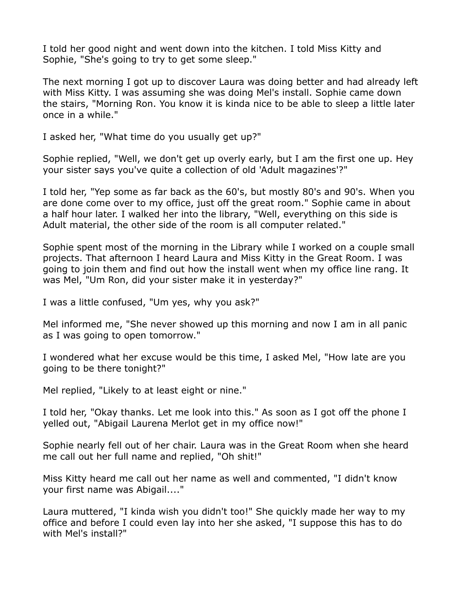I told her good night and went down into the kitchen. I told Miss Kitty and Sophie, "She's going to try to get some sleep."

The next morning I got up to discover Laura was doing better and had already left with Miss Kitty. I was assuming she was doing Mel's install. Sophie came down the stairs, "Morning Ron. You know it is kinda nice to be able to sleep a little later once in a while."

I asked her, "What time do you usually get up?"

Sophie replied, "Well, we don't get up overly early, but I am the first one up. Hey your sister says you've quite a collection of old 'Adult magazines'?"

I told her, "Yep some as far back as the 60's, but mostly 80's and 90's. When you are done come over to my office, just off the great room." Sophie came in about a half hour later. I walked her into the library, "Well, everything on this side is Adult material, the other side of the room is all computer related."

Sophie spent most of the morning in the Library while I worked on a couple small projects. That afternoon I heard Laura and Miss Kitty in the Great Room. I was going to join them and find out how the install went when my office line rang. It was Mel, "Um Ron, did your sister make it in yesterday?"

I was a little confused, "Um yes, why you ask?"

Mel informed me, "She never showed up this morning and now I am in all panic as I was going to open tomorrow."

I wondered what her excuse would be this time, I asked Mel, "How late are you going to be there tonight?"

Mel replied, "Likely to at least eight or nine."

I told her, "Okay thanks. Let me look into this." As soon as I got off the phone I yelled out, "Abigail Laurena Merlot get in my office now!"

Sophie nearly fell out of her chair. Laura was in the Great Room when she heard me call out her full name and replied, "Oh shit!"

Miss Kitty heard me call out her name as well and commented, "I didn't know your first name was Abigail...."

Laura muttered, "I kinda wish you didn't too!" She quickly made her way to my office and before I could even lay into her she asked, "I suppose this has to do with Mel's install?"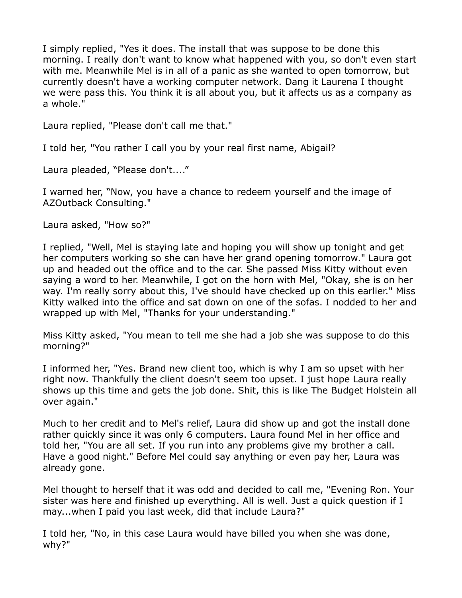I simply replied, "Yes it does. The install that was suppose to be done this morning. I really don't want to know what happened with you, so don't even start with me. Meanwhile Mel is in all of a panic as she wanted to open tomorrow, but currently doesn't have a working computer network. Dang it Laurena I thought we were pass this. You think it is all about you, but it affects us as a company as a whole."

Laura replied, "Please don't call me that."

I told her, "You rather I call you by your real first name, Abigail?

Laura pleaded, "Please don't...."

I warned her, "Now, you have a chance to redeem yourself and the image of AZOutback Consulting."

Laura asked, "How so?"

I replied, "Well, Mel is staying late and hoping you will show up tonight and get her computers working so she can have her grand opening tomorrow." Laura got up and headed out the office and to the car. She passed Miss Kitty without even saying a word to her. Meanwhile, I got on the horn with Mel, "Okay, she is on her way. I'm really sorry about this, I've should have checked up on this earlier." Miss Kitty walked into the office and sat down on one of the sofas. I nodded to her and wrapped up with Mel, "Thanks for your understanding."

Miss Kitty asked, "You mean to tell me she had a job she was suppose to do this morning?"

I informed her, "Yes. Brand new client too, which is why I am so upset with her right now. Thankfully the client doesn't seem too upset. I just hope Laura really shows up this time and gets the job done. Shit, this is like The Budget Holstein all over again."

Much to her credit and to Mel's relief, Laura did show up and got the install done rather quickly since it was only 6 computers. Laura found Mel in her office and told her, "You are all set. If you run into any problems give my brother a call. Have a good night." Before Mel could say anything or even pay her, Laura was already gone.

Mel thought to herself that it was odd and decided to call me, "Evening Ron. Your sister was here and finished up everything. All is well. Just a quick question if I may...when I paid you last week, did that include Laura?"

I told her, "No, in this case Laura would have billed you when she was done, why?"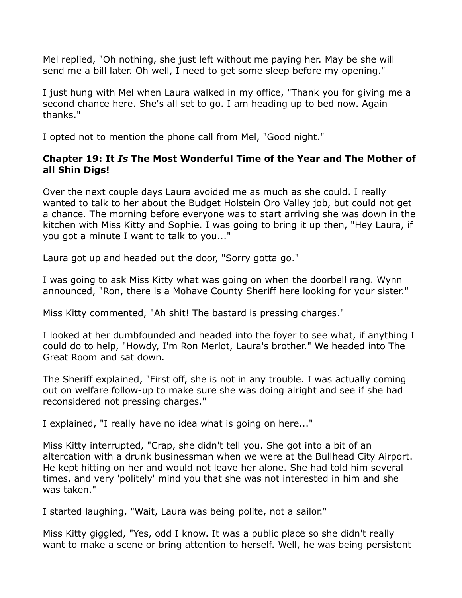Mel replied, "Oh nothing, she just left without me paying her. May be she will send me a bill later. Oh well, I need to get some sleep before my opening."

I just hung with Mel when Laura walked in my office, "Thank you for giving me a second chance here. She's all set to go. I am heading up to bed now. Again thanks."

I opted not to mention the phone call from Mel, "Good night."

## **Chapter 19: It** *Is* **The Most Wonderful Time of the Year and The Mother of all Shin Digs!**

Over the next couple days Laura avoided me as much as she could. I really wanted to talk to her about the Budget Holstein Oro Valley job, but could not get a chance. The morning before everyone was to start arriving she was down in the kitchen with Miss Kitty and Sophie. I was going to bring it up then, "Hey Laura, if you got a minute I want to talk to you..."

Laura got up and headed out the door, "Sorry gotta go."

I was going to ask Miss Kitty what was going on when the doorbell rang. Wynn announced, "Ron, there is a Mohave County Sheriff here looking for your sister."

Miss Kitty commented, "Ah shit! The bastard is pressing charges."

I looked at her dumbfounded and headed into the foyer to see what, if anything I could do to help, "Howdy, I'm Ron Merlot, Laura's brother." We headed into The Great Room and sat down.

The Sheriff explained, "First off, she is not in any trouble. I was actually coming out on welfare follow-up to make sure she was doing alright and see if she had reconsidered not pressing charges."

I explained, "I really have no idea what is going on here..."

Miss Kitty interrupted, "Crap, she didn't tell you. She got into a bit of an altercation with a drunk businessman when we were at the Bullhead City Airport. He kept hitting on her and would not leave her alone. She had told him several times, and very 'politely' mind you that she was not interested in him and she was taken."

I started laughing, "Wait, Laura was being polite, not a sailor."

Miss Kitty giggled, "Yes, odd I know. It was a public place so she didn't really want to make a scene or bring attention to herself. Well, he was being persistent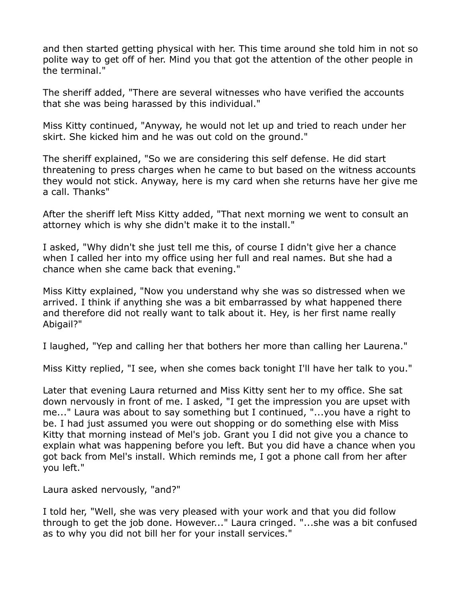and then started getting physical with her. This time around she told him in not so polite way to get off of her. Mind you that got the attention of the other people in the terminal."

The sheriff added, "There are several witnesses who have verified the accounts that she was being harassed by this individual."

Miss Kitty continued, "Anyway, he would not let up and tried to reach under her skirt. She kicked him and he was out cold on the ground."

The sheriff explained, "So we are considering this self defense. He did start threatening to press charges when he came to but based on the witness accounts they would not stick. Anyway, here is my card when she returns have her give me a call. Thanks"

After the sheriff left Miss Kitty added, "That next morning we went to consult an attorney which is why she didn't make it to the install."

I asked, "Why didn't she just tell me this, of course I didn't give her a chance when I called her into my office using her full and real names. But she had a chance when she came back that evening."

Miss Kitty explained, "Now you understand why she was so distressed when we arrived. I think if anything she was a bit embarrassed by what happened there and therefore did not really want to talk about it. Hey, is her first name really Abigail?"

I laughed, "Yep and calling her that bothers her more than calling her Laurena."

Miss Kitty replied, "I see, when she comes back tonight I'll have her talk to you."

Later that evening Laura returned and Miss Kitty sent her to my office. She sat down nervously in front of me. I asked, "I get the impression you are upset with me..." Laura was about to say something but I continued, "...you have a right to be. I had just assumed you were out shopping or do something else with Miss Kitty that morning instead of Mel's job. Grant you I did not give you a chance to explain what was happening before you left. But you did have a chance when you got back from Mel's install. Which reminds me, I got a phone call from her after you left."

Laura asked nervously, "and?"

I told her, "Well, she was very pleased with your work and that you did follow through to get the job done. However..." Laura cringed. "...she was a bit confused as to why you did not bill her for your install services."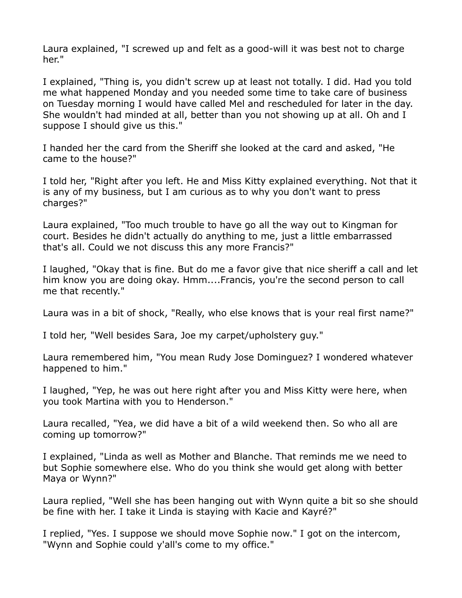Laura explained, "I screwed up and felt as a good-will it was best not to charge her."

I explained, "Thing is, you didn't screw up at least not totally. I did. Had you told me what happened Monday and you needed some time to take care of business on Tuesday morning I would have called Mel and rescheduled for later in the day. She wouldn't had minded at all, better than you not showing up at all. Oh and I suppose I should give us this."

I handed her the card from the Sheriff she looked at the card and asked, "He came to the house?"

I told her, "Right after you left. He and Miss Kitty explained everything. Not that it is any of my business, but I am curious as to why you don't want to press charges?"

Laura explained, "Too much trouble to have go all the way out to Kingman for court. Besides he didn't actually do anything to me, just a little embarrassed that's all. Could we not discuss this any more Francis?"

I laughed, "Okay that is fine. But do me a favor give that nice sheriff a call and let him know you are doing okay. Hmm....Francis, you're the second person to call me that recently."

Laura was in a bit of shock, "Really, who else knows that is your real first name?"

I told her, "Well besides Sara, Joe my carpet/upholstery guy."

Laura remembered him, "You mean Rudy Jose Dominguez? I wondered whatever happened to him."

I laughed, "Yep, he was out here right after you and Miss Kitty were here, when you took Martina with you to Henderson."

Laura recalled, "Yea, we did have a bit of a wild weekend then. So who all are coming up tomorrow?"

I explained, "Linda as well as Mother and Blanche. That reminds me we need to but Sophie somewhere else. Who do you think she would get along with better Maya or Wynn?"

Laura replied, "Well she has been hanging out with Wynn quite a bit so she should be fine with her. I take it Linda is staying with Kacie and Kayré?"

I replied, "Yes. I suppose we should move Sophie now." I got on the intercom, "Wynn and Sophie could y'all's come to my office."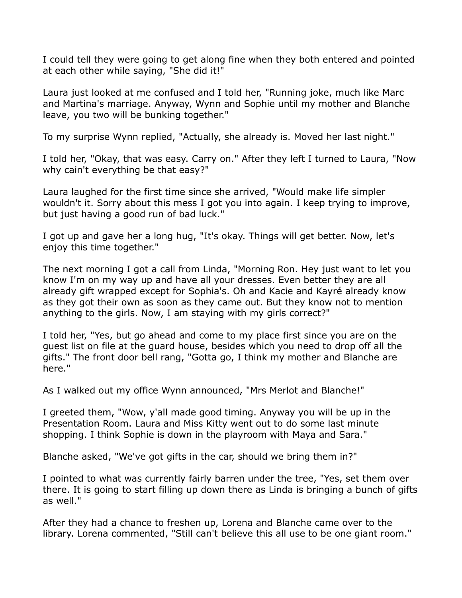I could tell they were going to get along fine when they both entered and pointed at each other while saying, "She did it!"

Laura just looked at me confused and I told her, "Running joke, much like Marc and Martina's marriage. Anyway, Wynn and Sophie until my mother and Blanche leave, you two will be bunking together."

To my surprise Wynn replied, "Actually, she already is. Moved her last night."

I told her, "Okay, that was easy. Carry on." After they left I turned to Laura, "Now why cain't everything be that easy?"

Laura laughed for the first time since she arrived, "Would make life simpler wouldn't it. Sorry about this mess I got you into again. I keep trying to improve, but just having a good run of bad luck."

I got up and gave her a long hug, "It's okay. Things will get better. Now, let's enjoy this time together."

The next morning I got a call from Linda, "Morning Ron. Hey just want to let you know I'm on my way up and have all your dresses. Even better they are all already gift wrapped except for Sophia's. Oh and Kacie and Kayré already know as they got their own as soon as they came out. But they know not to mention anything to the girls. Now, I am staying with my girls correct?"

I told her, "Yes, but go ahead and come to my place first since you are on the guest list on file at the guard house, besides which you need to drop off all the gifts." The front door bell rang, "Gotta go, I think my mother and Blanche are here."

As I walked out my office Wynn announced, "Mrs Merlot and Blanche!"

I greeted them, "Wow, y'all made good timing. Anyway you will be up in the Presentation Room. Laura and Miss Kitty went out to do some last minute shopping. I think Sophie is down in the playroom with Maya and Sara."

Blanche asked, "We've got gifts in the car, should we bring them in?"

I pointed to what was currently fairly barren under the tree, "Yes, set them over there. It is going to start filling up down there as Linda is bringing a bunch of gifts as well."

After they had a chance to freshen up, Lorena and Blanche came over to the library. Lorena commented, "Still can't believe this all use to be one giant room."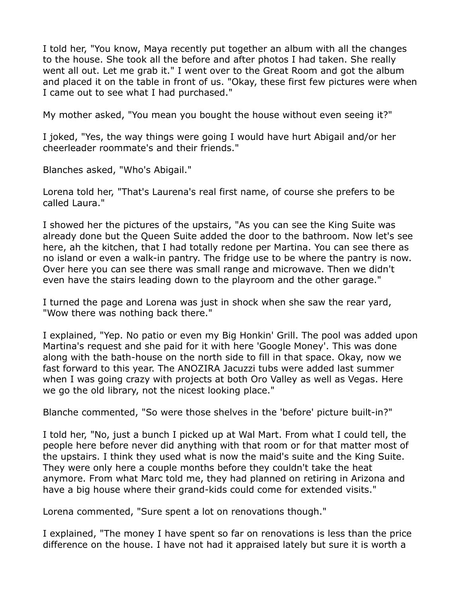I told her, "You know, Maya recently put together an album with all the changes to the house. She took all the before and after photos I had taken. She really went all out. Let me grab it." I went over to the Great Room and got the album and placed it on the table in front of us. "Okay, these first few pictures were when I came out to see what I had purchased."

My mother asked, "You mean you bought the house without even seeing it?"

I joked, "Yes, the way things were going I would have hurt Abigail and/or her cheerleader roommate's and their friends."

Blanches asked, "Who's Abigail."

Lorena told her, "That's Laurena's real first name, of course she prefers to be called Laura."

I showed her the pictures of the upstairs, "As you can see the King Suite was already done but the Queen Suite added the door to the bathroom. Now let's see here, ah the kitchen, that I had totally redone per Martina. You can see there as no island or even a walk-in pantry. The fridge use to be where the pantry is now. Over here you can see there was small range and microwave. Then we didn't even have the stairs leading down to the playroom and the other garage."

I turned the page and Lorena was just in shock when she saw the rear yard, "Wow there was nothing back there."

I explained, "Yep. No patio or even my Big Honkin' Grill. The pool was added upon Martina's request and she paid for it with here 'Google Money'. This was done along with the bath-house on the north side to fill in that space. Okay, now we fast forward to this year. The ANOZIRA Jacuzzi tubs were added last summer when I was going crazy with projects at both Oro Valley as well as Vegas. Here we go the old library, not the nicest looking place."

Blanche commented, "So were those shelves in the 'before' picture built-in?"

I told her, "No, just a bunch I picked up at Wal Mart. From what I could tell, the people here before never did anything with that room or for that matter most of the upstairs. I think they used what is now the maid's suite and the King Suite. They were only here a couple months before they couldn't take the heat anymore. From what Marc told me, they had planned on retiring in Arizona and have a big house where their grand-kids could come for extended visits."

Lorena commented, "Sure spent a lot on renovations though."

I explained, "The money I have spent so far on renovations is less than the price difference on the house. I have not had it appraised lately but sure it is worth a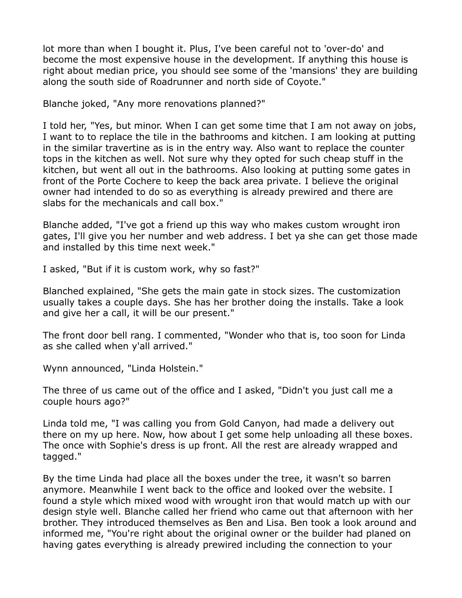lot more than when I bought it. Plus, I've been careful not to 'over-do' and become the most expensive house in the development. If anything this house is right about median price, you should see some of the 'mansions' they are building along the south side of Roadrunner and north side of Coyote."

Blanche joked, "Any more renovations planned?"

I told her, "Yes, but minor. When I can get some time that I am not away on jobs, I want to to replace the tile in the bathrooms and kitchen. I am looking at putting in the similar travertine as is in the entry way. Also want to replace the counter tops in the kitchen as well. Not sure why they opted for such cheap stuff in the kitchen, but went all out in the bathrooms. Also looking at putting some gates in front of the Porte Cochere to keep the back area private. I believe the original owner had intended to do so as everything is already prewired and there are slabs for the mechanicals and call box."

Blanche added, "I've got a friend up this way who makes custom wrought iron gates, I'll give you her number and web address. I bet ya she can get those made and installed by this time next week."

I asked, "But if it is custom work, why so fast?"

Blanched explained, "She gets the main gate in stock sizes. The customization usually takes a couple days. She has her brother doing the installs. Take a look and give her a call, it will be our present."

The front door bell rang. I commented, "Wonder who that is, too soon for Linda as she called when y'all arrived."

Wynn announced, "Linda Holstein."

The three of us came out of the office and I asked, "Didn't you just call me a couple hours ago?"

Linda told me, "I was calling you from Gold Canyon, had made a delivery out there on my up here. Now, how about I get some help unloading all these boxes. The once with Sophie's dress is up front. All the rest are already wrapped and tagged."

By the time Linda had place all the boxes under the tree, it wasn't so barren anymore. Meanwhile I went back to the office and looked over the website. I found a style which mixed wood with wrought iron that would match up with our design style well. Blanche called her friend who came out that afternoon with her brother. They introduced themselves as Ben and Lisa. Ben took a look around and informed me, "You're right about the original owner or the builder had planed on having gates everything is already prewired including the connection to your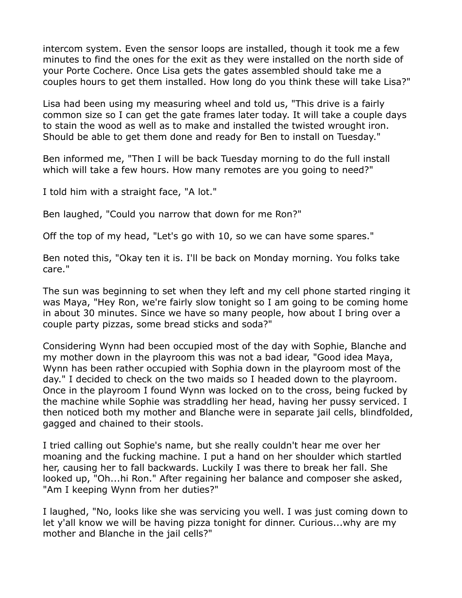intercom system. Even the sensor loops are installed, though it took me a few minutes to find the ones for the exit as they were installed on the north side of your Porte Cochere. Once Lisa gets the gates assembled should take me a couples hours to get them installed. How long do you think these will take Lisa?"

Lisa had been using my measuring wheel and told us, "This drive is a fairly common size so I can get the gate frames later today. It will take a couple days to stain the wood as well as to make and installed the twisted wrought iron. Should be able to get them done and ready for Ben to install on Tuesday."

Ben informed me, "Then I will be back Tuesday morning to do the full install which will take a few hours. How many remotes are you going to need?"

I told him with a straight face, "A lot."

Ben laughed, "Could you narrow that down for me Ron?"

Off the top of my head, "Let's go with 10, so we can have some spares."

Ben noted this, "Okay ten it is. I'll be back on Monday morning. You folks take care."

The sun was beginning to set when they left and my cell phone started ringing it was Maya, "Hey Ron, we're fairly slow tonight so I am going to be coming home in about 30 minutes. Since we have so many people, how about I bring over a couple party pizzas, some bread sticks and soda?"

Considering Wynn had been occupied most of the day with Sophie, Blanche and my mother down in the playroom this was not a bad idear, "Good idea Maya, Wynn has been rather occupied with Sophia down in the playroom most of the day." I decided to check on the two maids so I headed down to the playroom. Once in the playroom I found Wynn was locked on to the cross, being fucked by the machine while Sophie was straddling her head, having her pussy serviced. I then noticed both my mother and Blanche were in separate jail cells, blindfolded, gagged and chained to their stools.

I tried calling out Sophie's name, but she really couldn't hear me over her moaning and the fucking machine. I put a hand on her shoulder which startled her, causing her to fall backwards. Luckily I was there to break her fall. She looked up, "Oh...hi Ron." After regaining her balance and composer she asked, "Am I keeping Wynn from her duties?"

I laughed, "No, looks like she was servicing you well. I was just coming down to let y'all know we will be having pizza tonight for dinner. Curious...why are my mother and Blanche in the jail cells?"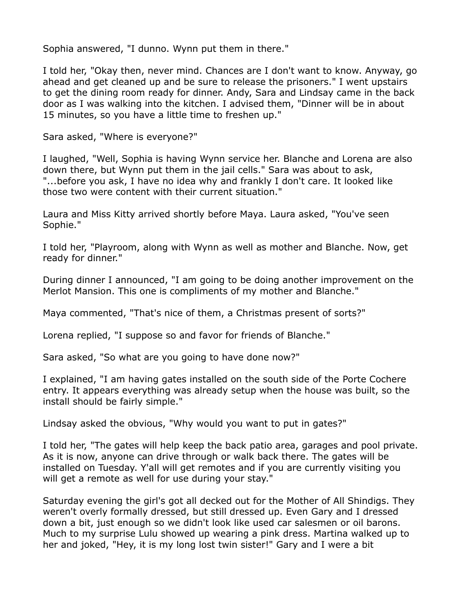Sophia answered, "I dunno. Wynn put them in there."

I told her, "Okay then, never mind. Chances are I don't want to know. Anyway, go ahead and get cleaned up and be sure to release the prisoners." I went upstairs to get the dining room ready for dinner. Andy, Sara and Lindsay came in the back door as I was walking into the kitchen. I advised them, "Dinner will be in about 15 minutes, so you have a little time to freshen up."

Sara asked, "Where is everyone?"

I laughed, "Well, Sophia is having Wynn service her. Blanche and Lorena are also down there, but Wynn put them in the jail cells." Sara was about to ask, "...before you ask, I have no idea why and frankly I don't care. It looked like those two were content with their current situation."

Laura and Miss Kitty arrived shortly before Maya. Laura asked, "You've seen Sophie."

I told her, "Playroom, along with Wynn as well as mother and Blanche. Now, get ready for dinner."

During dinner I announced, "I am going to be doing another improvement on the Merlot Mansion. This one is compliments of my mother and Blanche."

Maya commented, "That's nice of them, a Christmas present of sorts?"

Lorena replied, "I suppose so and favor for friends of Blanche."

Sara asked, "So what are you going to have done now?"

I explained, "I am having gates installed on the south side of the Porte Cochere entry. It appears everything was already setup when the house was built, so the install should be fairly simple."

Lindsay asked the obvious, "Why would you want to put in gates?"

I told her, "The gates will help keep the back patio area, garages and pool private. As it is now, anyone can drive through or walk back there. The gates will be installed on Tuesday. Y'all will get remotes and if you are currently visiting you will get a remote as well for use during your stay."

Saturday evening the girl's got all decked out for the Mother of All Shindigs. They weren't overly formally dressed, but still dressed up. Even Gary and I dressed down a bit, just enough so we didn't look like used car salesmen or oil barons. Much to my surprise Lulu showed up wearing a pink dress. Martina walked up to her and joked, "Hey, it is my long lost twin sister!" Gary and I were a bit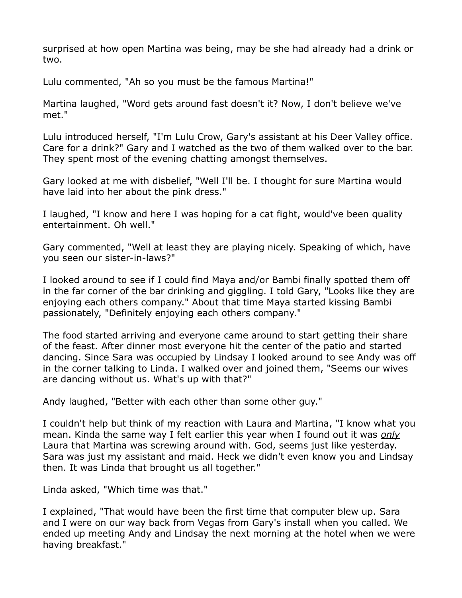surprised at how open Martina was being, may be she had already had a drink or two.

Lulu commented, "Ah so you must be the famous Martina!"

Martina laughed, "Word gets around fast doesn't it? Now, I don't believe we've met."

Lulu introduced herself, "I'm Lulu Crow, Gary's assistant at his Deer Valley office. Care for a drink?" Gary and I watched as the two of them walked over to the bar. They spent most of the evening chatting amongst themselves.

Gary looked at me with disbelief, "Well I'll be. I thought for sure Martina would have laid into her about the pink dress."

I laughed, "I know and here I was hoping for a cat fight, would've been quality entertainment. Oh well."

Gary commented, "Well at least they are playing nicely. Speaking of which, have you seen our sister-in-laws?"

I looked around to see if I could find Maya and/or Bambi finally spotted them off in the far corner of the bar drinking and giggling. I told Gary, "Looks like they are enjoying each others company." About that time Maya started kissing Bambi passionately, "Definitely enjoying each others company."

The food started arriving and everyone came around to start getting their share of the feast. After dinner most everyone hit the center of the patio and started dancing. Since Sara was occupied by Lindsay I looked around to see Andy was off in the corner talking to Linda. I walked over and joined them, "Seems our wives are dancing without us. What's up with that?"

Andy laughed, "Better with each other than some other guy."

I couldn't help but think of my reaction with Laura and Martina, "I know what you mean. Kinda the same way I felt earlier this year when I found out it was *only* Laura that Martina was screwing around with. God, seems just like yesterday. Sara was just my assistant and maid. Heck we didn't even know you and Lindsay then. It was Linda that brought us all together."

Linda asked, "Which time was that."

I explained, "That would have been the first time that computer blew up. Sara and I were on our way back from Vegas from Gary's install when you called. We ended up meeting Andy and Lindsay the next morning at the hotel when we were having breakfast."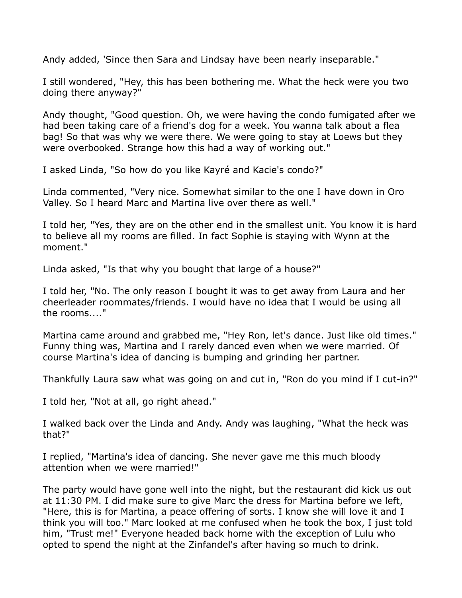Andy added, 'Since then Sara and Lindsay have been nearly inseparable."

I still wondered, "Hey, this has been bothering me. What the heck were you two doing there anyway?"

Andy thought, "Good question. Oh, we were having the condo fumigated after we had been taking care of a friend's dog for a week. You wanna talk about a flea bag! So that was why we were there. We were going to stay at Loews but they were overbooked. Strange how this had a way of working out."

I asked Linda, "So how do you like Kayré and Kacie's condo?"

Linda commented, "Very nice. Somewhat similar to the one I have down in Oro Valley. So I heard Marc and Martina live over there as well."

I told her, "Yes, they are on the other end in the smallest unit. You know it is hard to believe all my rooms are filled. In fact Sophie is staying with Wynn at the moment."

Linda asked, "Is that why you bought that large of a house?"

I told her, "No. The only reason I bought it was to get away from Laura and her cheerleader roommates/friends. I would have no idea that I would be using all the rooms...."

Martina came around and grabbed me, "Hey Ron, let's dance. Just like old times." Funny thing was, Martina and I rarely danced even when we were married. Of course Martina's idea of dancing is bumping and grinding her partner.

Thankfully Laura saw what was going on and cut in, "Ron do you mind if I cut-in?"

I told her, "Not at all, go right ahead."

I walked back over the Linda and Andy. Andy was laughing, "What the heck was that?"

I replied, "Martina's idea of dancing. She never gave me this much bloody attention when we were married!"

The party would have gone well into the night, but the restaurant did kick us out at 11:30 PM. I did make sure to give Marc the dress for Martina before we left, "Here, this is for Martina, a peace offering of sorts. I know she will love it and I think you will too." Marc looked at me confused when he took the box, I just told him, "Trust me!" Everyone headed back home with the exception of Lulu who opted to spend the night at the Zinfandel's after having so much to drink.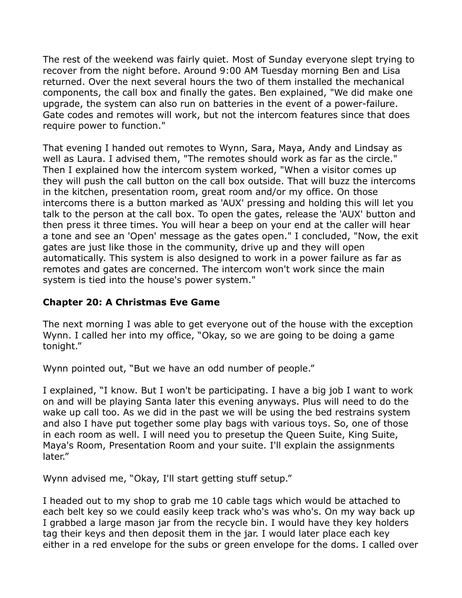The rest of the weekend was fairly quiet. Most of Sunday everyone slept trying to recover from the night before. Around 9:00 AM Tuesday morning Ben and Lisa returned. Over the next several hours the two of them installed the mechanical components, the call box and finally the gates. Ben explained, "We did make one upgrade, the system can also run on batteries in the event of a power-failure. Gate codes and remotes will work, but not the intercom features since that does require power to function."

That evening I handed out remotes to Wynn, Sara, Maya, Andy and Lindsay as well as Laura. I advised them, "The remotes should work as far as the circle." Then I explained how the intercom system worked, "When a visitor comes up they will push the call button on the call box outside. That will buzz the intercoms in the kitchen, presentation room, great room and/or my office. On those intercoms there is a button marked as 'AUX' pressing and holding this will let you talk to the person at the call box. To open the gates, release the 'AUX' button and then press it three times. You will hear a beep on your end at the caller will hear a tone and see an 'Open' message as the gates open." I concluded, "Now, the exit gates are just like those in the community, drive up and they will open automatically. This system is also designed to work in a power failure as far as remotes and gates are concerned. The intercom won't work since the main system is tied into the house's power system."

## **Chapter 20: A Christmas Eve Game**

The next morning I was able to get everyone out of the house with the exception Wynn. I called her into my office, "Okay, so we are going to be doing a game tonight."

Wynn pointed out, "But we have an odd number of people."

I explained, "I know. But I won't be participating. I have a big job I want to work on and will be playing Santa later this evening anyways. Plus will need to do the wake up call too. As we did in the past we will be using the bed restrains system and also I have put together some play bags with various toys. So, one of those in each room as well. I will need you to presetup the Queen Suite, King Suite, Maya's Room, Presentation Room and your suite. I'll explain the assignments later."

Wynn advised me, "Okay, I'll start getting stuff setup."

I headed out to my shop to grab me 10 cable tags which would be attached to each belt key so we could easily keep track who's was who's. On my way back up I grabbed a large mason jar from the recycle bin. I would have they key holders tag their keys and then deposit them in the jar. I would later place each key either in a red envelope for the subs or green envelope for the doms. I called over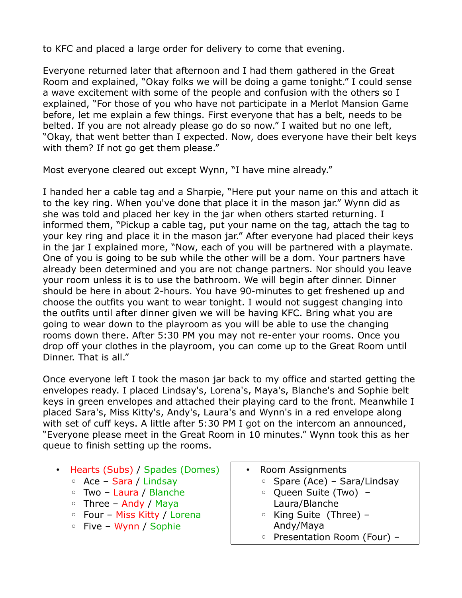to KFC and placed a large order for delivery to come that evening.

Everyone returned later that afternoon and I had them gathered in the Great Room and explained, "Okay folks we will be doing a game tonight." I could sense a wave excitement with some of the people and confusion with the others so I explained, "For those of you who have not participate in a Merlot Mansion Game before, let me explain a few things. First everyone that has a belt, needs to be belted. If you are not already please go do so now." I waited but no one left, "Okay, that went better than I expected. Now, does everyone have their belt keys with them? If not go get them please."

Most everyone cleared out except Wynn, "I have mine already."

I handed her a cable tag and a Sharpie, "Here put your name on this and attach it to the key ring. When you've done that place it in the mason jar." Wynn did as she was told and placed her key in the jar when others started returning. I informed them, "Pickup a cable tag, put your name on the tag, attach the tag to your key ring and place it in the mason jar." After everyone had placed their keys in the jar I explained more, "Now, each of you will be partnered with a playmate. One of you is going to be sub while the other will be a dom. Your partners have already been determined and you are not change partners. Nor should you leave your room unless it is to use the bathroom. We will begin after dinner. Dinner should be here in about 2-hours. You have 90-minutes to get freshened up and choose the outfits you want to wear tonight. I would not suggest changing into the outfits until after dinner given we will be having KFC. Bring what you are going to wear down to the playroom as you will be able to use the changing rooms down there. After 5:30 PM you may not re-enter your rooms. Once you drop off your clothes in the playroom, you can come up to the Great Room until Dinner. That is all."

Once everyone left I took the mason jar back to my office and started getting the envelopes ready. I placed Lindsay's, Lorena's, Maya's, Blanche's and Sophie belt keys in green envelopes and attached their playing card to the front. Meanwhile I placed Sara's, Miss Kitty's, Andy's, Laura's and Wynn's in a red envelope along with set of cuff keys. A little after 5:30 PM I got on the intercom an announced, "Everyone please meet in the Great Room in 10 minutes." Wynn took this as her queue to finish setting up the rooms.

- Hearts (Subs) / Spades (Domes)
	- Ace Sara / Lindsay
	- Two Laura / Blanche
	- Three Andy / Maya
	- Four Miss Kitty / Lorena
	- Five Wynn / Sophie
- Room Assignments
	- Spare (Ace) Sara/Lindsay
	- Queen Suite (Two) Laura/Blanche
	- King Suite (Three) Andy/Maya
	- Presentation Room (Four) –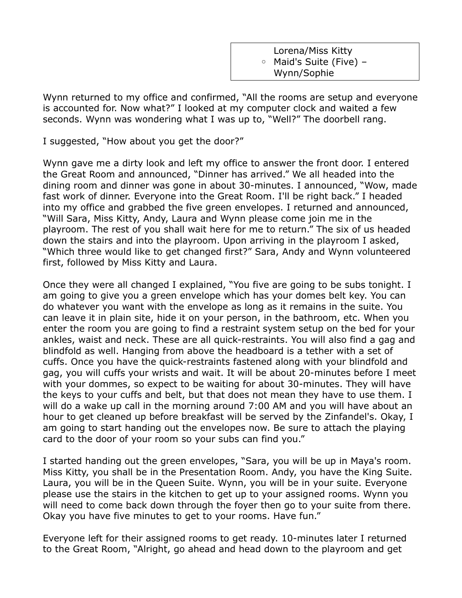Lorena/Miss Kitty ◦ Maid's Suite (Five) – Wynn/Sophie

Wynn returned to my office and confirmed, "All the rooms are setup and everyone is accounted for. Now what?" I looked at my computer clock and waited a few seconds. Wynn was wondering what I was up to, "Well?" The doorbell rang.

I suggested, "How about you get the door?"

Wynn gave me a dirty look and left my office to answer the front door. I entered the Great Room and announced, "Dinner has arrived." We all headed into the dining room and dinner was gone in about 30-minutes. I announced, "Wow, made fast work of dinner. Everyone into the Great Room. I'll be right back." I headed into my office and grabbed the five green envelopes. I returned and announced, "Will Sara, Miss Kitty, Andy, Laura and Wynn please come join me in the playroom. The rest of you shall wait here for me to return." The six of us headed down the stairs and into the playroom. Upon arriving in the playroom I asked, "Which three would like to get changed first?" Sara, Andy and Wynn volunteered first, followed by Miss Kitty and Laura.

Once they were all changed I explained, "You five are going to be subs tonight. I am going to give you a green envelope which has your domes belt key. You can do whatever you want with the envelope as long as it remains in the suite. You can leave it in plain site, hide it on your person, in the bathroom, etc. When you enter the room you are going to find a restraint system setup on the bed for your ankles, waist and neck. These are all quick-restraints. You will also find a gag and blindfold as well. Hanging from above the headboard is a tether with a set of cuffs. Once you have the quick-restraints fastened along with your blindfold and gag, you will cuffs your wrists and wait. It will be about 20-minutes before I meet with your dommes, so expect to be waiting for about 30-minutes. They will have the keys to your cuffs and belt, but that does not mean they have to use them. I will do a wake up call in the morning around 7:00 AM and you will have about an hour to get cleaned up before breakfast will be served by the Zinfandel's. Okay, I am going to start handing out the envelopes now. Be sure to attach the playing card to the door of your room so your subs can find you."

I started handing out the green envelopes, "Sara, you will be up in Maya's room. Miss Kitty, you shall be in the Presentation Room. Andy, you have the King Suite. Laura, you will be in the Queen Suite. Wynn, you will be in your suite. Everyone please use the stairs in the kitchen to get up to your assigned rooms. Wynn you will need to come back down through the foyer then go to your suite from there. Okay you have five minutes to get to your rooms. Have fun."

Everyone left for their assigned rooms to get ready. 10-minutes later I returned to the Great Room, "Alright, go ahead and head down to the playroom and get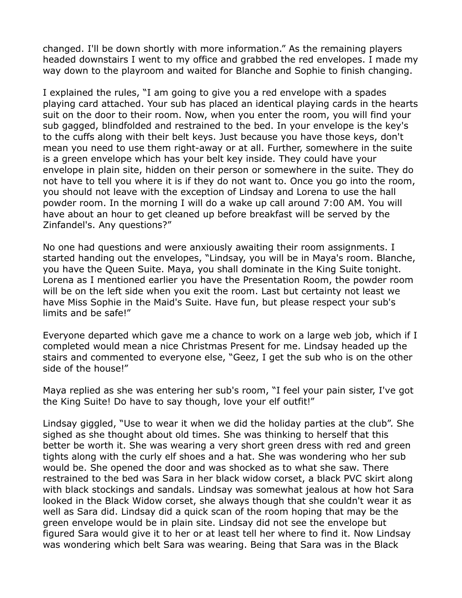changed. I'll be down shortly with more information." As the remaining players headed downstairs I went to my office and grabbed the red envelopes. I made my way down to the playroom and waited for Blanche and Sophie to finish changing.

I explained the rules, "I am going to give you a red envelope with a spades playing card attached. Your sub has placed an identical playing cards in the hearts suit on the door to their room. Now, when you enter the room, you will find your sub gagged, blindfolded and restrained to the bed. In your envelope is the key's to the cuffs along with their belt keys. Just because you have those keys, don't mean you need to use them right-away or at all. Further, somewhere in the suite is a green envelope which has your belt key inside. They could have your envelope in plain site, hidden on their person or somewhere in the suite. They do not have to tell you where it is if they do not want to. Once you go into the room, you should not leave with the exception of Lindsay and Lorena to use the hall powder room. In the morning I will do a wake up call around 7:00 AM. You will have about an hour to get cleaned up before breakfast will be served by the Zinfandel's. Any questions?"

No one had questions and were anxiously awaiting their room assignments. I started handing out the envelopes, "Lindsay, you will be in Maya's room. Blanche, you have the Queen Suite. Maya, you shall dominate in the King Suite tonight. Lorena as I mentioned earlier you have the Presentation Room, the powder room will be on the left side when you exit the room. Last but certainty not least we have Miss Sophie in the Maid's Suite. Have fun, but please respect your sub's limits and be safe!"

Everyone departed which gave me a chance to work on a large web job, which if I completed would mean a nice Christmas Present for me. Lindsay headed up the stairs and commented to everyone else, "Geez, I get the sub who is on the other side of the house!"

Maya replied as she was entering her sub's room, "I feel your pain sister, I've got the King Suite! Do have to say though, love your elf outfit!"

Lindsay giggled, "Use to wear it when we did the holiday parties at the club". She sighed as she thought about old times. She was thinking to herself that this better be worth it. She was wearing a very short green dress with red and green tights along with the curly elf shoes and a hat. She was wondering who her sub would be. She opened the door and was shocked as to what she saw. There restrained to the bed was Sara in her black widow corset, a black PVC skirt along with black stockings and sandals. Lindsay was somewhat jealous at how hot Sara looked in the Black Widow corset, she always though that she couldn't wear it as well as Sara did. Lindsay did a quick scan of the room hoping that may be the green envelope would be in plain site. Lindsay did not see the envelope but figured Sara would give it to her or at least tell her where to find it. Now Lindsay was wondering which belt Sara was wearing. Being that Sara was in the Black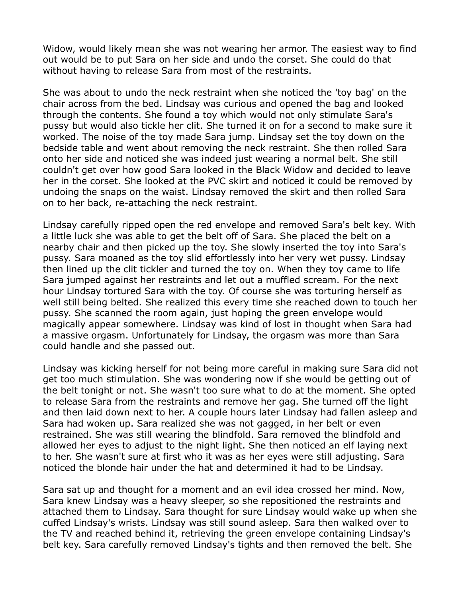Widow, would likely mean she was not wearing her armor. The easiest way to find out would be to put Sara on her side and undo the corset. She could do that without having to release Sara from most of the restraints.

She was about to undo the neck restraint when she noticed the 'toy bag' on the chair across from the bed. Lindsay was curious and opened the bag and looked through the contents. She found a toy which would not only stimulate Sara's pussy but would also tickle her clit. She turned it on for a second to make sure it worked. The noise of the toy made Sara jump. Lindsay set the toy down on the bedside table and went about removing the neck restraint. She then rolled Sara onto her side and noticed she was indeed just wearing a normal belt. She still couldn't get over how good Sara looked in the Black Widow and decided to leave her in the corset. She looked at the PVC skirt and noticed it could be removed by undoing the snaps on the waist. Lindsay removed the skirt and then rolled Sara on to her back, re-attaching the neck restraint.

Lindsay carefully ripped open the red envelope and removed Sara's belt key. With a little luck she was able to get the belt off of Sara. She placed the belt on a nearby chair and then picked up the toy. She slowly inserted the toy into Sara's pussy. Sara moaned as the toy slid effortlessly into her very wet pussy. Lindsay then lined up the clit tickler and turned the toy on. When they toy came to life Sara jumped against her restraints and let out a muffled scream. For the next hour Lindsay tortured Sara with the toy. Of course she was torturing herself as well still being belted. She realized this every time she reached down to touch her pussy. She scanned the room again, just hoping the green envelope would magically appear somewhere. Lindsay was kind of lost in thought when Sara had a massive orgasm. Unfortunately for Lindsay, the orgasm was more than Sara could handle and she passed out.

Lindsay was kicking herself for not being more careful in making sure Sara did not get too much stimulation. She was wondering now if she would be getting out of the belt tonight or not. She wasn't too sure what to do at the moment. She opted to release Sara from the restraints and remove her gag. She turned off the light and then laid down next to her. A couple hours later Lindsay had fallen asleep and Sara had woken up. Sara realized she was not gagged, in her belt or even restrained. She was still wearing the blindfold. Sara removed the blindfold and allowed her eyes to adjust to the night light. She then noticed an elf laying next to her. She wasn't sure at first who it was as her eyes were still adjusting. Sara noticed the blonde hair under the hat and determined it had to be Lindsay.

Sara sat up and thought for a moment and an evil idea crossed her mind. Now, Sara knew Lindsay was a heavy sleeper, so she repositioned the restraints and attached them to Lindsay. Sara thought for sure Lindsay would wake up when she cuffed Lindsay's wrists. Lindsay was still sound asleep. Sara then walked over to the TV and reached behind it, retrieving the green envelope containing Lindsay's belt key. Sara carefully removed Lindsay's tights and then removed the belt. She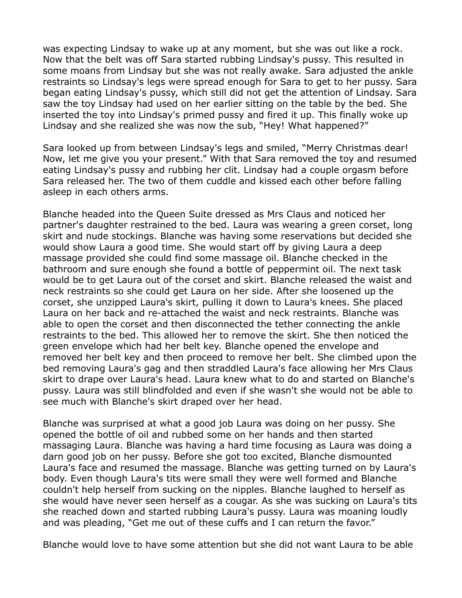was expecting Lindsay to wake up at any moment, but she was out like a rock. Now that the belt was off Sara started rubbing Lindsay's pussy. This resulted in some moans from Lindsay but she was not really awake. Sara adjusted the ankle restraints so Lindsay's legs were spread enough for Sara to get to her pussy. Sara began eating Lindsay's pussy, which still did not get the attention of Lindsay. Sara saw the toy Lindsay had used on her earlier sitting on the table by the bed. She inserted the toy into Lindsay's primed pussy and fired it up. This finally woke up Lindsay and she realized she was now the sub, "Hey! What happened?"

Sara looked up from between Lindsay's legs and smiled, "Merry Christmas dear! Now, let me give you your present." With that Sara removed the toy and resumed eating Lindsay's pussy and rubbing her clit. Lindsay had a couple orgasm before Sara released her. The two of them cuddle and kissed each other before falling asleep in each others arms.

Blanche headed into the Queen Suite dressed as Mrs Claus and noticed her partner's daughter restrained to the bed. Laura was wearing a green corset, long skirt and nude stockings. Blanche was having some reservations but decided she would show Laura a good time. She would start off by giving Laura a deep massage provided she could find some massage oil. Blanche checked in the bathroom and sure enough she found a bottle of peppermint oil. The next task would be to get Laura out of the corset and skirt. Blanche released the waist and neck restraints so she could get Laura on her side. After she loosened up the corset, she unzipped Laura's skirt, pulling it down to Laura's knees. She placed Laura on her back and re-attached the waist and neck restraints. Blanche was able to open the corset and then disconnected the tether connecting the ankle restraints to the bed. This allowed her to remove the skirt. She then noticed the green envelope which had her belt key. Blanche opened the envelope and removed her belt key and then proceed to remove her belt. She climbed upon the bed removing Laura's gag and then straddled Laura's face allowing her Mrs Claus skirt to drape over Laura's head. Laura knew what to do and started on Blanche's pussy. Laura was still blindfolded and even if she wasn't she would not be able to see much with Blanche's skirt draped over her head.

Blanche was surprised at what a good job Laura was doing on her pussy. She opened the bottle of oil and rubbed some on her hands and then started massaging Laura. Blanche was having a hard time focusing as Laura was doing a darn good job on her pussy. Before she got too excited, Blanche dismounted Laura's face and resumed the massage. Blanche was getting turned on by Laura's body. Even though Laura's tits were small they were well formed and Blanche couldn't help herself from sucking on the nipples. Blanche laughed to herself as she would have never seen herself as a cougar. As she was sucking on Laura's tits she reached down and started rubbing Laura's pussy. Laura was moaning loudly and was pleading, "Get me out of these cuffs and I can return the favor."

Blanche would love to have some attention but she did not want Laura to be able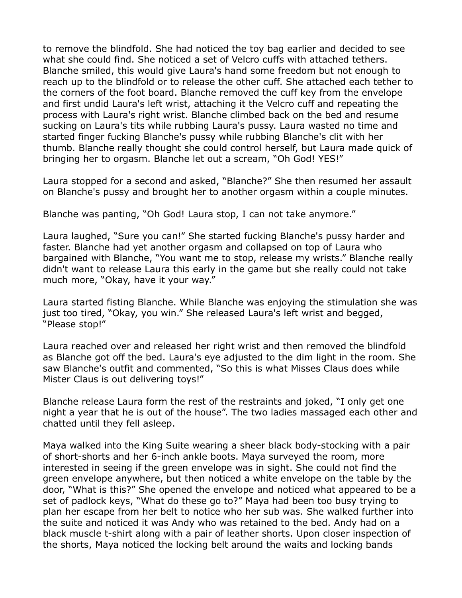to remove the blindfold. She had noticed the toy bag earlier and decided to see what she could find. She noticed a set of Velcro cuffs with attached tethers. Blanche smiled, this would give Laura's hand some freedom but not enough to reach up to the blindfold or to release the other cuff. She attached each tether to the corners of the foot board. Blanche removed the cuff key from the envelope and first undid Laura's left wrist, attaching it the Velcro cuff and repeating the process with Laura's right wrist. Blanche climbed back on the bed and resume sucking on Laura's tits while rubbing Laura's pussy. Laura wasted no time and started finger fucking Blanche's pussy while rubbing Blanche's clit with her thumb. Blanche really thought she could control herself, but Laura made quick of bringing her to orgasm. Blanche let out a scream, "Oh God! YES!"

Laura stopped for a second and asked, "Blanche?" She then resumed her assault on Blanche's pussy and brought her to another orgasm within a couple minutes.

Blanche was panting, "Oh God! Laura stop, I can not take anymore."

Laura laughed, "Sure you can!" She started fucking Blanche's pussy harder and faster. Blanche had yet another orgasm and collapsed on top of Laura who bargained with Blanche, "You want me to stop, release my wrists." Blanche really didn't want to release Laura this early in the game but she really could not take much more, "Okay, have it your way."

Laura started fisting Blanche. While Blanche was enjoying the stimulation she was just too tired, "Okay, you win." She released Laura's left wrist and begged, "Please stop!"

Laura reached over and released her right wrist and then removed the blindfold as Blanche got off the bed. Laura's eye adjusted to the dim light in the room. She saw Blanche's outfit and commented, "So this is what Misses Claus does while Mister Claus is out delivering toys!"

Blanche release Laura form the rest of the restraints and joked, "I only get one night a year that he is out of the house". The two ladies massaged each other and chatted until they fell asleep.

Maya walked into the King Suite wearing a sheer black body-stocking with a pair of short-shorts and her 6-inch ankle boots. Maya surveyed the room, more interested in seeing if the green envelope was in sight. She could not find the green envelope anywhere, but then noticed a white envelope on the table by the door, "What is this?" She opened the envelope and noticed what appeared to be a set of padlock keys, "What do these go to?" Maya had been too busy trying to plan her escape from her belt to notice who her sub was. She walked further into the suite and noticed it was Andy who was retained to the bed. Andy had on a black muscle t-shirt along with a pair of leather shorts. Upon closer inspection of the shorts, Maya noticed the locking belt around the waits and locking bands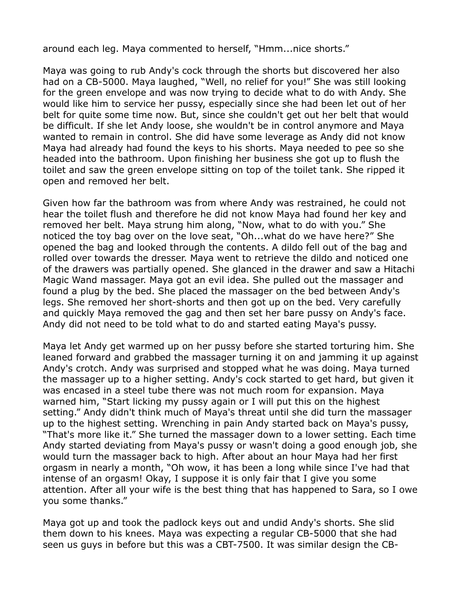around each leg. Maya commented to herself, "Hmm...nice shorts."

Maya was going to rub Andy's cock through the shorts but discovered her also had on a CB-5000. Maya laughed, "Well, no relief for you!" She was still looking for the green envelope and was now trying to decide what to do with Andy. She would like him to service her pussy, especially since she had been let out of her belt for quite some time now. But, since she couldn't get out her belt that would be difficult. If she let Andy loose, she wouldn't be in control anymore and Maya wanted to remain in control. She did have some leverage as Andy did not know Maya had already had found the keys to his shorts. Maya needed to pee so she headed into the bathroom. Upon finishing her business she got up to flush the toilet and saw the green envelope sitting on top of the toilet tank. She ripped it open and removed her belt.

Given how far the bathroom was from where Andy was restrained, he could not hear the toilet flush and therefore he did not know Maya had found her key and removed her belt. Maya strung him along, "Now, what to do with you." She noticed the toy bag over on the love seat, "Oh...what do we have here?" She opened the bag and looked through the contents. A dildo fell out of the bag and rolled over towards the dresser. Maya went to retrieve the dildo and noticed one of the drawers was partially opened. She glanced in the drawer and saw a Hitachi Magic Wand massager. Maya got an evil idea. She pulled out the massager and found a plug by the bed. She placed the massager on the bed between Andy's legs. She removed her short-shorts and then got up on the bed. Very carefully and quickly Maya removed the gag and then set her bare pussy on Andy's face. Andy did not need to be told what to do and started eating Maya's pussy.

Maya let Andy get warmed up on her pussy before she started torturing him. She leaned forward and grabbed the massager turning it on and jamming it up against Andy's crotch. Andy was surprised and stopped what he was doing. Maya turned the massager up to a higher setting. Andy's cock started to get hard, but given it was encased in a steel tube there was not much room for expansion. Maya warned him, "Start licking my pussy again or I will put this on the highest setting." Andy didn't think much of Maya's threat until she did turn the massager up to the highest setting. Wrenching in pain Andy started back on Maya's pussy, "That's more like it." She turned the massager down to a lower setting. Each time Andy started deviating from Maya's pussy or wasn't doing a good enough job, she would turn the massager back to high. After about an hour Maya had her first orgasm in nearly a month, "Oh wow, it has been a long while since I've had that intense of an orgasm! Okay, I suppose it is only fair that I give you some attention. After all your wife is the best thing that has happened to Sara, so I owe you some thanks."

Maya got up and took the padlock keys out and undid Andy's shorts. She slid them down to his knees. Maya was expecting a regular CB-5000 that she had seen us guys in before but this was a CBT-7500. It was similar design the CB-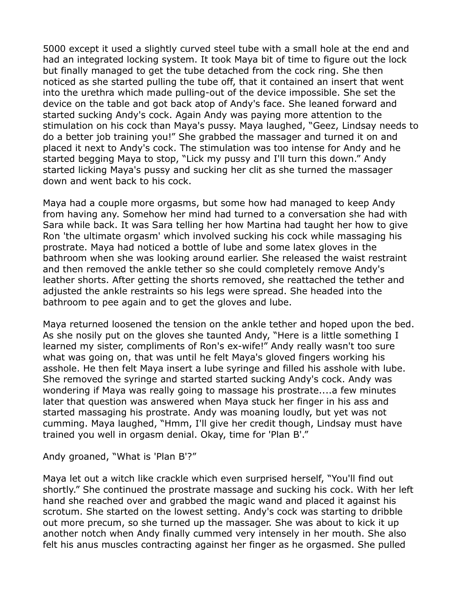5000 except it used a slightly curved steel tube with a small hole at the end and had an integrated locking system. It took Maya bit of time to figure out the lock but finally managed to get the tube detached from the cock ring. She then noticed as she started pulling the tube off, that it contained an insert that went into the urethra which made pulling-out of the device impossible. She set the device on the table and got back atop of Andy's face. She leaned forward and started sucking Andy's cock. Again Andy was paying more attention to the stimulation on his cock than Maya's pussy. Maya laughed, "Geez, Lindsay needs to do a better job training you!" She grabbed the massager and turned it on and placed it next to Andy's cock. The stimulation was too intense for Andy and he started begging Maya to stop, "Lick my pussy and I'll turn this down." Andy started licking Maya's pussy and sucking her clit as she turned the massager down and went back to his cock.

Maya had a couple more orgasms, but some how had managed to keep Andy from having any. Somehow her mind had turned to a conversation she had with Sara while back. It was Sara telling her how Martina had taught her how to give Ron 'the ultimate orgasm' which involved sucking his cock while massaging his prostrate. Maya had noticed a bottle of lube and some latex gloves in the bathroom when she was looking around earlier. She released the waist restraint and then removed the ankle tether so she could completely remove Andy's leather shorts. After getting the shorts removed, she reattached the tether and adjusted the ankle restraints so his legs were spread. She headed into the bathroom to pee again and to get the gloves and lube.

Maya returned loosened the tension on the ankle tether and hoped upon the bed. As she nosily put on the gloves she taunted Andy, "Here is a little something I learned my sister, compliments of Ron's ex-wife!" Andy really wasn't too sure what was going on, that was until he felt Maya's gloved fingers working his asshole. He then felt Maya insert a lube syringe and filled his asshole with lube. She removed the syringe and started started sucking Andy's cock. Andy was wondering if Maya was really going to massage his prostrate....a few minutes later that question was answered when Maya stuck her finger in his ass and started massaging his prostrate. Andy was moaning loudly, but yet was not cumming. Maya laughed, "Hmm, I'll give her credit though, Lindsay must have trained you well in orgasm denial. Okay, time for 'Plan B'."

Andy groaned, "What is 'Plan B'?"

Maya let out a witch like crackle which even surprised herself, "You'll find out shortly." She continued the prostrate massage and sucking his cock. With her left hand she reached over and grabbed the magic wand and placed it against his scrotum. She started on the lowest setting. Andy's cock was starting to dribble out more precum, so she turned up the massager. She was about to kick it up another notch when Andy finally cummed very intensely in her mouth. She also felt his anus muscles contracting against her finger as he orgasmed. She pulled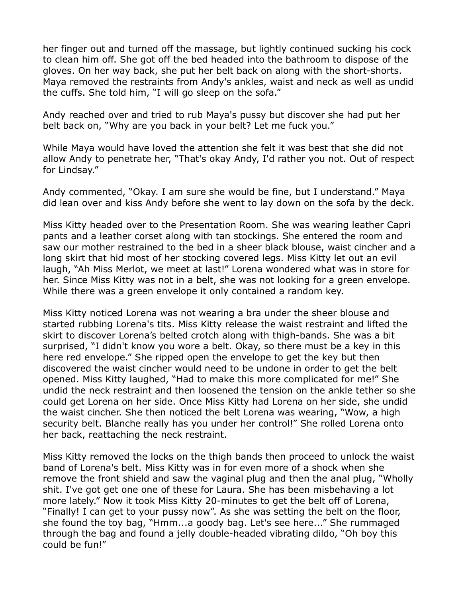her finger out and turned off the massage, but lightly continued sucking his cock to clean him off. She got off the bed headed into the bathroom to dispose of the gloves. On her way back, she put her belt back on along with the short-shorts. Maya removed the restraints from Andy's ankles, waist and neck as well as undid the cuffs. She told him, "I will go sleep on the sofa."

Andy reached over and tried to rub Maya's pussy but discover she had put her belt back on, "Why are you back in your belt? Let me fuck you."

While Maya would have loved the attention she felt it was best that she did not allow Andy to penetrate her, "That's okay Andy, I'd rather you not. Out of respect for Lindsay."

Andy commented, "Okay. I am sure she would be fine, but I understand." Maya did lean over and kiss Andy before she went to lay down on the sofa by the deck.

Miss Kitty headed over to the Presentation Room. She was wearing leather Capri pants and a leather corset along with tan stockings. She entered the room and saw our mother restrained to the bed in a sheer black blouse, waist cincher and a long skirt that hid most of her stocking covered legs. Miss Kitty let out an evil laugh, "Ah Miss Merlot, we meet at last!" Lorena wondered what was in store for her. Since Miss Kitty was not in a belt, she was not looking for a green envelope. While there was a green envelope it only contained a random key.

Miss Kitty noticed Lorena was not wearing a bra under the sheer blouse and started rubbing Lorena's tits. Miss Kitty release the waist restraint and lifted the skirt to discover Lorena's belted crotch along with thigh-bands. She was a bit surprised, "I didn't know you wore a belt. Okay, so there must be a key in this here red envelope." She ripped open the envelope to get the key but then discovered the waist cincher would need to be undone in order to get the belt opened. Miss Kitty laughed, "Had to make this more complicated for me!" She undid the neck restraint and then loosened the tension on the ankle tether so she could get Lorena on her side. Once Miss Kitty had Lorena on her side, she undid the waist cincher. She then noticed the belt Lorena was wearing, "Wow, a high security belt. Blanche really has you under her control!" She rolled Lorena onto her back, reattaching the neck restraint.

Miss Kitty removed the locks on the thigh bands then proceed to unlock the waist band of Lorena's belt. Miss Kitty was in for even more of a shock when she remove the front shield and saw the vaginal plug and then the anal plug, "Wholly shit. I've got get one one of these for Laura. She has been misbehaving a lot more lately." Now it took Miss Kitty 20-minutes to get the belt off of Lorena, "Finally! I can get to your pussy now". As she was setting the belt on the floor, she found the toy bag, "Hmm...a goody bag. Let's see here..." She rummaged through the bag and found a jelly double-headed vibrating dildo, "Oh boy this could be fun!"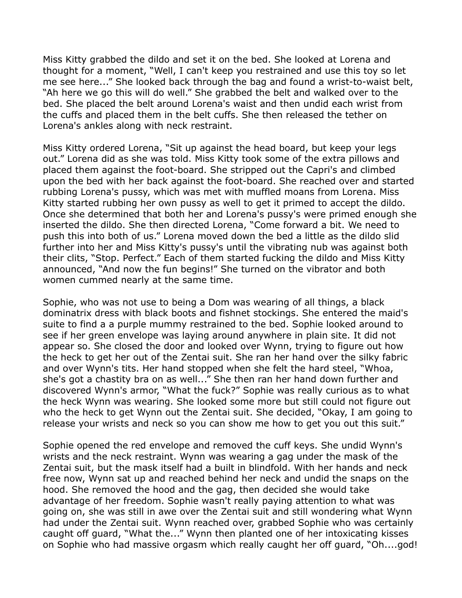Miss Kitty grabbed the dildo and set it on the bed. She looked at Lorena and thought for a moment, "Well, I can't keep you restrained and use this toy so let me see here..." She looked back through the bag and found a wrist-to-waist belt, "Ah here we go this will do well." She grabbed the belt and walked over to the bed. She placed the belt around Lorena's waist and then undid each wrist from the cuffs and placed them in the belt cuffs. She then released the tether on Lorena's ankles along with neck restraint.

Miss Kitty ordered Lorena, "Sit up against the head board, but keep your legs out." Lorena did as she was told. Miss Kitty took some of the extra pillows and placed them against the foot-board. She stripped out the Capri's and climbed upon the bed with her back against the foot-board. She reached over and started rubbing Lorena's pussy, which was met with muffled moans from Lorena. Miss Kitty started rubbing her own pussy as well to get it primed to accept the dildo. Once she determined that both her and Lorena's pussy's were primed enough she inserted the dildo. She then directed Lorena, "Come forward a bit. We need to push this into both of us." Lorena moved down the bed a little as the dildo slid further into her and Miss Kitty's pussy's until the vibrating nub was against both their clits, "Stop. Perfect." Each of them started fucking the dildo and Miss Kitty announced, "And now the fun begins!" She turned on the vibrator and both women cummed nearly at the same time.

Sophie, who was not use to being a Dom was wearing of all things, a black dominatrix dress with black boots and fishnet stockings. She entered the maid's suite to find a a purple mummy restrained to the bed. Sophie looked around to see if her green envelope was laying around anywhere in plain site. It did not appear so. She closed the door and looked over Wynn, trying to figure out how the heck to get her out of the Zentai suit. She ran her hand over the silky fabric and over Wynn's tits. Her hand stopped when she felt the hard steel, "Whoa, she's got a chastity bra on as well..." She then ran her hand down further and discovered Wynn's armor, "What the fuck?" Sophie was really curious as to what the heck Wynn was wearing. She looked some more but still could not figure out who the heck to get Wynn out the Zentai suit. She decided, "Okay, I am going to release your wrists and neck so you can show me how to get you out this suit."

Sophie opened the red envelope and removed the cuff keys. She undid Wynn's wrists and the neck restraint. Wynn was wearing a gag under the mask of the Zentai suit, but the mask itself had a built in blindfold. With her hands and neck free now, Wynn sat up and reached behind her neck and undid the snaps on the hood. She removed the hood and the gag, then decided she would take advantage of her freedom. Sophie wasn't really paying attention to what was going on, she was still in awe over the Zentai suit and still wondering what Wynn had under the Zentai suit. Wynn reached over, grabbed Sophie who was certainly caught off guard, "What the..." Wynn then planted one of her intoxicating kisses on Sophie who had massive orgasm which really caught her off guard, "Oh....god!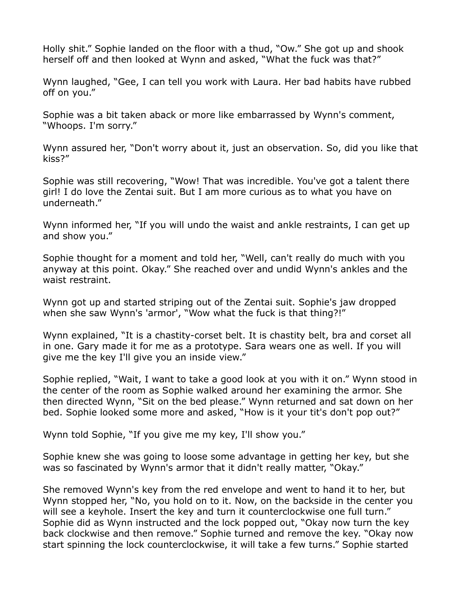Holly shit." Sophie landed on the floor with a thud, "Ow." She got up and shook herself off and then looked at Wynn and asked, "What the fuck was that?"

Wynn laughed, "Gee, I can tell you work with Laura. Her bad habits have rubbed off on you."

Sophie was a bit taken aback or more like embarrassed by Wynn's comment, "Whoops. I'm sorry."

Wynn assured her, "Don't worry about it, just an observation. So, did you like that kiss?"

Sophie was still recovering, "Wow! That was incredible. You've got a talent there girl! I do love the Zentai suit. But I am more curious as to what you have on underneath."

Wynn informed her, "If you will undo the waist and ankle restraints, I can get up and show you."

Sophie thought for a moment and told her, "Well, can't really do much with you anyway at this point. Okay." She reached over and undid Wynn's ankles and the waist restraint.

Wynn got up and started striping out of the Zentai suit. Sophie's jaw dropped when she saw Wynn's 'armor', "Wow what the fuck is that thing?!"

Wynn explained, "It is a chastity-corset belt. It is chastity belt, bra and corset all in one. Gary made it for me as a prototype. Sara wears one as well. If you will give me the key I'll give you an inside view."

Sophie replied, "Wait, I want to take a good look at you with it on." Wynn stood in the center of the room as Sophie walked around her examining the armor. She then directed Wynn, "Sit on the bed please." Wynn returned and sat down on her bed. Sophie looked some more and asked, "How is it your tit's don't pop out?"

Wynn told Sophie, "If you give me my key, I'll show you."

Sophie knew she was going to loose some advantage in getting her key, but she was so fascinated by Wynn's armor that it didn't really matter, "Okay."

She removed Wynn's key from the red envelope and went to hand it to her, but Wynn stopped her, "No, you hold on to it. Now, on the backside in the center you will see a keyhole. Insert the key and turn it counterclockwise one full turn." Sophie did as Wynn instructed and the lock popped out, "Okay now turn the key back clockwise and then remove." Sophie turned and remove the key. "Okay now start spinning the lock counterclockwise, it will take a few turns." Sophie started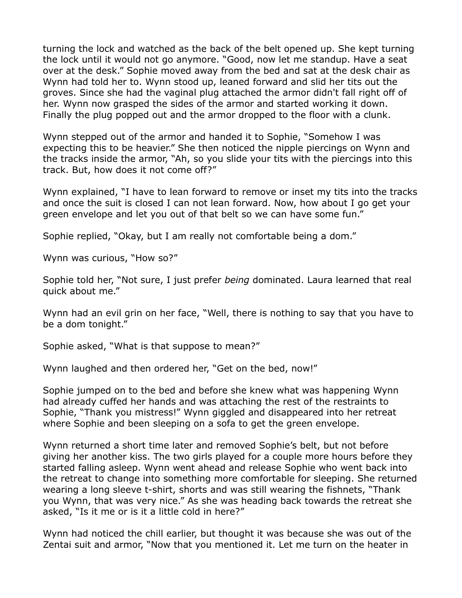turning the lock and watched as the back of the belt opened up. She kept turning the lock until it would not go anymore. "Good, now let me standup. Have a seat over at the desk." Sophie moved away from the bed and sat at the desk chair as Wynn had told her to. Wynn stood up, leaned forward and slid her tits out the groves. Since she had the vaginal plug attached the armor didn't fall right off of her. Wynn now grasped the sides of the armor and started working it down. Finally the plug popped out and the armor dropped to the floor with a clunk.

Wynn stepped out of the armor and handed it to Sophie, "Somehow I was expecting this to be heavier." She then noticed the nipple piercings on Wynn and the tracks inside the armor, "Ah, so you slide your tits with the piercings into this track. But, how does it not come off?"

Wynn explained, "I have to lean forward to remove or inset my tits into the tracks and once the suit is closed I can not lean forward. Now, how about I go get your green envelope and let you out of that belt so we can have some fun."

Sophie replied, "Okay, but I am really not comfortable being a dom."

Wynn was curious, "How so?"

Sophie told her, "Not sure, I just prefer *being* dominated. Laura learned that real quick about me."

Wynn had an evil grin on her face, "Well, there is nothing to say that you have to be a dom tonight."

Sophie asked, "What is that suppose to mean?"

Wynn laughed and then ordered her, "Get on the bed, now!"

Sophie jumped on to the bed and before she knew what was happening Wynn had already cuffed her hands and was attaching the rest of the restraints to Sophie, "Thank you mistress!" Wynn giggled and disappeared into her retreat where Sophie and been sleeping on a sofa to get the green envelope.

Wynn returned a short time later and removed Sophie's belt, but not before giving her another kiss. The two girls played for a couple more hours before they started falling asleep. Wynn went ahead and release Sophie who went back into the retreat to change into something more comfortable for sleeping. She returned wearing a long sleeve t-shirt, shorts and was still wearing the fishnets, "Thank you Wynn, that was very nice." As she was heading back towards the retreat she asked, "Is it me or is it a little cold in here?"

Wynn had noticed the chill earlier, but thought it was because she was out of the Zentai suit and armor, "Now that you mentioned it. Let me turn on the heater in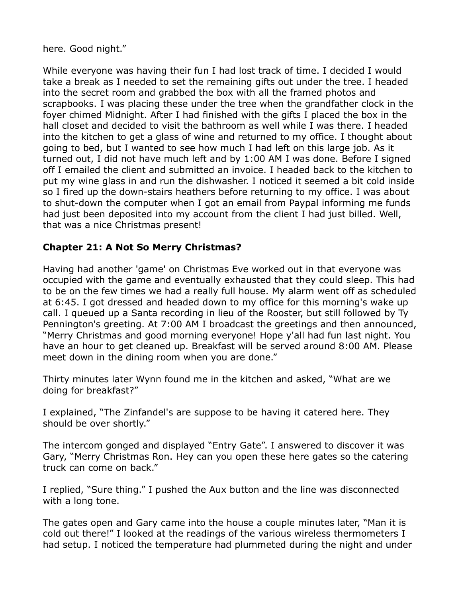here. Good night."

While everyone was having their fun I had lost track of time. I decided I would take a break as I needed to set the remaining gifts out under the tree. I headed into the secret room and grabbed the box with all the framed photos and scrapbooks. I was placing these under the tree when the grandfather clock in the foyer chimed Midnight. After I had finished with the gifts I placed the box in the hall closet and decided to visit the bathroom as well while I was there. I headed into the kitchen to get a glass of wine and returned to my office. I thought about going to bed, but I wanted to see how much I had left on this large job. As it turned out, I did not have much left and by 1:00 AM I was done. Before I signed off I emailed the client and submitted an invoice. I headed back to the kitchen to put my wine glass in and run the dishwasher. I noticed it seemed a bit cold inside so I fired up the down-stairs heathers before returning to my office. I was about to shut-down the computer when I got an email from Paypal informing me funds had just been deposited into my account from the client I had just billed. Well, that was a nice Christmas present!

## **Chapter 21: A Not So Merry Christmas?**

Having had another 'game' on Christmas Eve worked out in that everyone was occupied with the game and eventually exhausted that they could sleep. This had to be on the few times we had a really full house. My alarm went off as scheduled at 6:45. I got dressed and headed down to my office for this morning's wake up call. I queued up a Santa recording in lieu of the Rooster, but still followed by Ty Pennington's greeting. At 7:00 AM I broadcast the greetings and then announced, "Merry Christmas and good morning everyone! Hope y'all had fun last night. You have an hour to get cleaned up. Breakfast will be served around 8:00 AM. Please meet down in the dining room when you are done."

Thirty minutes later Wynn found me in the kitchen and asked, "What are we doing for breakfast?"

I explained, "The Zinfandel's are suppose to be having it catered here. They should be over shortly."

The intercom gonged and displayed "Entry Gate". I answered to discover it was Gary, "Merry Christmas Ron. Hey can you open these here gates so the catering truck can come on back."

I replied, "Sure thing." I pushed the Aux button and the line was disconnected with a long tone.

The gates open and Gary came into the house a couple minutes later, "Man it is cold out there!" I looked at the readings of the various wireless thermometers I had setup. I noticed the temperature had plummeted during the night and under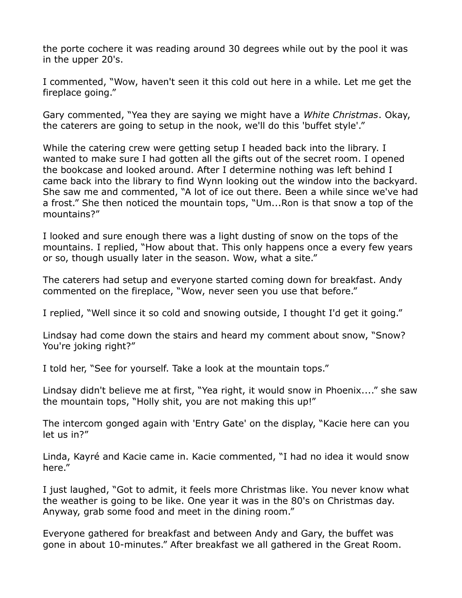the porte cochere it was reading around 30 degrees while out by the pool it was in the upper 20's.

I commented, "Wow, haven't seen it this cold out here in a while. Let me get the fireplace going."

Gary commented, "Yea they are saying we might have a *White Christmas*. Okay, the caterers are going to setup in the nook, we'll do this 'buffet style'."

While the catering crew were getting setup I headed back into the library. I wanted to make sure I had gotten all the gifts out of the secret room. I opened the bookcase and looked around. After I determine nothing was left behind I came back into the library to find Wynn looking out the window into the backyard. She saw me and commented, "A lot of ice out there. Been a while since we've had a frost." She then noticed the mountain tops, "Um...Ron is that snow a top of the mountains?"

I looked and sure enough there was a light dusting of snow on the tops of the mountains. I replied, "How about that. This only happens once a every few years or so, though usually later in the season. Wow, what a site."

The caterers had setup and everyone started coming down for breakfast. Andy commented on the fireplace, "Wow, never seen you use that before."

I replied, "Well since it so cold and snowing outside, I thought I'd get it going."

Lindsay had come down the stairs and heard my comment about snow, "Snow? You're joking right?"

I told her, "See for yourself. Take a look at the mountain tops."

Lindsay didn't believe me at first, "Yea right, it would snow in Phoenix...." she saw the mountain tops, "Holly shit, you are not making this up!"

The intercom gonged again with 'Entry Gate' on the display, "Kacie here can you let us in?"

Linda, Kayré and Kacie came in. Kacie commented, "I had no idea it would snow here."

I just laughed, "Got to admit, it feels more Christmas like. You never know what the weather is going to be like. One year it was in the 80's on Christmas day. Anyway, grab some food and meet in the dining room."

Everyone gathered for breakfast and between Andy and Gary, the buffet was gone in about 10-minutes." After breakfast we all gathered in the Great Room.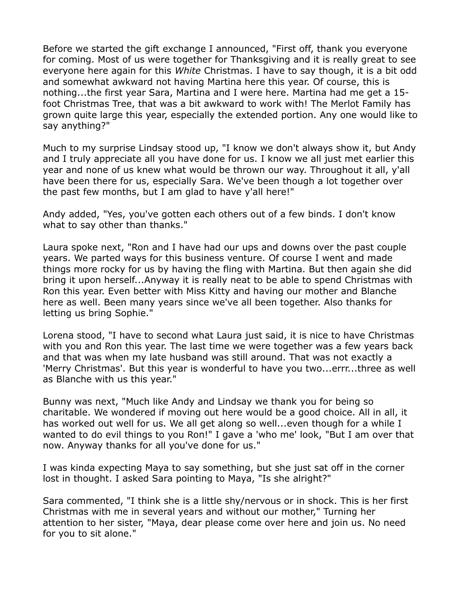Before we started the gift exchange I announced, "First off, thank you everyone for coming. Most of us were together for Thanksgiving and it is really great to see everyone here again for this *White* Christmas. I have to say though, it is a bit odd and somewhat awkward not having Martina here this year. Of course, this is nothing...the first year Sara, Martina and I were here. Martina had me get a 15 foot Christmas Tree, that was a bit awkward to work with! The Merlot Family has grown quite large this year, especially the extended portion. Any one would like to say anything?"

Much to my surprise Lindsay stood up, "I know we don't always show it, but Andy and I truly appreciate all you have done for us. I know we all just met earlier this year and none of us knew what would be thrown our way. Throughout it all, y'all have been there for us, especially Sara. We've been though a lot together over the past few months, but I am glad to have y'all here!"

Andy added, "Yes, you've gotten each others out of a few binds. I don't know what to say other than thanks."

Laura spoke next, "Ron and I have had our ups and downs over the past couple years. We parted ways for this business venture. Of course I went and made things more rocky for us by having the fling with Martina. But then again she did bring it upon herself...Anyway it is really neat to be able to spend Christmas with Ron this year. Even better with Miss Kitty and having our mother and Blanche here as well. Been many years since we've all been together. Also thanks for letting us bring Sophie."

Lorena stood, "I have to second what Laura just said, it is nice to have Christmas with you and Ron this year. The last time we were together was a few years back and that was when my late husband was still around. That was not exactly a 'Merry Christmas'. But this year is wonderful to have you two...errr...three as well as Blanche with us this year."

Bunny was next, "Much like Andy and Lindsay we thank you for being so charitable. We wondered if moving out here would be a good choice. All in all, it has worked out well for us. We all get along so well...even though for a while I wanted to do evil things to you Ron!" I gave a 'who me' look, "But I am over that now. Anyway thanks for all you've done for us."

I was kinda expecting Maya to say something, but she just sat off in the corner lost in thought. I asked Sara pointing to Maya, "Is she alright?"

Sara commented, "I think she is a little shy/nervous or in shock. This is her first Christmas with me in several years and without our mother," Turning her attention to her sister, "Maya, dear please come over here and join us. No need for you to sit alone."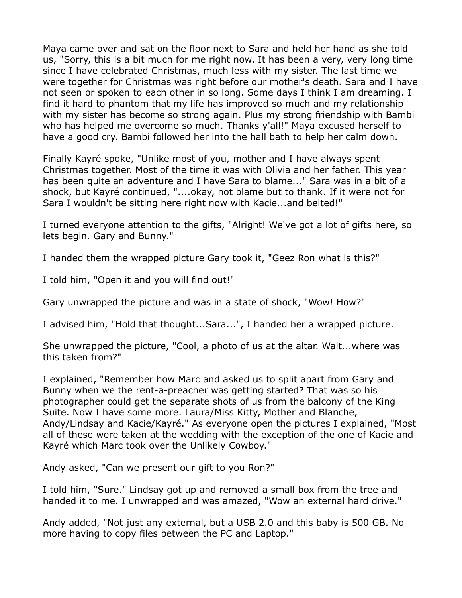Maya came over and sat on the floor next to Sara and held her hand as she told us, "Sorry, this is a bit much for me right now. It has been a very, very long time since I have celebrated Christmas, much less with my sister. The last time we were together for Christmas was right before our mother's death. Sara and I have not seen or spoken to each other in so long. Some days I think I am dreaming. I find it hard to phantom that my life has improved so much and my relationship with my sister has become so strong again. Plus my strong friendship with Bambi who has helped me overcome so much. Thanks y'all!" Maya excused herself to have a good cry. Bambi followed her into the hall bath to help her calm down.

Finally Kayré spoke, "Unlike most of you, mother and I have always spent Christmas together. Most of the time it was with Olivia and her father. This year has been quite an adventure and I have Sara to blame..." Sara was in a bit of a shock, but Kayré continued, "....okay, not blame but to thank. If it were not for Sara I wouldn't be sitting here right now with Kacie...and belted!"

I turned everyone attention to the gifts, "Alright! We've got a lot of gifts here, so lets begin. Gary and Bunny."

I handed them the wrapped picture Gary took it, "Geez Ron what is this?"

I told him, "Open it and you will find out!"

Gary unwrapped the picture and was in a state of shock, "Wow! How?"

I advised him, "Hold that thought...Sara...", I handed her a wrapped picture.

She unwrapped the picture, "Cool, a photo of us at the altar. Wait...where was this taken from?"

I explained, "Remember how Marc and asked us to split apart from Gary and Bunny when we the rent-a-preacher was getting started? That was so his photographer could get the separate shots of us from the balcony of the King Suite. Now I have some more. Laura/Miss Kitty, Mother and Blanche, Andy/Lindsay and Kacie/Kayré." As everyone open the pictures I explained, "Most all of these were taken at the wedding with the exception of the one of Kacie and Kayré which Marc took over the Unlikely Cowboy."

Andy asked, "Can we present our gift to you Ron?"

I told him, "Sure." Lindsay got up and removed a small box from the tree and handed it to me. I unwrapped and was amazed, "Wow an external hard drive."

Andy added, "Not just any external, but a USB 2.0 and this baby is 500 GB. No more having to copy files between the PC and Laptop."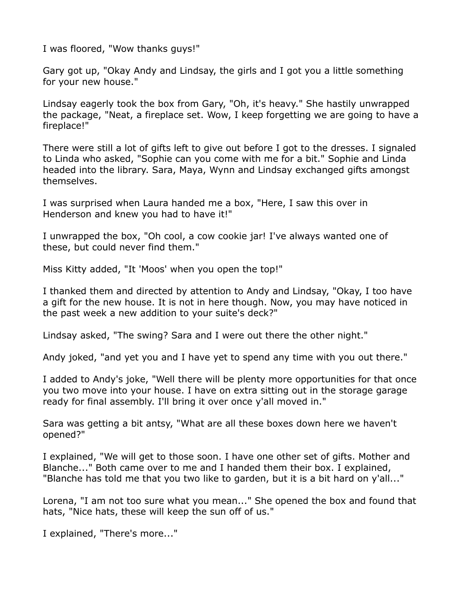I was floored, "Wow thanks guys!"

Gary got up, "Okay Andy and Lindsay, the girls and I got you a little something for your new house."

Lindsay eagerly took the box from Gary, "Oh, it's heavy." She hastily unwrapped the package, "Neat, a fireplace set. Wow, I keep forgetting we are going to have a fireplace!"

There were still a lot of gifts left to give out before I got to the dresses. I signaled to Linda who asked, "Sophie can you come with me for a bit." Sophie and Linda headed into the library. Sara, Maya, Wynn and Lindsay exchanged gifts amongst themselves.

I was surprised when Laura handed me a box, "Here, I saw this over in Henderson and knew you had to have it!"

I unwrapped the box, "Oh cool, a cow cookie jar! I've always wanted one of these, but could never find them."

Miss Kitty added, "It 'Moos' when you open the top!"

I thanked them and directed by attention to Andy and Lindsay, "Okay, I too have a gift for the new house. It is not in here though. Now, you may have noticed in the past week a new addition to your suite's deck?"

Lindsay asked, "The swing? Sara and I were out there the other night."

Andy joked, "and yet you and I have yet to spend any time with you out there."

I added to Andy's joke, "Well there will be plenty more opportunities for that once you two move into your house. I have on extra sitting out in the storage garage ready for final assembly. I'll bring it over once y'all moved in."

Sara was getting a bit antsy, "What are all these boxes down here we haven't opened?"

I explained, "We will get to those soon. I have one other set of gifts. Mother and Blanche..." Both came over to me and I handed them their box. I explained, "Blanche has told me that you two like to garden, but it is a bit hard on y'all..."

Lorena, "I am not too sure what you mean..." She opened the box and found that hats, "Nice hats, these will keep the sun off of us."

I explained, "There's more..."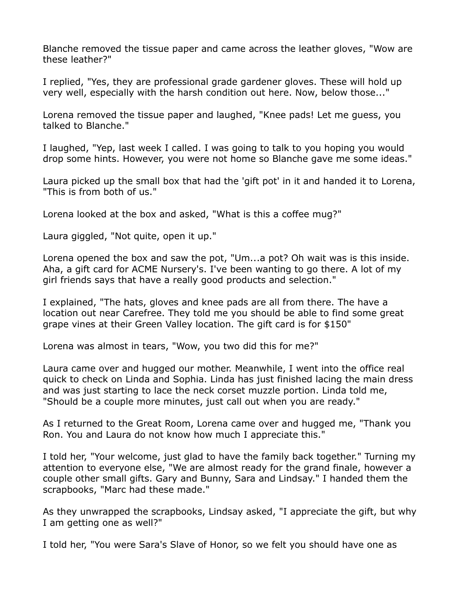Blanche removed the tissue paper and came across the leather gloves, "Wow are these leather?"

I replied, "Yes, they are professional grade gardener gloves. These will hold up very well, especially with the harsh condition out here. Now, below those..."

Lorena removed the tissue paper and laughed, "Knee pads! Let me guess, you talked to Blanche."

I laughed, "Yep, last week I called. I was going to talk to you hoping you would drop some hints. However, you were not home so Blanche gave me some ideas."

Laura picked up the small box that had the 'gift pot' in it and handed it to Lorena, "This is from both of us."

Lorena looked at the box and asked, "What is this a coffee mug?"

Laura giggled, "Not quite, open it up."

Lorena opened the box and saw the pot, "Um...a pot? Oh wait was is this inside. Aha, a gift card for ACME Nursery's. I've been wanting to go there. A lot of my girl friends says that have a really good products and selection."

I explained, "The hats, gloves and knee pads are all from there. The have a location out near Carefree. They told me you should be able to find some great grape vines at their Green Valley location. The gift card is for \$150"

Lorena was almost in tears, "Wow, you two did this for me?"

Laura came over and hugged our mother. Meanwhile, I went into the office real quick to check on Linda and Sophia. Linda has just finished lacing the main dress and was just starting to lace the neck corset muzzle portion. Linda told me, "Should be a couple more minutes, just call out when you are ready."

As I returned to the Great Room, Lorena came over and hugged me, "Thank you Ron. You and Laura do not know how much I appreciate this."

I told her, "Your welcome, just glad to have the family back together." Turning my attention to everyone else, "We are almost ready for the grand finale, however a couple other small gifts. Gary and Bunny, Sara and Lindsay." I handed them the scrapbooks, "Marc had these made."

As they unwrapped the scrapbooks, Lindsay asked, "I appreciate the gift, but why I am getting one as well?"

I told her, "You were Sara's Slave of Honor, so we felt you should have one as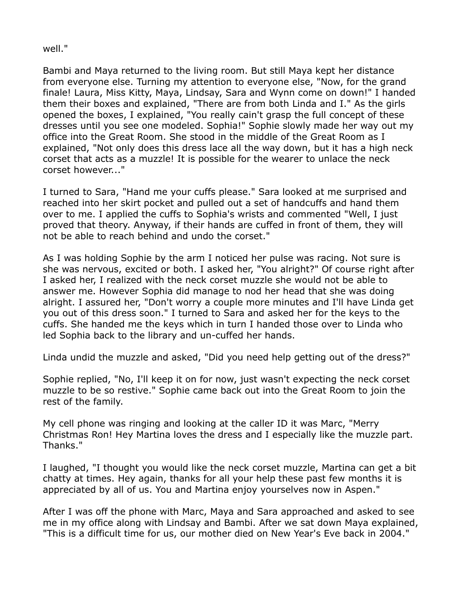## well."

Bambi and Maya returned to the living room. But still Maya kept her distance from everyone else. Turning my attention to everyone else, "Now, for the grand finale! Laura, Miss Kitty, Maya, Lindsay, Sara and Wynn come on down!" I handed them their boxes and explained, "There are from both Linda and I." As the girls opened the boxes, I explained, "You really cain't grasp the full concept of these dresses until you see one modeled. Sophia!" Sophie slowly made her way out my office into the Great Room. She stood in the middle of the Great Room as I explained, "Not only does this dress lace all the way down, but it has a high neck corset that acts as a muzzle! It is possible for the wearer to unlace the neck corset however..."

I turned to Sara, "Hand me your cuffs please." Sara looked at me surprised and reached into her skirt pocket and pulled out a set of handcuffs and hand them over to me. I applied the cuffs to Sophia's wrists and commented "Well, I just proved that theory. Anyway, if their hands are cuffed in front of them, they will not be able to reach behind and undo the corset."

As I was holding Sophie by the arm I noticed her pulse was racing. Not sure is she was nervous, excited or both. I asked her, "You alright?" Of course right after I asked her, I realized with the neck corset muzzle she would not be able to answer me. However Sophia did manage to nod her head that she was doing alright. I assured her, "Don't worry a couple more minutes and I'll have Linda get you out of this dress soon." I turned to Sara and asked her for the keys to the cuffs. She handed me the keys which in turn I handed those over to Linda who led Sophia back to the library and un-cuffed her hands.

Linda undid the muzzle and asked, "Did you need help getting out of the dress?"

Sophie replied, "No, I'll keep it on for now, just wasn't expecting the neck corset muzzle to be so restive." Sophie came back out into the Great Room to join the rest of the family.

My cell phone was ringing and looking at the caller ID it was Marc, "Merry Christmas Ron! Hey Martina loves the dress and I especially like the muzzle part. Thanks."

I laughed, "I thought you would like the neck corset muzzle, Martina can get a bit chatty at times. Hey again, thanks for all your help these past few months it is appreciated by all of us. You and Martina enjoy yourselves now in Aspen."

After I was off the phone with Marc, Maya and Sara approached and asked to see me in my office along with Lindsay and Bambi. After we sat down Maya explained, "This is a difficult time for us, our mother died on New Year's Eve back in 2004."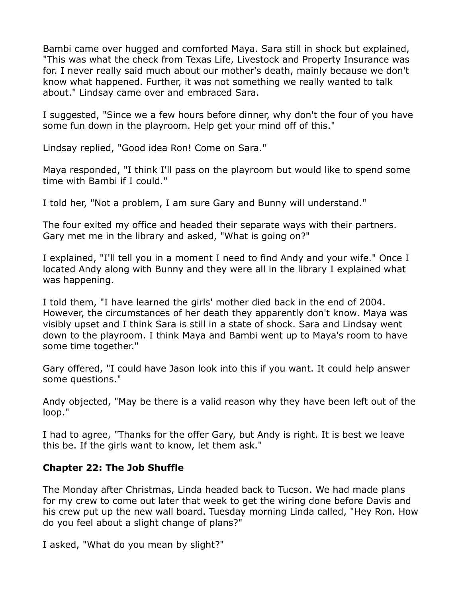Bambi came over hugged and comforted Maya. Sara still in shock but explained, "This was what the check from Texas Life, Livestock and Property Insurance was for. I never really said much about our mother's death, mainly because we don't know what happened. Further, it was not something we really wanted to talk about." Lindsay came over and embraced Sara.

I suggested, "Since we a few hours before dinner, why don't the four of you have some fun down in the playroom. Help get your mind off of this."

Lindsay replied, "Good idea Ron! Come on Sara."

Maya responded, "I think I'll pass on the playroom but would like to spend some time with Bambi if I could."

I told her, "Not a problem, I am sure Gary and Bunny will understand."

The four exited my office and headed their separate ways with their partners. Gary met me in the library and asked, "What is going on?"

I explained, "I'll tell you in a moment I need to find Andy and your wife." Once I located Andy along with Bunny and they were all in the library I explained what was happening.

I told them, "I have learned the girls' mother died back in the end of 2004. However, the circumstances of her death they apparently don't know. Maya was visibly upset and I think Sara is still in a state of shock. Sara and Lindsay went down to the playroom. I think Maya and Bambi went up to Maya's room to have some time together."

Gary offered, "I could have Jason look into this if you want. It could help answer some questions."

Andy objected, "May be there is a valid reason why they have been left out of the loop."

I had to agree, "Thanks for the offer Gary, but Andy is right. It is best we leave this be. If the girls want to know, let them ask."

## **Chapter 22: The Job Shuffle**

The Monday after Christmas, Linda headed back to Tucson. We had made plans for my crew to come out later that week to get the wiring done before Davis and his crew put up the new wall board. Tuesday morning Linda called, "Hey Ron. How do you feel about a slight change of plans?"

I asked, "What do you mean by slight?"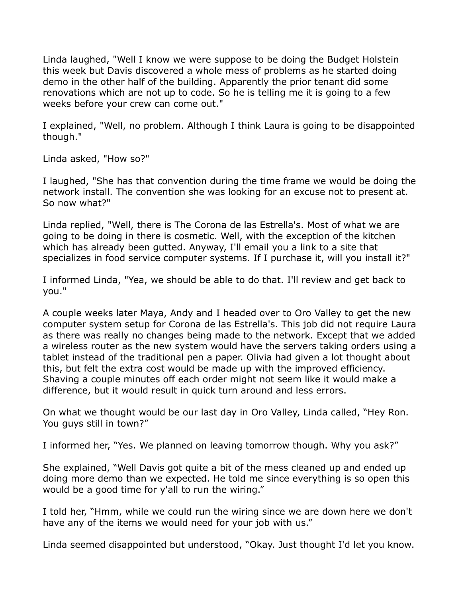Linda laughed, "Well I know we were suppose to be doing the Budget Holstein this week but Davis discovered a whole mess of problems as he started doing demo in the other half of the building. Apparently the prior tenant did some renovations which are not up to code. So he is telling me it is going to a few weeks before your crew can come out."

I explained, "Well, no problem. Although I think Laura is going to be disappointed though."

Linda asked, "How so?"

I laughed, "She has that convention during the time frame we would be doing the network install. The convention she was looking for an excuse not to present at. So now what?"

Linda replied, "Well, there is The Corona de las Estrella's. Most of what we are going to be doing in there is cosmetic. Well, with the exception of the kitchen which has already been gutted. Anyway, I'll email you a link to a site that specializes in food service computer systems. If I purchase it, will you install it?"

I informed Linda, "Yea, we should be able to do that. I'll review and get back to you."

A couple weeks later Maya, Andy and I headed over to Oro Valley to get the new computer system setup for Corona de las Estrella's. This job did not require Laura as there was really no changes being made to the network. Except that we added a wireless router as the new system would have the servers taking orders using a tablet instead of the traditional pen a paper. Olivia had given a lot thought about this, but felt the extra cost would be made up with the improved efficiency. Shaving a couple minutes off each order might not seem like it would make a difference, but it would result in quick turn around and less errors.

On what we thought would be our last day in Oro Valley, Linda called, "Hey Ron. You guys still in town?"

I informed her, "Yes. We planned on leaving tomorrow though. Why you ask?"

She explained, "Well Davis got quite a bit of the mess cleaned up and ended up doing more demo than we expected. He told me since everything is so open this would be a good time for y'all to run the wiring."

I told her, "Hmm, while we could run the wiring since we are down here we don't have any of the items we would need for your job with us."

Linda seemed disappointed but understood, "Okay. Just thought I'd let you know.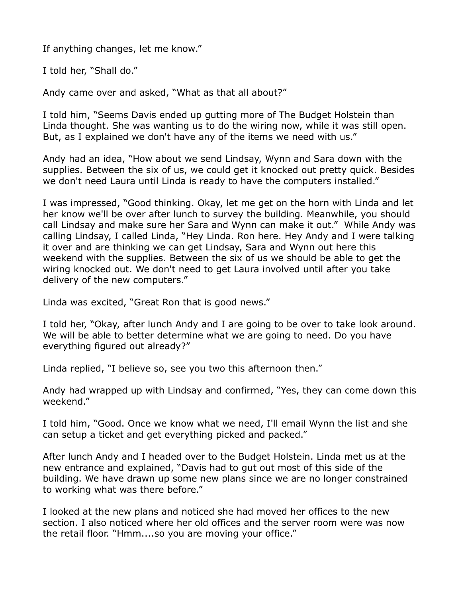If anything changes, let me know."

I told her, "Shall do."

Andy came over and asked, "What as that all about?"

I told him, "Seems Davis ended up gutting more of The Budget Holstein than Linda thought. She was wanting us to do the wiring now, while it was still open. But, as I explained we don't have any of the items we need with us."

Andy had an idea, "How about we send Lindsay, Wynn and Sara down with the supplies. Between the six of us, we could get it knocked out pretty quick. Besides we don't need Laura until Linda is ready to have the computers installed."

I was impressed, "Good thinking. Okay, let me get on the horn with Linda and let her know we'll be over after lunch to survey the building. Meanwhile, you should call Lindsay and make sure her Sara and Wynn can make it out." While Andy was calling Lindsay, I called Linda, "Hey Linda. Ron here. Hey Andy and I were talking it over and are thinking we can get Lindsay, Sara and Wynn out here this weekend with the supplies. Between the six of us we should be able to get the wiring knocked out. We don't need to get Laura involved until after you take delivery of the new computers."

Linda was excited, "Great Ron that is good news."

I told her, "Okay, after lunch Andy and I are going to be over to take look around. We will be able to better determine what we are going to need. Do you have everything figured out already?"

Linda replied, "I believe so, see you two this afternoon then."

Andy had wrapped up with Lindsay and confirmed, "Yes, they can come down this weekend."

I told him, "Good. Once we know what we need, I'll email Wynn the list and she can setup a ticket and get everything picked and packed."

After lunch Andy and I headed over to the Budget Holstein. Linda met us at the new entrance and explained, "Davis had to gut out most of this side of the building. We have drawn up some new plans since we are no longer constrained to working what was there before."

I looked at the new plans and noticed she had moved her offices to the new section. I also noticed where her old offices and the server room were was now the retail floor. "Hmm....so you are moving your office."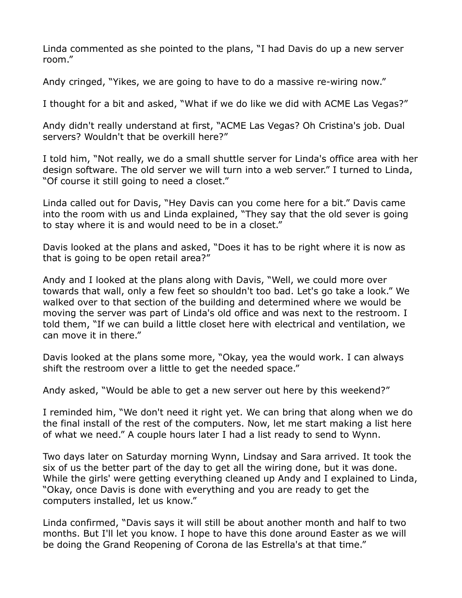Linda commented as she pointed to the plans, "I had Davis do up a new server room."

Andy cringed, "Yikes, we are going to have to do a massive re-wiring now."

I thought for a bit and asked, "What if we do like we did with ACME Las Vegas?"

Andy didn't really understand at first, "ACME Las Vegas? Oh Cristina's job. Dual servers? Wouldn't that be overkill here?"

I told him, "Not really, we do a small shuttle server for Linda's office area with her design software. The old server we will turn into a web server." I turned to Linda, "Of course it still going to need a closet."

Linda called out for Davis, "Hey Davis can you come here for a bit." Davis came into the room with us and Linda explained, "They say that the old sever is going to stay where it is and would need to be in a closet."

Davis looked at the plans and asked, "Does it has to be right where it is now as that is going to be open retail area?"

Andy and I looked at the plans along with Davis, "Well, we could more over towards that wall, only a few feet so shouldn't too bad. Let's go take a look." We walked over to that section of the building and determined where we would be moving the server was part of Linda's old office and was next to the restroom. I told them, "If we can build a little closet here with electrical and ventilation, we can move it in there."

Davis looked at the plans some more, "Okay, yea the would work. I can always shift the restroom over a little to get the needed space."

Andy asked, "Would be able to get a new server out here by this weekend?"

I reminded him, "We don't need it right yet. We can bring that along when we do the final install of the rest of the computers. Now, let me start making a list here of what we need." A couple hours later I had a list ready to send to Wynn.

Two days later on Saturday morning Wynn, Lindsay and Sara arrived. It took the six of us the better part of the day to get all the wiring done, but it was done. While the girls' were getting everything cleaned up Andy and I explained to Linda, "Okay, once Davis is done with everything and you are ready to get the computers installed, let us know."

Linda confirmed, "Davis says it will still be about another month and half to two months. But I'll let you know. I hope to have this done around Easter as we will be doing the Grand Reopening of Corona de las Estrella's at that time."